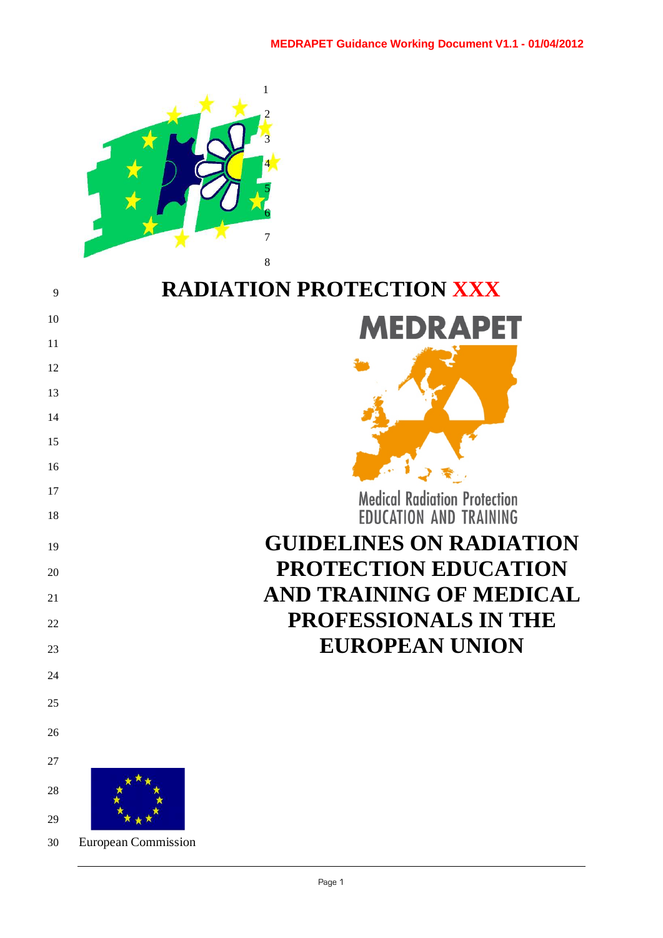

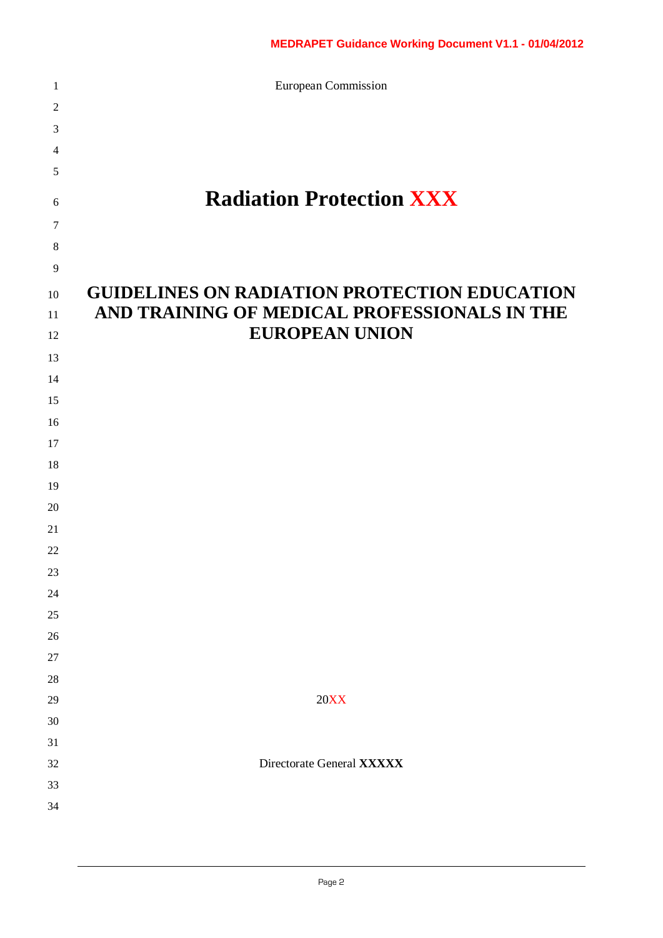European Commission

| $\boldsymbol{2}$ |                                                     |
|------------------|-----------------------------------------------------|
| 3                |                                                     |
| 4                |                                                     |
| 5                |                                                     |
| $\sqrt{6}$       | <b>Radiation Protection XXX</b>                     |
| $\tau$           |                                                     |
| $\,8\,$          |                                                     |
| $\overline{9}$   |                                                     |
| 10               | <b>GUIDELINES ON RADIATION PROTECTION EDUCATION</b> |
| 11               | AND TRAINING OF MEDICAL PROFESSIONALS IN THE        |
| 12               | <b>EUROPEAN UNION</b>                               |
| 13               |                                                     |
| 14               |                                                     |
| 15               |                                                     |
| 16               |                                                     |
| 17               |                                                     |
| 18               |                                                     |
| 19               |                                                     |
| 20               |                                                     |
| 21               |                                                     |
| 22               |                                                     |
| 23               |                                                     |
| 24               |                                                     |
| 25               |                                                     |
| 26               |                                                     |
| $27\,$           |                                                     |
| 28               |                                                     |
| 29               | <b>20XX</b>                                         |
| 30               |                                                     |
| 31               |                                                     |
| 32               | Directorate General XXXXX                           |
| 33               |                                                     |
| 34               |                                                     |
|                  |                                                     |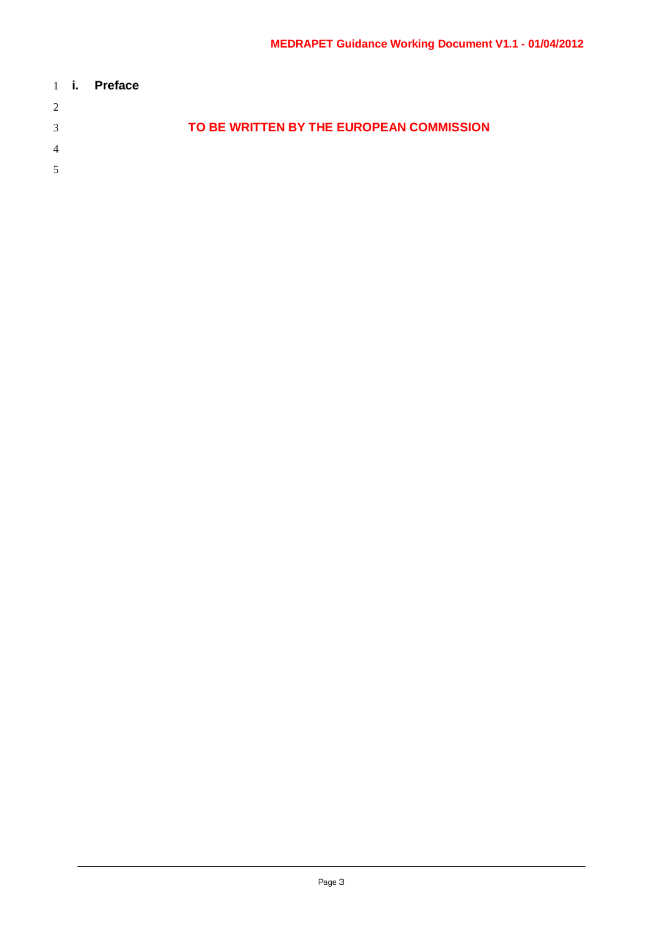|                | $1 \quad$ i. | <b>Preface</b> |                                          |
|----------------|--------------|----------------|------------------------------------------|
| 2              |              |                |                                          |
| 3              |              |                | TO BE WRITTEN BY THE EUROPEAN COMMISSION |
| $\overline{4}$ |              |                |                                          |
| 5              |              |                |                                          |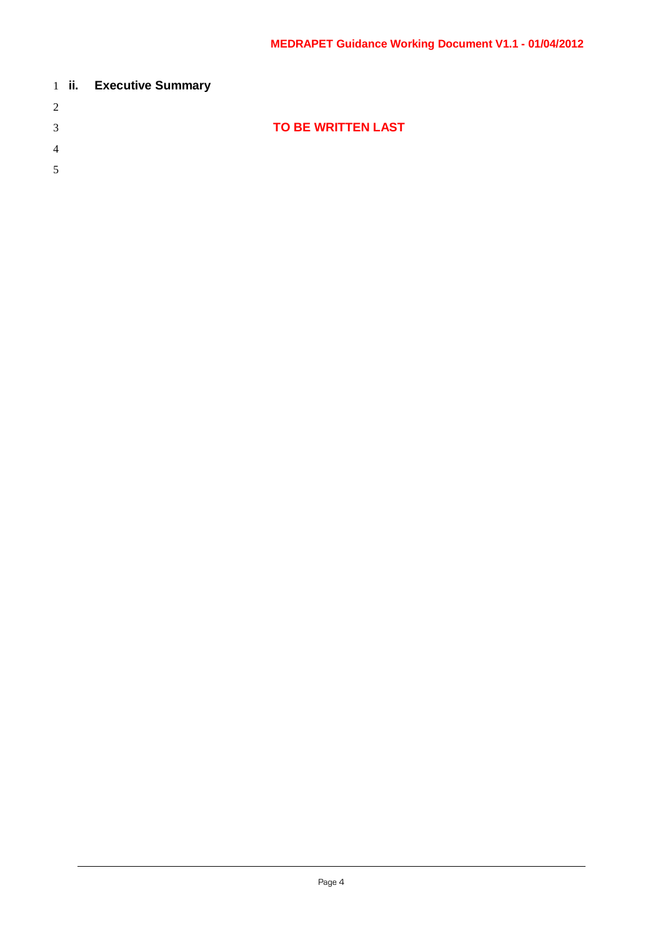|   | 1 ii. Executive Summary |                           |  |
|---|-------------------------|---------------------------|--|
| 2 |                         |                           |  |
| 3 |                         | <b>TO BE WRITTEN LAST</b> |  |
| 4 |                         |                           |  |
| 5 |                         |                           |  |
|   |                         |                           |  |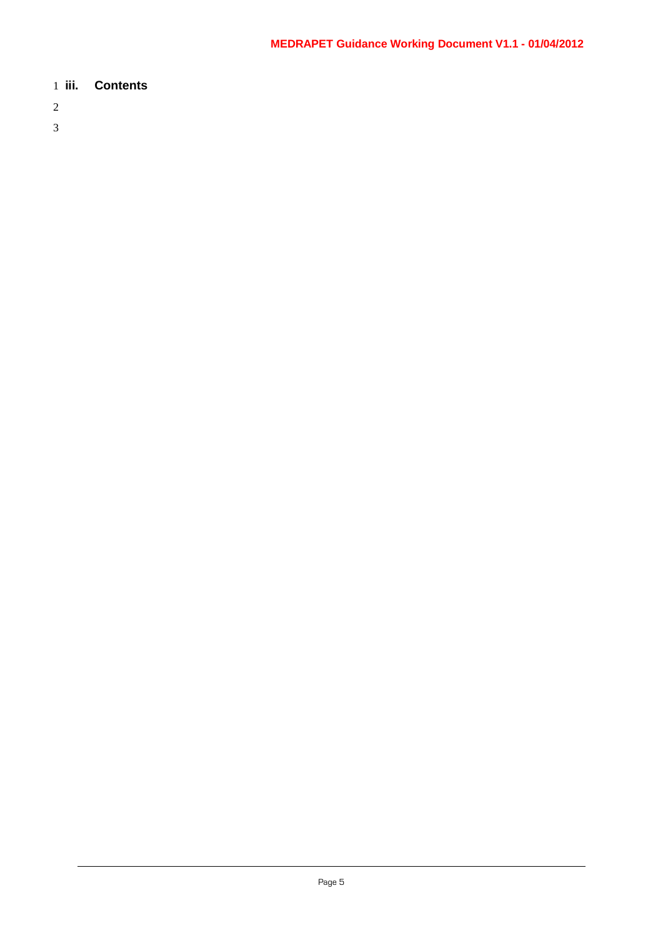## 1 **iii. Contents**

- 2
- 3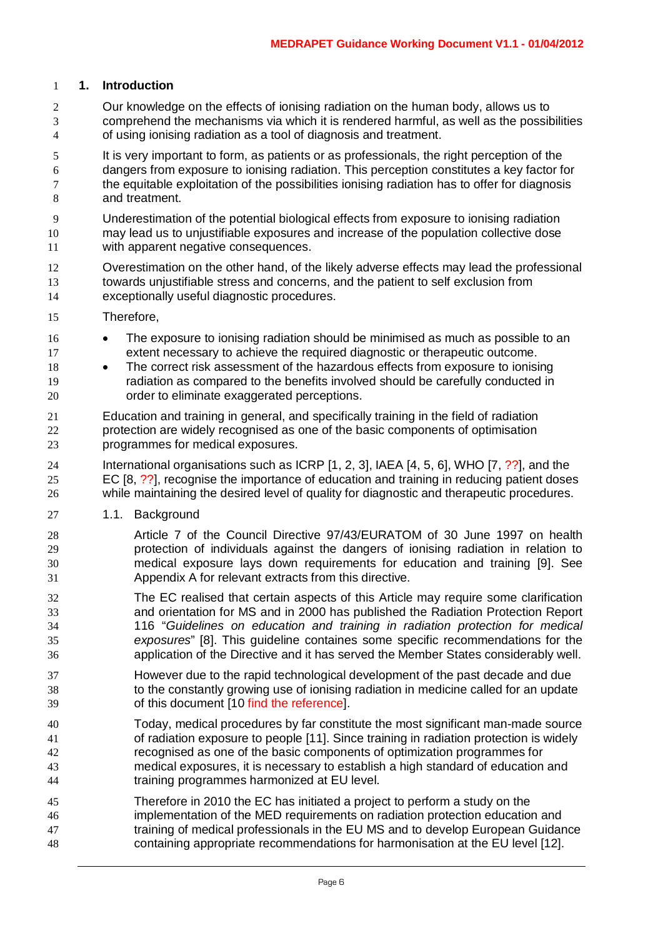#### **1. Introduction**

- Our knowledge on the effects of ionising radiation on the human body, allows us to comprehend the mechanisms via which it is rendered harmful, as well as the possibilities of using ionising radiation as a tool of diagnosis and treatment.
- It is very important to form, as patients or as professionals, the right perception of the dangers from exposure to ionising radiation. This perception constitutes a key factor for the equitable exploitation of the possibilities ionising radiation has to offer for diagnosis and treatment.
- Underestimation of the potential biological effects from exposure to ionising radiation may lead us to unjustifiable exposures and increase of the population collective dose with apparent negative consequences.
- Overestimation on the other hand, of the likely adverse effects may lead the professional towards unjustifiable stress and concerns, and the patient to self exclusion from exceptionally useful diagnostic procedures.
- Therefore,
- 16 The exposure to ionising radiation should be minimised as much as possible to an extent necessary to achieve the required diagnostic or therapeutic outcome.
- The correct risk assessment of the hazardous effects from exposure to ionising radiation as compared to the benefits involved should be carefully conducted in order to eliminate exaggerated perceptions.
- Education and training in general, and specifically training in the field of radiation protection are widely recognised as one of the basic components of optimisation programmes for medical exposures.
- International organisations such as ICRP [1, 2, 3], IAEA [4, 5, 6], WHO [7, ??], and the EC [8, ??], recognise the importance of education and training in reducing patient doses while maintaining the desired level of quality for diagnostic and therapeutic procedures.
- 1.1. Background
- Article 7 of the Council Directive 97/43/EURATOM of 30 June 1997 on health protection of individuals against the dangers of ionising radiation in relation to medical exposure lays down requirements for education and training [9]. See Appendix A for relevant extracts from this directive.
- The EC realised that certain aspects of this Article may require some clarification and orientation for MS and in 2000 has published the Radiation Protection Report 116 "*Guidelines on education and training in radiation protection for medical exposures*" [8]. This guideline containes some specific recommendations for the application of the Directive and it has served the Member States considerably well.
- However due to the rapid technological development of the past decade and due to the constantly growing use of ionising radiation in medicine called for an update of this document [10 find the reference].
- Today, medical procedures by far constitute the most significant man-made source of radiation exposure to people [11]. Since training in radiation protection is widely recognised as one of the basic components of optimization programmes for medical exposures, it is necessary to establish a high standard of education and training programmes harmonized at EU level.
- Therefore in 2010 the EC has initiated a project to perform a study on the implementation of the MED requirements on radiation protection education and training of medical professionals in the EU MS and to develop European Guidance containing appropriate recommendations for harmonisation at the EU level [12].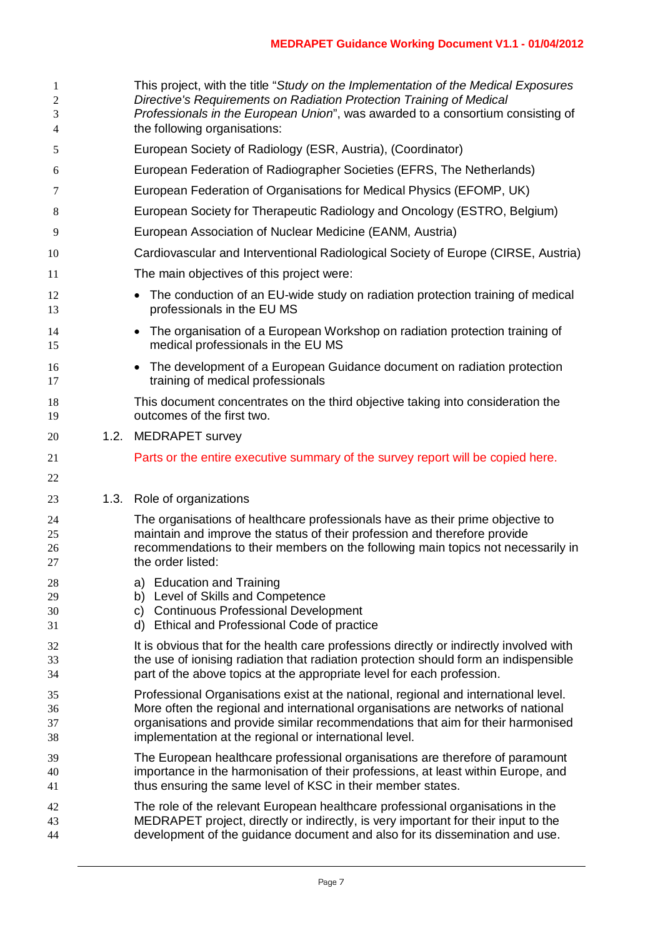| 1<br>2<br>3<br>4 | This project, with the title "Study on the Implementation of the Medical Exposures<br>Directive's Requirements on Radiation Protection Training of Medical<br>Professionals in the European Union", was awarded to a consortium consisting of<br>the following organisations: |
|------------------|-------------------------------------------------------------------------------------------------------------------------------------------------------------------------------------------------------------------------------------------------------------------------------|
| 5                | European Society of Radiology (ESR, Austria), (Coordinator)                                                                                                                                                                                                                   |
| 6                | European Federation of Radiographer Societies (EFRS, The Netherlands)                                                                                                                                                                                                         |
| 7                | European Federation of Organisations for Medical Physics (EFOMP, UK)                                                                                                                                                                                                          |
| 8                | European Society for Therapeutic Radiology and Oncology (ESTRO, Belgium)                                                                                                                                                                                                      |
| 9                | European Association of Nuclear Medicine (EANM, Austria)                                                                                                                                                                                                                      |
| 10               | Cardiovascular and Interventional Radiological Society of Europe (CIRSE, Austria)                                                                                                                                                                                             |
| 11               | The main objectives of this project were:                                                                                                                                                                                                                                     |
|                  |                                                                                                                                                                                                                                                                               |
| 12<br>13         | The conduction of an EU-wide study on radiation protection training of medical<br>professionals in the EU MS                                                                                                                                                                  |
| 14<br>15         | The organisation of a European Workshop on radiation protection training of<br>$\bullet$<br>medical professionals in the EU MS                                                                                                                                                |
| 16<br>17         | The development of a European Guidance document on radiation protection<br>$\bullet$<br>training of medical professionals                                                                                                                                                     |
| 18<br>19         | This document concentrates on the third objective taking into consideration the<br>outcomes of the first two.                                                                                                                                                                 |
| 20               | 1.2. MEDRAPET survey                                                                                                                                                                                                                                                          |
| 21               | Parts or the entire executive summary of the survey report will be copied here.                                                                                                                                                                                               |
| 22               |                                                                                                                                                                                                                                                                               |
| 23               | 1.3. Role of organizations                                                                                                                                                                                                                                                    |
| 24               | The organisations of healthcare professionals have as their prime objective to                                                                                                                                                                                                |
| 25               | maintain and improve the status of their profession and therefore provide                                                                                                                                                                                                     |
| 26<br>27         | recommendations to their members on the following main topics not necessarily in<br>the order listed:                                                                                                                                                                         |
| 28               | a) Education and Training                                                                                                                                                                                                                                                     |
| 29               | b) Level of Skills and Competence                                                                                                                                                                                                                                             |
| 30<br>31         | c) Continuous Professional Development<br>d) Ethical and Professional Code of practice                                                                                                                                                                                        |
| 32               |                                                                                                                                                                                                                                                                               |
| 33               | It is obvious that for the health care professions directly or indirectly involved with<br>the use of ionising radiation that radiation protection should form an indispensible                                                                                               |
| 34               | part of the above topics at the appropriate level for each profession.                                                                                                                                                                                                        |
| 35               | Professional Organisations exist at the national, regional and international level.                                                                                                                                                                                           |
| 36               | More often the regional and international organisations are networks of national                                                                                                                                                                                              |
| 37<br>38         | organisations and provide similar recommendations that aim for their harmonised<br>implementation at the regional or international level.                                                                                                                                     |
| 39               | The European healthcare professional organisations are therefore of paramount                                                                                                                                                                                                 |
| 40<br>41         | importance in the harmonisation of their professions, at least within Europe, and<br>thus ensuring the same level of KSC in their member states.                                                                                                                              |
|                  |                                                                                                                                                                                                                                                                               |
| 42<br>43         | The role of the relevant European healthcare professional organisations in the<br>MEDRAPET project, directly or indirectly, is very important for their input to the                                                                                                          |
| 44               | development of the guidance document and also for its dissemination and use.                                                                                                                                                                                                  |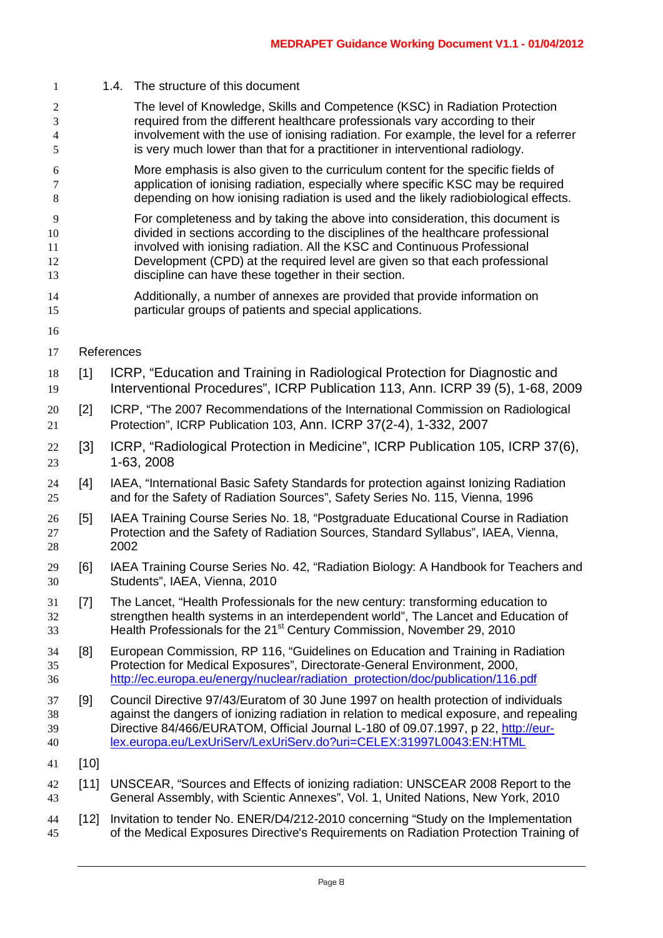The level of Knowledge, Skills and Competence (KSC) in Radiation Protection required from the different healthcare professionals vary according to their involvement with the use of ionising radiation. For example, the level for a referrer is very much lower than that for a practitioner in interventional radiology. More emphasis is also given to the curriculum content for the specific fields of application of ionising radiation, especially where specific KSC may be required depending on how ionising radiation is used and the likely radiobiological effects. For completeness and by taking the above into consideration, this document is divided in sections according to the disciplines of the healthcare professional involved with ionising radiation. All the KSC and Continuous Professional Development (CPD) at the required level are given so that each professional discipline can have these together in their section. Additionally, a number of annexes are provided that provide information on particular groups of patients and special applications. References [1] ICRP, "Education and Training in Radiological Protection for Diagnostic and Interventional Procedures", ICRP Publication 113, Ann. ICRP 39 (5), 1-68, 2009 [2] ICRP, "The 2007 Recommendations of the International Commission on Radiological Protection", ICRP Publication 103, Ann. ICRP 37(2-4), 1-332, 2007 [3] ICRP, "Radiological Protection in Medicine", ICRP Publication 105, ICRP 37(6), 1-63, 2008 [4] IAEA, "International Basic Safety Standards for protection against Ionizing Radiation and for the Safety of Radiation Sources", Safety Series No. 115, Vienna, 1996 [5] IAEA Training Course Series No. 18, "Postgraduate Educational Course in Radiation Protection and the Safety of Radiation Sources, Standard Syllabus", IAEA, Vienna, 2002 [6] IAEA Training Course Series No. 42, "Radiation Biology: A Handbook for Teachers and Students", IAEA, Vienna, 2010 [7] The Lancet, "Health Professionals for the new century: transforming education to strengthen health systems in an interdependent world", The Lancet and Education of 13 Health Professionals for the 21<sup>st</sup> Century Commission, November 29, 2010 [8] European Commission, RP 116, "Guidelines on Education and Training in Radiation Protection for Medical Exposures", Directorate-General Environment, 2000, [http://ec.europa.eu/energy/nuclear/radiation\\_protection/doc/publication/116.pdf](http://ec.europa.eu/energy/nuclear/radiation_protection/doc/publication/116.pdf) [9] Council Directive 97/43/Euratom of 30 June 1997 on health protection of individuals against the dangers of ionizing radiation in relation to medical exposure, and repealing Directive 84/466/EURATOM, Official Journal L-180 of 09.07.1997, p 22, [http://eur-](http://eur-lex.europa.eu/LexUriServ/LexUriServ.do?uri=CELEX:31997L0043:EN:HTML) [lex.europa.eu/LexUriServ/LexUriServ.do?uri=CELEX:31997L0043:EN:HTML](http://eur-lex.europa.eu/LexUriServ/LexUriServ.do?uri=CELEX:31997L0043:EN:HTML) [10] [11] UNSCEAR, "Sources and Effects of ionizing radiation: UNSCEAR 2008 Report to the General Assembly, with Scientic Annexes", Vol. 1, United Nations, New York, 2010 [12] Invitation to tender No. ENER/D4/212-2010 concerning "Study on the Implementation of the Medical Exposures Directive's Requirements on Radiation Protection Training of

1.4. The structure of this document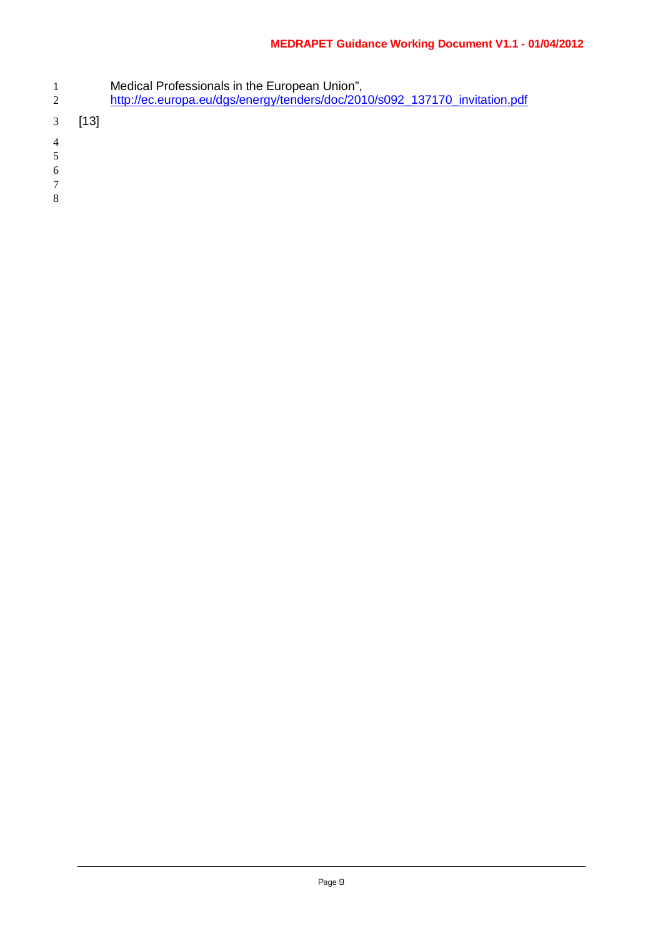- Medical Professionals in the European Union",
- [http://ec.europa.eu/dgs/energy/tenders/doc/2010/s092\\_137170\\_invitation.pdf](http://ec.europa.eu/dgs/energy/tenders/doc/2010/s092_137170_invitation.pdf)
- [13]
- 
- 
- 
-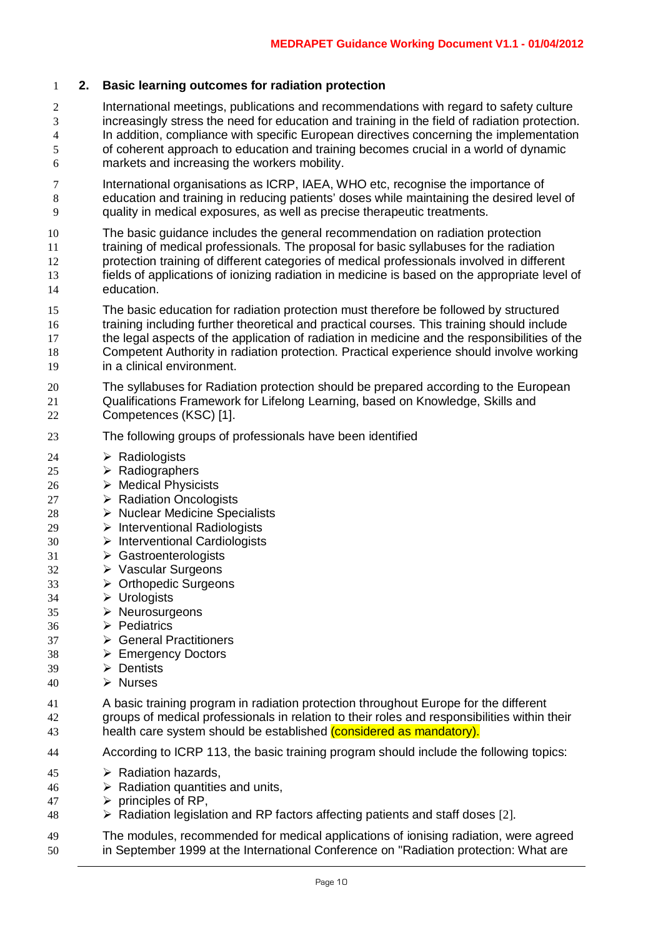#### **2. Basic learning outcomes for radiation protection**

- International meetings, publications and recommendations with regard to safety culture increasingly stress the need for education and training in the field of radiation protection. In addition, compliance with specific European directives concerning the implementation of coherent approach to education and training becomes crucial in a world of dynamic markets and increasing the workers mobility.
- International organisations as ICRP, IAEA, WHO etc, recognise the importance of education and training in reducing patients' doses while maintaining the desired level of quality in medical exposures, as well as precise therapeutic treatments.
- The basic guidance includes the general recommendation on radiation protection
- training of medical professionals. The proposal for basic syllabuses for the radiation protection training of different categories of medical professionals involved in different fields of applications of ionizing radiation in medicine is based on the appropriate level of education.
- The basic education for radiation protection must therefore be followed by structured training including further theoretical and practical courses. This training should include the legal aspects of the application of radiation in medicine and the responsibilities of the Competent Authority in radiation protection. Practical experience should involve working in a clinical environment.
- The syllabuses for Radiation protection should be prepared according to the European Qualifications Framework for Lifelong Learning, based on Knowledge, Skills and Competences (KSC) [1].
- The following groups of professionals have been identified
- 24  $\triangleright$  Radiologists
- 25  $\triangleright$  Radiographers
- 26  $\rightarrow$  Medical Physicists
- 27  $\rightarrow$  Radiation Oncologists
- 28 > Nuclear Medicine Specialists
- **Interventional Radiologists**
- Interventional Cardiologists
- Gastroenterologists
- Vascular Surgeons
- Orthopedic Surgeons
- Urologists
- Neurosurgeons
- $36 \rightarrow$  Pediatrics
- General Practitioners
- Emergency Doctors
- Dentists
- 40  $\triangleright$  Nurses
- A basic training program in radiation protection throughout Europe for the different groups of medical professionals in relation to their roles and responsibilities within their 43 health care system should be established (considered as mandatory).
- According to ICRP 113, the basic training program should include the following topics:
- 45  $\triangleright$  Radiation hazards.
- $46 \rightarrow$  Radiation quantities and units.
- $47 \rightarrow$  principles of RP.
- Radiation legislation and RP factors affecting patients and staff doses [2].
- The modules, recommended for medical applications of ionising radiation, were agreed in September 1999 at the International Conference on "Radiation protection: What are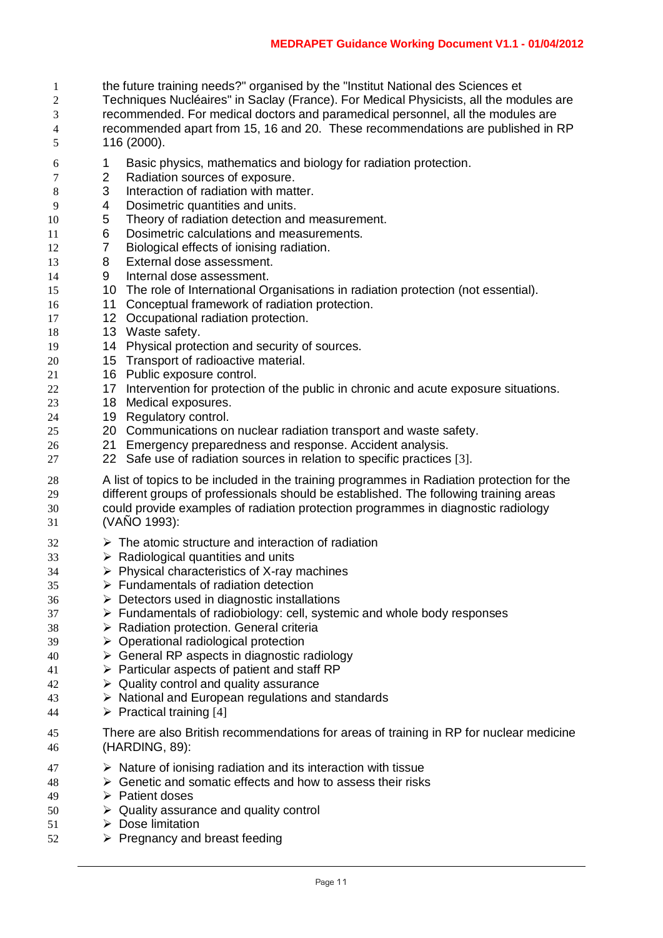- the future training needs?" organised by the "Institut National des Sciences et
- Techniques Nucléaires" in Saclay (France). For Medical Physicists, all the modules are recommended. For medical doctors and paramedical personnel, all the modules are recommended apart from 15, 16 and 20. These recommendations are published in RP 116 (2000).
- 6 1 Basic physics, mathematics and biology for radiation protection.<br>
2 Radiation sources of exposure.
- 2 Radiation sources of exposure.<br>3 Interaction of radiation with mat
- 8 3 Interaction of radiation with matter.<br>9 4 Dosimetric quantities and units.
- 4 Dosimetric quantities and units.
- 5 Theory of radiation detection and measurement.
- 6 Dosimetric calculations and measurements.
- 12 7 Biological effects of ionising radiation.
- 13 8 External dose assessment.<br>14 9 Internal dose assessment.
- 9 Internal dose assessment.
- 10 The role of International Organisations in radiation protection (not essential).
- 11 Conceptual framework of radiation protection.
- 12 Occupational radiation protection.
- 18 13 Waste safety.
- 14 Physical protection and security of sources.
- 15 Transport of radioactive material.
- 16 Public exposure control.
- 22 17 Intervention for protection of the public in chronic and acute exposure situations.
- 18 Medical exposures.
- 19 Regulatory control.
- 20 Communications on nuclear radiation transport and waste safety.
- 21 Emergency preparedness and response. Accident analysis.
- 22 Safe use of radiation sources in relation to specific practices [3].
- 28 A list of topics to be included in the training programmes in Radiation protection for the 29 different groups of professionals should be established. The following training areas<br>30 could provide examples of radiation protection programmes in diagnostic radiology could provide examples of radiation protection programmes in diagnostic radiology (VAÑO 1993):
- $32 \rightarrow$  The atomic structure and interaction of radiation
- $33 \rightarrow \mathbb{R}$  Radiological quantities and units
- Physical characteristics of X-ray machines
- Fundamentals of radiation detection
- Detectors used in diagnostic installations
- > Fundamentals of radiobiology: cell, systemic and whole body responses
- 38 > Radiation protection. General criteria
- Operational radiological protection
- General RP aspects in diagnostic radiology
- Particular aspects of patient and staff RP
- $\rightarrow$  Quality control and quality assurance
- National and European regulations and standards
- 44  $\triangleright$  Practical training [4]
- There are also British recommendations for areas of training in RP for nuclear medicine (HARDING, 89):
- Nature of ionising radiation and its interaction with tissue
- $48 \rightarrow$  Genetic and somatic effects and how to assess their risks
- Patient doses
- $50 \rightarrow$  Quality assurance and quality control
- $51 \rightarrow$  Dose limitation
- Pregnancy and breast feeding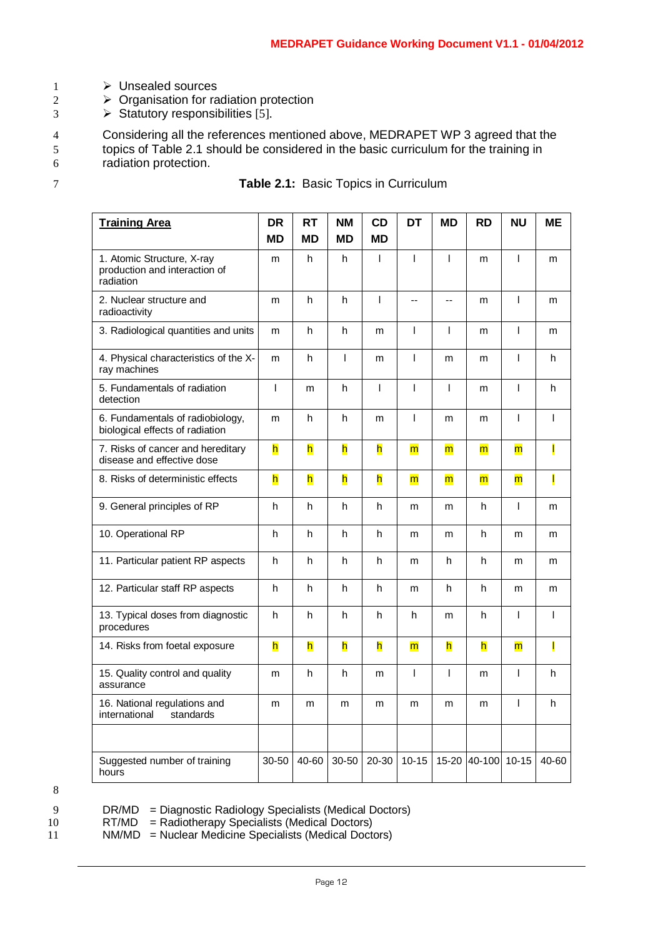- 1 > Unsealed sources
- $2 \rightarrow$  Organisation for radiation protection
- $3 \rightarrow$  Statutory responsibilities [5].

4 Considering all the references mentioned above, MEDRAPET WP 3 agreed that the<br>5 topics of Table 2.1 should be considered in the basic curriculum for the training in topics of Table 2.1 should be considered in the basic curriculum for the training in 6 radiation protection.

|  |  | <b>Table 2.1: Basic Topics in Curriculum</b> |
|--|--|----------------------------------------------|
|--|--|----------------------------------------------|

| <b>Training Area</b>                                                     | <b>DR</b><br><b>MD</b> | <b>RT</b><br>MD | <b>NM</b><br><b>MD</b> | CD<br><b>MD</b>         | <b>DT</b>      | <b>MD</b>      | <b>RD</b>      | <b>NU</b>               | <b>ME</b> |
|--------------------------------------------------------------------------|------------------------|-----------------|------------------------|-------------------------|----------------|----------------|----------------|-------------------------|-----------|
| 1. Atomic Structure, X-ray<br>production and interaction of<br>radiation | m                      | h               | h                      | $\mathbf{I}$            | I              | T              | m              | T                       | m         |
| 2. Nuclear structure and<br>radioactivity                                | m                      | h               | h                      | $\mathbf{I}$            | ۵۵             | ÷-             | m              | T                       | m         |
| 3. Radiological quantities and units                                     | m                      | h               | h                      | m                       | I              | T              | m              | $\overline{1}$          | m         |
| 4. Physical characteristics of the X-<br>ray machines                    | m                      | h               | T                      | m                       | I              | m              | m              | I                       | h         |
| 5. Fundamentals of radiation<br>detection                                | $\overline{1}$         | m               | h                      | $\overline{1}$          | I              | T              | m              | T                       | h         |
| 6. Fundamentals of radiobiology,<br>biological effects of radiation      | m                      | h               | h                      | m                       | I              | m              | m              | I                       | T         |
| 7. Risks of cancer and hereditary<br>disease and effective dose          | h                      | h               | h                      | h                       | $\overline{m}$ | $\overline{m}$ | m              | $\overline{\mathsf{m}}$ | I         |
| 8. Risks of deterministic effects                                        | h                      | h               | h                      | h                       | $\overline{m}$ | $\overline{m}$ | $\overline{m}$ | $\overline{\mathsf{m}}$ | I         |
| 9. General principles of RP                                              | h                      | h               | h                      | h                       | m              | m              | h              | $\overline{1}$          | m         |
| 10. Operational RP                                                       | h                      | h               | h                      | h                       | m              | m              | h              | m                       | m         |
| 11. Particular patient RP aspects                                        | h                      | h               | h                      | h                       | m              | h              | h              | m                       | m         |
| 12. Particular staff RP aspects                                          | h                      | h.              | h                      | h                       | m              | h              | h              | m                       | m         |
| 13. Typical doses from diagnostic<br>procedures                          | h                      | h               | h                      | h                       | h              | m              | h              | T                       | T         |
| 14. Risks from foetal exposure                                           | h                      | h               | h                      | $\overline{\mathsf{h}}$ | $\overline{m}$ | h              | h              | $\overline{\mathsf{m}}$ | Ī         |
| 15. Quality control and quality<br>assurance                             | m                      | h               | h                      | m                       | $\overline{1}$ | $\mathbf{I}$   | m              | I                       | h         |
| 16. National regulations and<br>international<br>standards               | m                      | m               | m                      | m                       | m              | m              | m              | $\overline{1}$          | h         |
|                                                                          |                        |                 |                        |                         |                |                |                |                         |           |
| Suggested number of training<br>hours                                    | 30-50                  | 40-60           | 30-50                  | 20-30                   | $10 - 15$      | 15-20          | 40-100         | $10 - 15$               | 40-60     |

8

9 DR/MD = Diagnostic Radiology Specialists (Medical Doctors)<br>10 RT/MD = Radiotherapy Specialists (Medical Doctors)

10 RT/MD = Radiotherapy Specialists (Medical Doctors)<br>11 MM/MD = Nuclear Medicine Specialists (Medical Doctors)

 $NM/MD$  = Nuclear Medicine Specialists (Medical Doctors)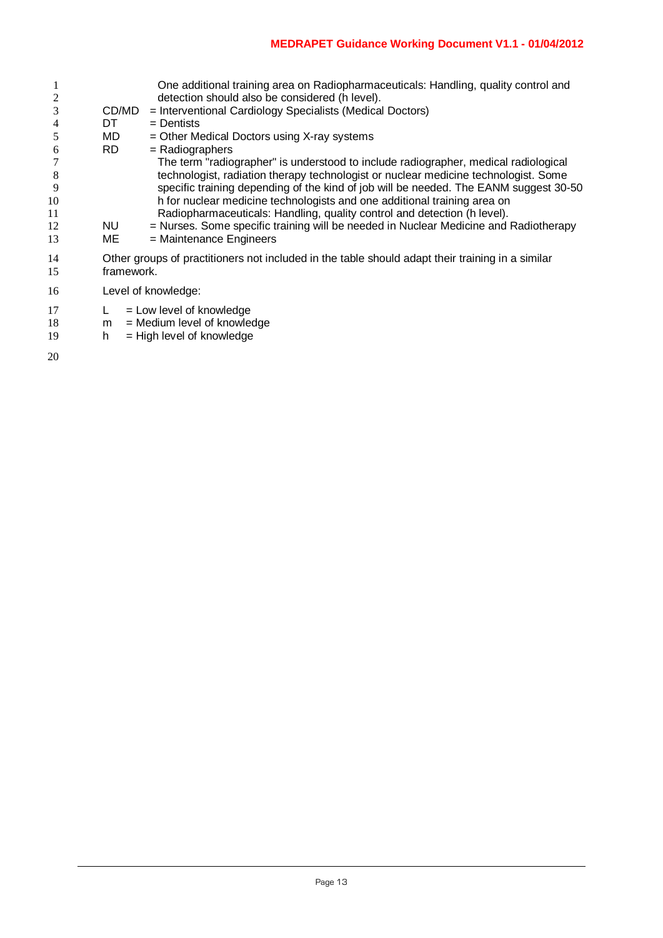|          |            | One additional training area on Radiopharmaceuticals: Handling, quality control and<br>detection should also be considered (h level). |
|----------|------------|---------------------------------------------------------------------------------------------------------------------------------------|
| 3        | CD/MD      | = Interventional Cardiology Specialists (Medical Doctors)                                                                             |
| 4        | DT         | $=$ Dentists                                                                                                                          |
|          | MD         | $=$ Other Medical Doctors using X-ray systems                                                                                         |
| 6        | RD.        | $=$ Radiographers                                                                                                                     |
|          |            | The term "radiographer" is understood to include radiographer, medical radiological                                                   |
| 8        |            | technologist, radiation therapy technologist or nuclear medicine technologist. Some                                                   |
| 9        |            | specific training depending of the kind of job will be needed. The EANM suggest 30-50                                                 |
| 10       |            | h for nuclear medicine technologists and one additional training area on                                                              |
| 11       |            | Radiopharmaceuticals: Handling, quality control and detection (h level).                                                              |
| 12       | <b>NU</b>  | = Nurses. Some specific training will be needed in Nuclear Medicine and Radiotherapy                                                  |
| 13       | ME         | = Maintenance Engineers                                                                                                               |
| 14<br>15 | framework. | Other groups of practitioners not included in the table should adapt their training in a similar                                      |
| 16       |            | Level of knowledge:                                                                                                                   |

- 
- 17 L = Low level of knowledge<br>18 m = Medium level of knowle m = Medium level of knowledge
- 19 h = High level of knowledge
-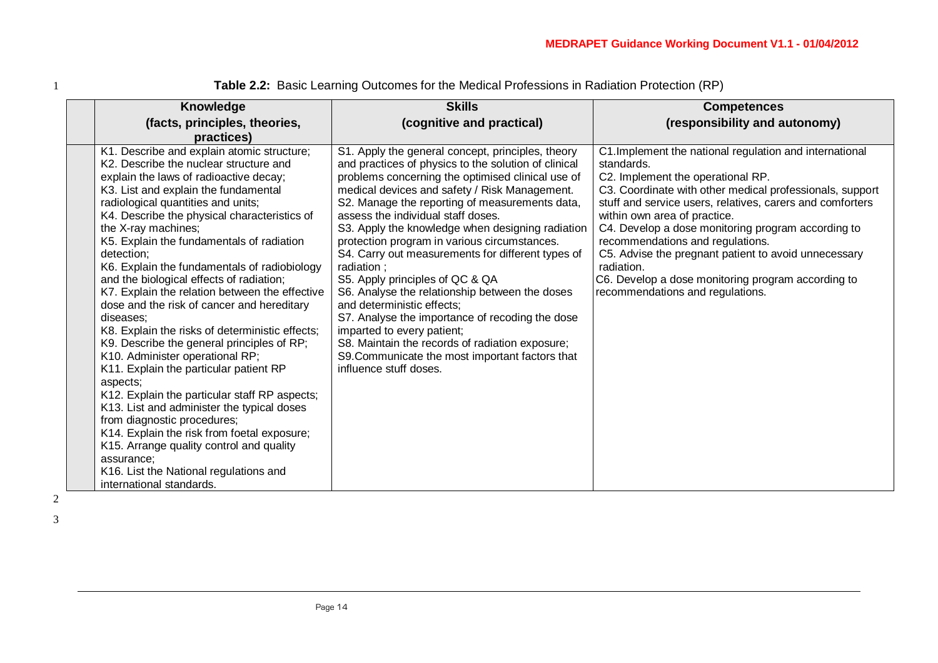| Knowledge                                                                                                                                                                                                                                                                                                                                                                                                                                                                                                                                                                                                                                                                                                                                                                                                                                                                                                                                                                                                                                                      | <b>Skills</b>                                                                                                                                                                                                                                                                                                                                                                                                                                                                                                                                                                                                                                                                                                                                                                                                      | <b>Competences</b>                                                                                                                                                                                                                                                                                                                                                                                                                                                                                                            |
|----------------------------------------------------------------------------------------------------------------------------------------------------------------------------------------------------------------------------------------------------------------------------------------------------------------------------------------------------------------------------------------------------------------------------------------------------------------------------------------------------------------------------------------------------------------------------------------------------------------------------------------------------------------------------------------------------------------------------------------------------------------------------------------------------------------------------------------------------------------------------------------------------------------------------------------------------------------------------------------------------------------------------------------------------------------|--------------------------------------------------------------------------------------------------------------------------------------------------------------------------------------------------------------------------------------------------------------------------------------------------------------------------------------------------------------------------------------------------------------------------------------------------------------------------------------------------------------------------------------------------------------------------------------------------------------------------------------------------------------------------------------------------------------------------------------------------------------------------------------------------------------------|-------------------------------------------------------------------------------------------------------------------------------------------------------------------------------------------------------------------------------------------------------------------------------------------------------------------------------------------------------------------------------------------------------------------------------------------------------------------------------------------------------------------------------|
| (facts, principles, theories,<br>practices)                                                                                                                                                                                                                                                                                                                                                                                                                                                                                                                                                                                                                                                                                                                                                                                                                                                                                                                                                                                                                    | (cognitive and practical)                                                                                                                                                                                                                                                                                                                                                                                                                                                                                                                                                                                                                                                                                                                                                                                          | (responsibility and autonomy)                                                                                                                                                                                                                                                                                                                                                                                                                                                                                                 |
| K1. Describe and explain atomic structure;<br>K2. Describe the nuclear structure and<br>explain the laws of radioactive decay;<br>K3. List and explain the fundamental<br>radiological quantities and units;<br>K4. Describe the physical characteristics of<br>the X-ray machines;<br>K5. Explain the fundamentals of radiation<br>detection;<br>K6. Explain the fundamentals of radiobiology<br>and the biological effects of radiation;<br>K7. Explain the relation between the effective<br>dose and the risk of cancer and hereditary<br>diseases;<br>K8. Explain the risks of deterministic effects;<br>K9. Describe the general principles of RP;<br>K10. Administer operational RP;<br>K11. Explain the particular patient RP<br>aspects;<br>K12. Explain the particular staff RP aspects;<br>K13. List and administer the typical doses<br>from diagnostic procedures;<br>K14. Explain the risk from foetal exposure;<br>K15. Arrange quality control and quality<br>assurance;<br>K16. List the National regulations and<br>international standards. | S1. Apply the general concept, principles, theory<br>and practices of physics to the solution of clinical<br>problems concerning the optimised clinical use of<br>medical devices and safety / Risk Management.<br>S2. Manage the reporting of measurements data,<br>assess the individual staff doses.<br>S3. Apply the knowledge when designing radiation<br>protection program in various circumstances.<br>S4. Carry out measurements for different types of<br>radiation;<br>S5. Apply principles of QC & QA<br>S6. Analyse the relationship between the doses<br>and deterministic effects;<br>S7. Analyse the importance of recoding the dose<br>imparted to every patient;<br>S8. Maintain the records of radiation exposure;<br>S9. Communicate the most important factors that<br>influence stuff doses. | C1. Implement the national regulation and international<br>standards.<br>C2. Implement the operational RP.<br>C3. Coordinate with other medical professionals, support<br>stuff and service users, relatives, carers and comforters<br>within own area of practice.<br>C4. Develop a dose monitoring program according to<br>recommendations and regulations.<br>C5. Advise the pregnant patient to avoid unnecessary<br>radiation.<br>C6. Develop a dose monitoring program according to<br>recommendations and regulations. |

1 **Table 2.2:** Basic Learning Outcomes for the Medical Professions in Radiation Protection (RP)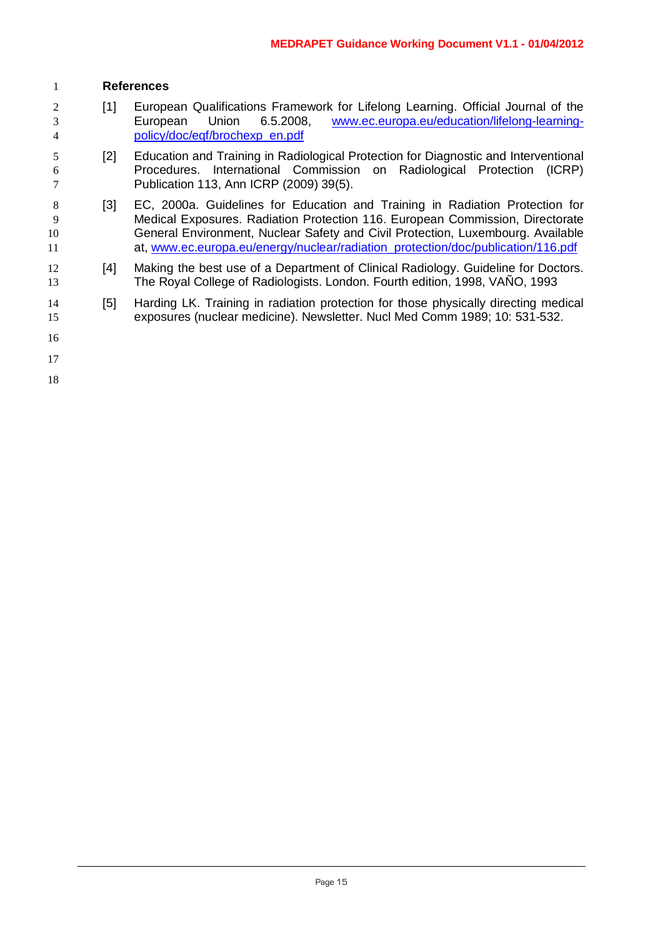## **References**

- [1] European Qualifications Framework for Lifelong Learning. Official Journal of the European Union 6.5.2008, [www.ec.europa.eu/education/lifelong-learning-](http://www.ec.europa.eu/education/lifelong-learning-policy/doc/eqf/brochexp_en.pdf)[policy/doc/eqf/brochexp\\_en.pdf](http://www.ec.europa.eu/education/lifelong-learning-policy/doc/eqf/brochexp_en.pdf)
- [2] Education and Training in Radiological Protection for Diagnostic and Interventional Procedures. International Commission on Radiological Protection (ICRP) Publication 113, Ann ICRP (2009) 39(5).
- 8 [3] EC, 2000a. Guidelines for Education and Training in Radiation Protection for Medical Exposures. Radiation Protection 116. European Commission, Directorate General Environment, Nuclear Safety and Civil Protection, Luxembourg. Available at, [www.ec.europa.eu/energy/nuclear/radiation\\_protection/doc/publication/116.pdf](http://www.ec.europa.eu/energy/nuclear/radiation_protection/doc/publication/116.pdf)
- 12 [4] Making the best use of a Department of Clinical Radiology. Guideline for Doctors. The Royal College of Radiologists. London. Fourth edition, 1998, VAÑO, 1993
- [5] Harding LK. Training in radiation protection for those physically directing medical exposures (nuclear medicine). Newsletter. Nucl Med Comm 1989; 10: 531-532.
- 
-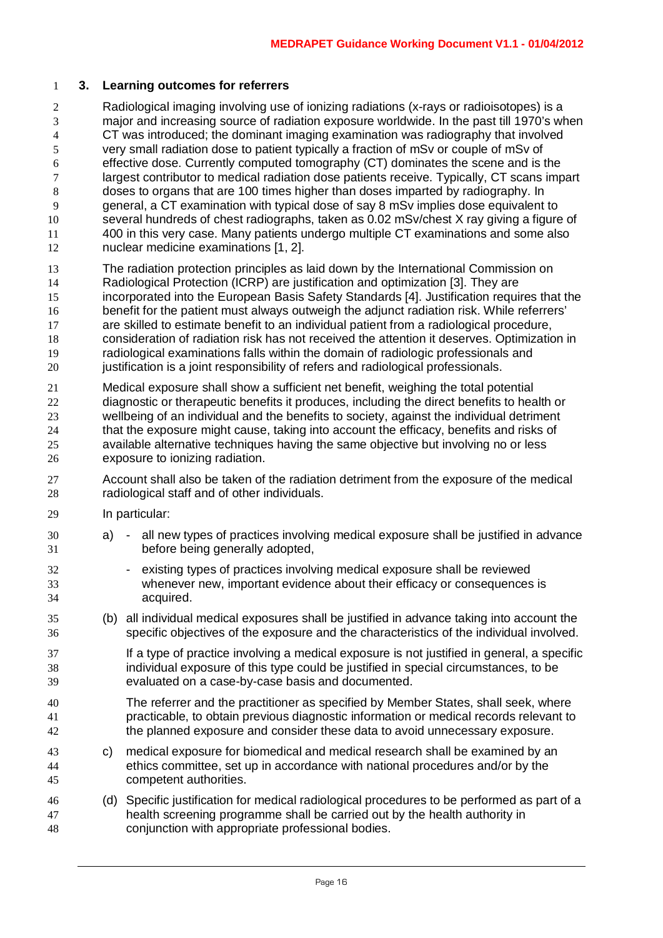#### **3. Learning outcomes for referrers**

 Radiological imaging involving use of ionizing radiations (x-rays or radioisotopes) is a major and increasing source of radiation exposure worldwide. In the past till 1970's when CT was introduced; the dominant imaging examination was radiography that involved very small radiation dose to patient typically a fraction of mSv or couple of mSv of 6 effective dose. Currently computed tomography (CT) dominates the scene and is the<br>
largest contributor to medical radiation dose patients receive. Typically, CT scans imp largest contributor to medical radiation dose patients receive. Typically, CT scans impart doses to organs that are 100 times higher than doses imparted by radiography. In general, a CT examination with typical dose of say 8 mSv implies dose equivalent to several hundreds of chest radiographs, taken as 0.02 mSv/chest X ray giving a figure of 400 in this very case. Many patients undergo multiple CT examinations and some also nuclear medicine examinations [1, 2].

- The radiation protection principles as laid down by the International Commission on Radiological Protection (ICRP) are justification and optimization [3]. They are incorporated into the European Basis Safety Standards [4]. Justification requires that the benefit for the patient must always outweigh the adjunct radiation risk. While referrers' are skilled to estimate benefit to an individual patient from a radiological procedure, consideration of radiation risk has not received the attention it deserves. Optimization in radiological examinations falls within the domain of radiologic professionals and justification is a joint responsibility of refers and radiological professionals.
- Medical exposure shall show a sufficient net benefit, weighing the total potential diagnostic or therapeutic benefits it produces, including the direct benefits to health or wellbeing of an individual and the benefits to society, against the individual detriment 24 that the exposure might cause, taking into account the efficacy, benefits and risks of available alternative techniques having the same objective but involving no or less exposure to ionizing radiation.
- Account shall also be taken of the radiation detriment from the exposure of the medical radiological staff and of other individuals.
- In particular:
- a) all new types of practices involving medical exposure shall be justified in advance before being generally adopted,
- existing types of practices involving medical exposure shall be reviewed whenever new, important evidence about their efficacy or consequences is acquired.
- (b) all individual medical exposures shall be justified in advance taking into account the specific objectives of the exposure and the characteristics of the individual involved.
- If a type of practice involving a medical exposure is not justified in general, a specific individual exposure of this type could be justified in special circumstances, to be evaluated on a case-by-case basis and documented.
- The referrer and the practitioner as specified by Member States, shall seek, where practicable, to obtain previous diagnostic information or medical records relevant to the planned exposure and consider these data to avoid unnecessary exposure.
- c) medical exposure for biomedical and medical research shall be examined by an ethics committee, set up in accordance with national procedures and/or by the competent authorities.
- (d) Specific justification for medical radiological procedures to be performed as part of a health screening programme shall be carried out by the health authority in conjunction with appropriate professional bodies.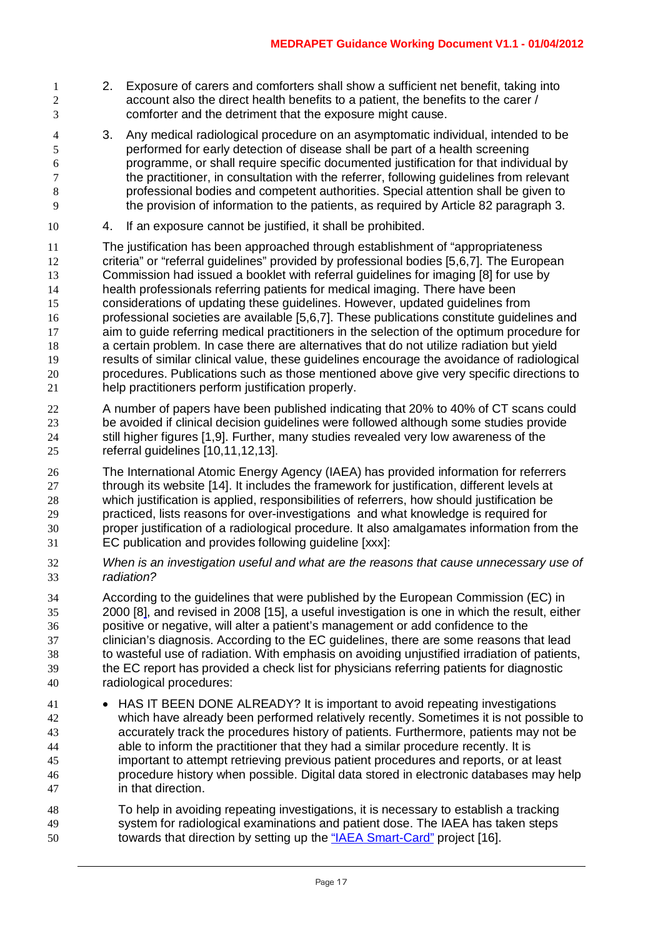- 2. Exposure of carers and comforters shall show a sufficient net benefit, taking into account also the direct health benefits to a patient, the benefits to the carer / comforter and the detriment that the exposure might cause.
- 3. Any medical radiological procedure on an asymptomatic individual, intended to be performed for early detection of disease shall be part of a health screening programme, or shall require specific documented justification for that individual by the practitioner, in consultation with the referrer, following guidelines from relevant professional bodies and competent authorities. Special attention shall be given to the provision of information to the patients, as required by Article 82 paragraph 3.
- 4. If an exposure cannot be justified, it shall be prohibited.
- The justification has been approached through establishment of "appropriateness criteria" or "referral guidelines" provided by professional bodies [5,6,7]. The European 13 Commission had issued a booklet with referral guidelines for imaging [8] for use by<br>14 health professionals referring patients for medical imaging. There have been health professionals referring patients for medical imaging. There have been considerations of updating these guidelines. However, updated guidelines from professional societies are available [5,6,7]. These publications constitute guidelines and aim to guide referring medical practitioners in the selection of the optimum procedure for a certain problem. In case there are alternatives that do not utilize radiation but yield results of similar clinical value, these guidelines encourage the avoidance of radiological procedures. Publications such as those mentioned above give very specific directions to help practitioners perform justification properly.
- A number of papers have been published indicating that 20% to 40% of CT scans could be avoided if clinical decision guidelines were followed although some studies provide still higher figures [1,9]. Further, many studies revealed very low awareness of the referral guidelines [10,11,12,13].
- The International Atomic Energy Agency (IAEA) has provided information for referrers through its website [14]. It includes the framework for justification, different levels at which justification is applied, responsibilities of referrers, how should justification be practiced, lists reasons for over-investigations and what knowledge is required for proper justification of a radiological procedure. It also amalgamates information from the EC publication and provides following guideline [xxx]:
- *When is an investigation useful and what are the reasons that cause unnecessary use of radiation?*
- According to the guidelines that were published by the European Commission (EC) in 2000 [8], and revised in 2008 [15], a useful investigation is one in which the result, either positive or negative, will alter a patient's management or add confidence to the clinician's diagnosis. According to the EC guidelines, there are some reasons that lead to wasteful use of radiation. With emphasis on avoiding unjustified irradiation of patients, the EC report has provided a check list for physicians referring patients for diagnostic radiological procedures:
- 41 HAS IT BEEN DONE ALREADY? It is important to avoid repeating investigations which have already been performed relatively recently. Sometimes it is not possible to accurately track the procedures history of patients. Furthermore, patients may not be able to inform the practitioner that they had a similar procedure recently. It is important to attempt retrieving previous patient procedures and reports, or at least procedure history when possible. Digital data stored in electronic databases may help in that direction.
- To help in avoiding repeating investigations, it is necessary to establish a tracking system for radiological examinations and patient dose. The IAEA has taken steps towards that direction by setting up the ["IAEA Smart-Card"](http://rpop.iaea.org/RPOP/RPoP/Content/News/smart-card-project.htm) project [16].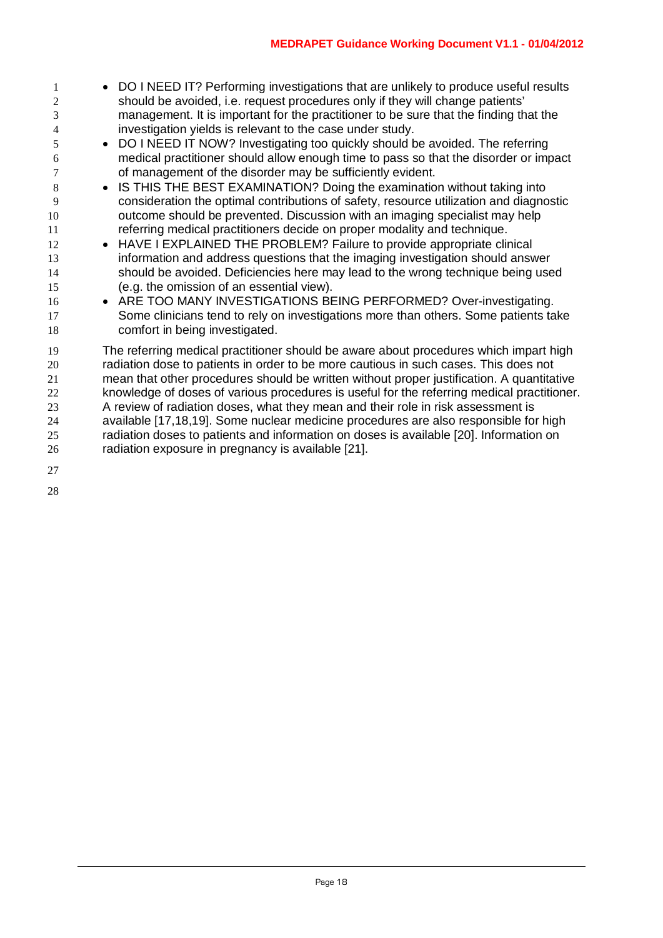- 1 DO I NEED IT? Performing investigations that are unlikely to produce useful results should be avoided, i.e. request procedures only if they will change patients' management. It is important for the practitioner to be sure that the finding that the investigation yields is relevant to the case under study.
- DO I NEED IT NOW? Investigating too quickly should be avoided. The referring medical practitioner should allow enough time to pass so that the disorder or impact of management of the disorder may be sufficiently evident.
- IS THIS THE BEST EXAMINATION? Doing the examination without taking into consideration the optimal contributions of safety, resource utilization and diagnostic outcome should be prevented. Discussion with an imaging specialist may help referring medical practitioners decide on proper modality and technique.
- HAVE I EXPLAINED THE PROBLEM? Failure to provide appropriate clinical information and address questions that the imaging investigation should answer should be avoided. Deficiencies here may lead to the wrong technique being used (e.g. the omission of an essential view).
- 16 ARE TOO MANY INVESTIGATIONS BEING PERFORMED? Over-investigating. Some clinicians tend to rely on investigations more than others. Some patients take comfort in being investigated.
- The referring medical practitioner should be aware about procedures which impart high radiation dose to patients in order to be more cautious in such cases. This does not mean that other procedures should be written without proper justification. A quantitative knowledge of doses of various procedures is useful for the referring medical practitioner. A review of radiation doses, what they mean and their role in risk assessment is available [17,18,19]. Some nuclear medicine procedures are also responsible for high radiation doses to patients and information on doses is available [20]. Information on radiation exposure in pregnancy is available [21].
-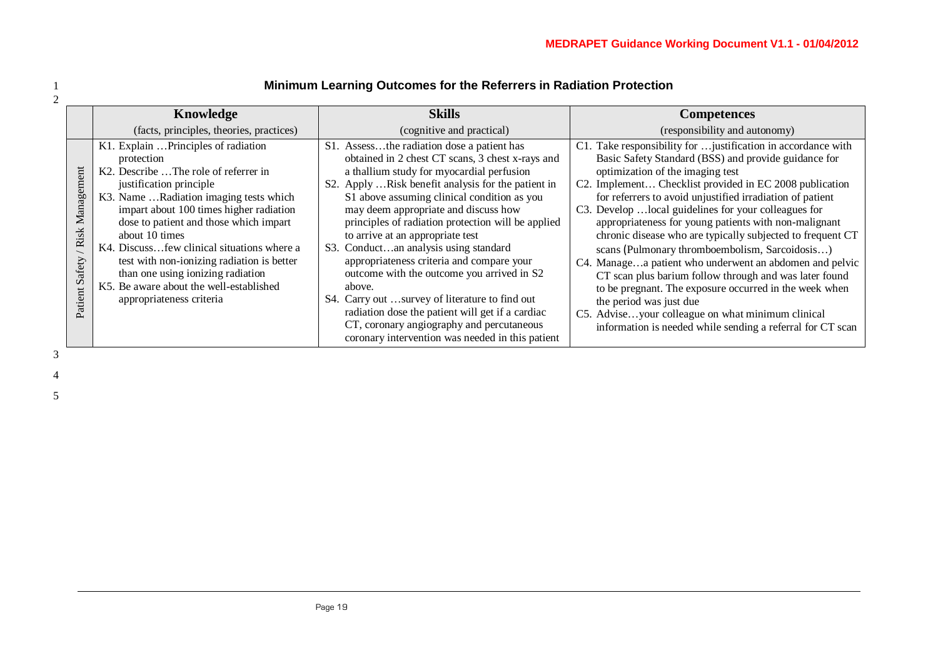|                                             | Knowledge                                                                                                                                                                                                                                                                                                                                                                                                                                                                      | <b>Skills</b>                                                                                                                                                                                                                                                                                                                                                                                                                                                                                                                                                                                                                                                                                                                           | <b>Competences</b>                                                                                                                                                                                                                                                                                                                                                                                                                                                                                                                                                                                                                                                                                                                                                                                                                               |
|---------------------------------------------|--------------------------------------------------------------------------------------------------------------------------------------------------------------------------------------------------------------------------------------------------------------------------------------------------------------------------------------------------------------------------------------------------------------------------------------------------------------------------------|-----------------------------------------------------------------------------------------------------------------------------------------------------------------------------------------------------------------------------------------------------------------------------------------------------------------------------------------------------------------------------------------------------------------------------------------------------------------------------------------------------------------------------------------------------------------------------------------------------------------------------------------------------------------------------------------------------------------------------------------|--------------------------------------------------------------------------------------------------------------------------------------------------------------------------------------------------------------------------------------------------------------------------------------------------------------------------------------------------------------------------------------------------------------------------------------------------------------------------------------------------------------------------------------------------------------------------------------------------------------------------------------------------------------------------------------------------------------------------------------------------------------------------------------------------------------------------------------------------|
|                                             | (facts, principles, theories, practices)                                                                                                                                                                                                                                                                                                                                                                                                                                       | (cognitive and practical)                                                                                                                                                                                                                                                                                                                                                                                                                                                                                                                                                                                                                                                                                                               | (responsibility and autonomy)                                                                                                                                                                                                                                                                                                                                                                                                                                                                                                                                                                                                                                                                                                                                                                                                                    |
| ment<br>Manager<br>/ Risk<br>Patient Safety | K1. Explain  Principles of radiation<br>protection<br>K2. Describe The role of referrer in<br>justification principle<br>K3. Name Radiation imaging tests which<br>impart about 100 times higher radiation<br>dose to patient and those which impart<br>about 10 times<br>K4. Discussfew clinical situations where a<br>test with non-ionizing radiation is better<br>than one using ionizing radiation<br>K5. Be aware about the well-established<br>appropriateness criteria | S1. Assessthe radiation dose a patient has<br>obtained in 2 chest CT scans, 3 chest x-rays and<br>a thallium study for myocardial perfusion<br>S2. Apply Risk benefit analysis for the patient in<br>S1 above assuming clinical condition as you<br>may deem appropriate and discuss how<br>principles of radiation protection will be applied<br>to arrive at an appropriate test<br>S3. Conductan analysis using standard<br>appropriateness criteria and compare your<br>outcome with the outcome you arrived in S2<br>above.<br>S4. Carry out survey of literature to find out<br>radiation dose the patient will get if a cardiac<br>CT, coronary angiography and percutaneous<br>coronary intervention was needed in this patient | C1. Take responsibility for  justification in accordance with<br>Basic Safety Standard (BSS) and provide guidance for<br>optimization of the imaging test<br>C2. Implement Checklist provided in EC 2008 publication<br>for referrers to avoid unjustified irradiation of patient<br>C3. Develop  local guidelines for your colleagues for<br>appropriateness for young patients with non-malignant<br>chronic disease who are typically subjected to frequent CT<br>scans (Pulmonary thromboembolism, Sarcoidosis)<br>C4. Managea patient who underwent an abdomen and pelvic<br>CT scan plus barium follow through and was later found<br>to be pregnant. The exposure occurred in the week when<br>the period was just due<br>C5. Adviseyour colleague on what minimum clinical<br>information is needed while sending a referral for CT scan |

# 1 **Minimum Learning Outcomes for the Referrers in Radiation Protection**

3 4

2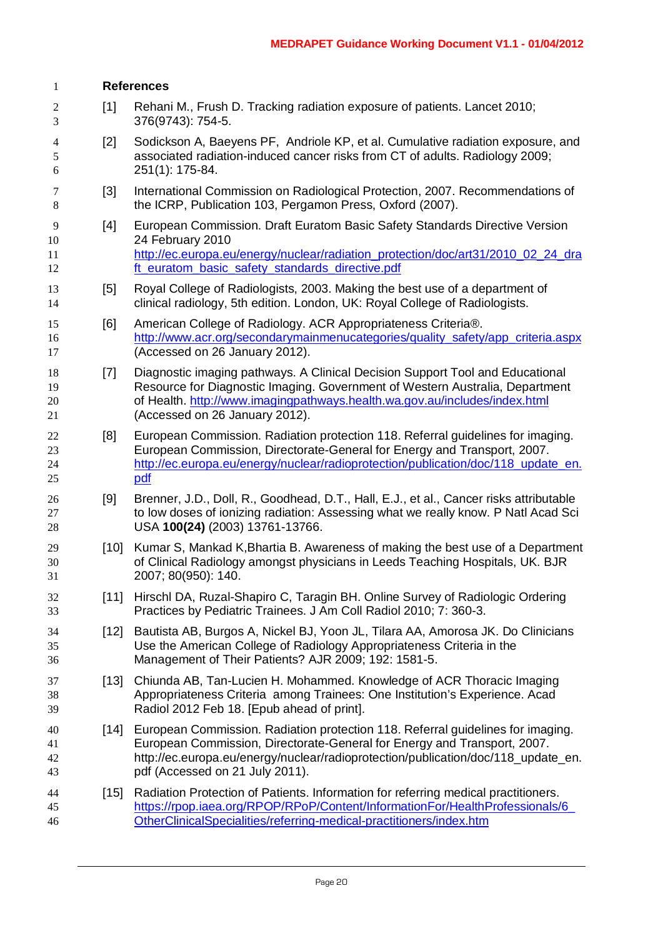| 1                        |        | <b>References</b>                                                                                                                                                                                                                                                                   |  |  |  |
|--------------------------|--------|-------------------------------------------------------------------------------------------------------------------------------------------------------------------------------------------------------------------------------------------------------------------------------------|--|--|--|
| $\sqrt{2}$<br>3          | $[1]$  | Rehani M., Frush D. Tracking radiation exposure of patients. Lancet 2010;<br>376(9743): 754-5.                                                                                                                                                                                      |  |  |  |
| $\overline{4}$<br>5<br>6 | $[2]$  | Sodickson A, Baeyens PF, Andriole KP, et al. Cumulative radiation exposure, and<br>associated radiation-induced cancer risks from CT of adults. Radiology 2009;<br>251(1): 175-84.                                                                                                  |  |  |  |
| $\tau$<br>$\,8\,$        | $[3]$  | International Commission on Radiological Protection, 2007. Recommendations of<br>the ICRP, Publication 103, Pergamon Press, Oxford (2007).                                                                                                                                          |  |  |  |
| 9<br>10<br>11<br>12      | $[4]$  | European Commission. Draft Euratom Basic Safety Standards Directive Version<br>24 February 2010<br>http://ec.europa.eu/energy/nuclear/radiation_protection/doc/art31/2010_02_24_dra<br>ft_euratom_basic_safety_standards_directive.pdf                                              |  |  |  |
| 13<br>14                 | [5]    | Royal College of Radiologists, 2003. Making the best use of a department of<br>clinical radiology, 5th edition. London, UK: Royal College of Radiologists.                                                                                                                          |  |  |  |
| 15<br>16<br>17           | [6]    | American College of Radiology. ACR Appropriateness Criteria®.<br>http://www.acr.org/secondarymainmenucategories/quality_safety/app_criteria.aspx<br>(Accessed on 26 January 2012).                                                                                                  |  |  |  |
| 18<br>19<br>20<br>21     | $[7]$  | Diagnostic imaging pathways. A Clinical Decision Support Tool and Educational<br>Resource for Diagnostic Imaging. Government of Western Australia, Department<br>of Health. http://www.imagingpathways.health.wa.gov.au/includes/index.html<br>(Accessed on 26 January 2012).       |  |  |  |
| 22<br>23<br>24<br>25     | [8]    | European Commission. Radiation protection 118. Referral guidelines for imaging.<br>European Commission, Directorate-General for Energy and Transport, 2007.<br>http://ec.europa.eu/energy/nuclear/radioprotection/publication/doc/118_update_en.<br>pdf                             |  |  |  |
| 26<br>27<br>28           | [9]    | Brenner, J.D., Doll, R., Goodhead, D.T., Hall, E.J., et al., Cancer risks attributable<br>to low doses of ionizing radiation: Assessing what we really know. P Natl Acad Sci<br>USA 100(24) (2003) 13761-13766.                                                                     |  |  |  |
| 29<br>30<br>31           | $[10]$ | Kumar S, Mankad K, Bhartia B. Awareness of making the best use of a Department<br>of Clinical Radiology amongst physicians in Leeds Teaching Hospitals, UK. BJR<br>2007; 80(950): 140.                                                                                              |  |  |  |
| 32<br>33                 | $[11]$ | Hirschl DA, Ruzal-Shapiro C, Taragin BH. Online Survey of Radiologic Ordering<br>Practices by Pediatric Trainees. J Am Coll Radiol 2010; 7: 360-3.                                                                                                                                  |  |  |  |
| 34<br>35<br>36           | $[12]$ | Bautista AB, Burgos A, Nickel BJ, Yoon JL, Tilara AA, Amorosa JK. Do Clinicians<br>Use the American College of Radiology Appropriateness Criteria in the<br>Management of Their Patients? AJR 2009; 192: 1581-5.                                                                    |  |  |  |
| 37<br>38<br>39           | $[13]$ | Chiunda AB, Tan-Lucien H. Mohammed. Knowledge of ACR Thoracic Imaging<br>Appropriateness Criteria among Trainees: One Institution's Experience. Acad<br>Radiol 2012 Feb 18. [Epub ahead of print].                                                                                  |  |  |  |
| 40<br>41<br>42<br>43     | $[14]$ | European Commission. Radiation protection 118. Referral guidelines for imaging.<br>European Commission, Directorate-General for Energy and Transport, 2007.<br>http://ec.europa.eu/energy/nuclear/radioprotection/publication/doc/118_update_en.<br>pdf (Accessed on 21 July 2011). |  |  |  |
| 44<br>45<br>46           | $[15]$ | Radiation Protection of Patients. Information for referring medical practitioners.<br>https://rpop.iaea.org/RPOP/RPoP/Content/InformationFor/HealthProfessionals/6<br>OtherClinicalSpecialities/referring-medical-practitioners/index.htm                                           |  |  |  |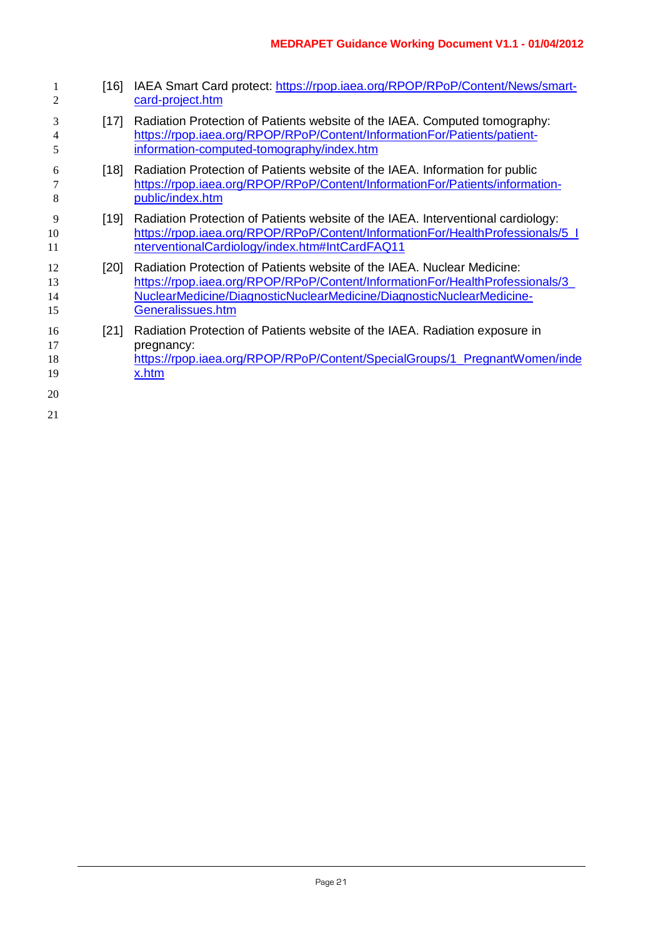- 1 [16] IAEA Smart Card protect: [https://rpop.iaea.org/RPOP/RPoP/Content/News/smart-](https://rpop.iaea.org/RPOP/RPoP/Content/News/smart-card-project.htm) [card-project.htm](https://rpop.iaea.org/RPOP/RPoP/Content/News/smart-card-project.htm) [17] Radiation Protection of Patients website of the IAEA. Computed tomography: [https://rpop.iaea.org/RPOP/RPoP/Content/InformationFor/Patients/patient-](https://rpop.iaea.org/RPOP/RPoP/Content/InformationFor/Patients/patient-information-computed-tomography/index.htm) [information-computed-tomography/index.htm](https://rpop.iaea.org/RPOP/RPoP/Content/InformationFor/Patients/patient-information-computed-tomography/index.htm) [18] Radiation Protection of Patients website of the IAEA. Information for public [https://rpop.iaea.org/RPOP/RPoP/Content/InformationFor/Patients/information-](https://rpop.iaea.org/RPOP/RPoP/Content/InformationFor/Patients/information-public/index.htm) [public/index.htm](https://rpop.iaea.org/RPOP/RPoP/Content/InformationFor/Patients/information-public/index.htm) [19] Radiation Protection of Patients website of the IAEA. Interventional cardiology: [https://rpop.iaea.org/RPOP/RPoP/Content/InformationFor/HealthProfessionals/5\\_I](https://rpop.iaea.org/RPOP/RPoP/Content/InformationFor/HealthProfessionals/5_InterventionalCardiology/index.htm#IntCardFAQ11) [nterventionalCardiology/index.htm#IntCardFAQ11](https://rpop.iaea.org/RPOP/RPoP/Content/InformationFor/HealthProfessionals/5_InterventionalCardiology/index.htm#IntCardFAQ11) [20] Radiation Protection of Patients website of the IAEA. Nuclear Medicine: [https://rpop.iaea.org/RPOP/RPoP/Content/InformationFor/HealthProfessionals/3\\_](https://rpop.iaea.org/RPOP/RPoP/Content/InformationFor/HealthProfessionals/3_NuclearMedicine/DiagnosticNuclearMedicine/DiagnosticNuclearMedicine-Generalissues.htm) [NuclearMedicine/DiagnosticNuclearMedicine/DiagnosticNuclearMedicine-](https://rpop.iaea.org/RPOP/RPoP/Content/InformationFor/HealthProfessionals/3_NuclearMedicine/DiagnosticNuclearMedicine/DiagnosticNuclearMedicine-Generalissues.htm) [Generalissues.htm](https://rpop.iaea.org/RPOP/RPoP/Content/InformationFor/HealthProfessionals/3_NuclearMedicine/DiagnosticNuclearMedicine/DiagnosticNuclearMedicine-Generalissues.htm) [21] Radiation Protection of Patients website of the IAEA. Radiation exposure in **pregnancy:**  [https://rpop.iaea.org/RPOP/RPoP/Content/SpecialGroups/1\\_PregnantWomen/inde](https://rpop.iaea.org/RPOP/RPoP/Content/SpecialGroups/1_PregnantWomen/index.htm) [x.htm](https://rpop.iaea.org/RPOP/RPoP/Content/SpecialGroups/1_PregnantWomen/index.htm)
-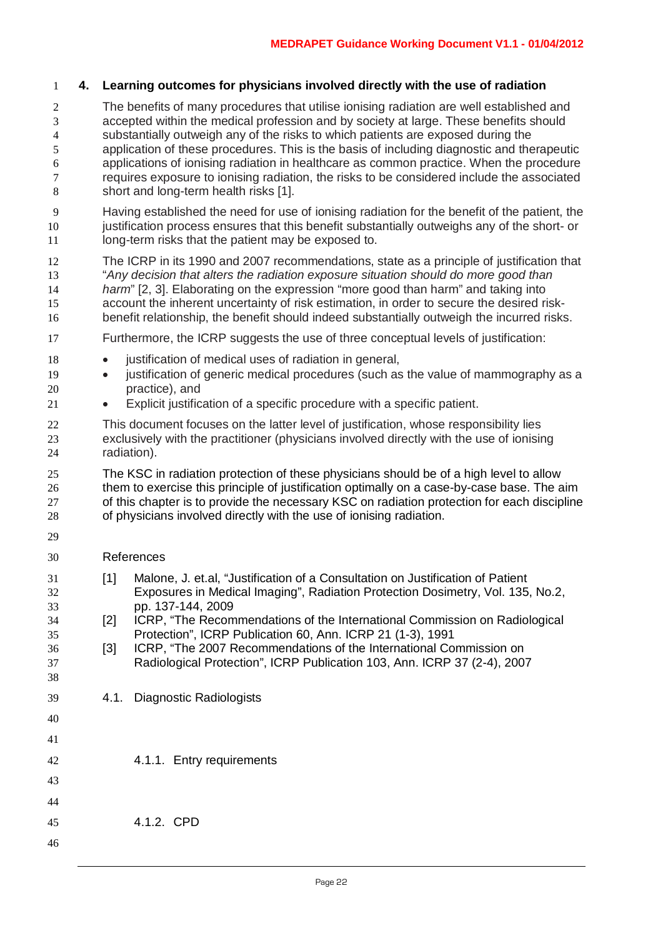#### **4. Learning outcomes for physicians involved directly with the use of radiation**

- The benefits of many procedures that utilise ionising radiation are well established and accepted within the medical profession and by society at large. These benefits should substantially outweigh any of the risks to which patients are exposed during the application of these procedures. This is the basis of including diagnostic and therapeutic 6 applications of ionising radiation in healthcare as common practice. When the procedure<br>
requires exposure to ionising radiation, the risks to be considered include the associated requires exposure to ionising radiation, the risks to be considered include the associated short and long-term health risks [1].
- Having established the need for use of ionising radiation for the benefit of the patient, the 10 justification process ensures that this benefit substantially outweighs any of the short- or 11 long-term risks that the patient may be exposed to.
- The ICRP in its 1990 and 2007 recommendations, state as a principle of justification that "*Any decision that alters the radiation exposure situation should do more good than harm*" [2, 3]. Elaborating on the expression "more good than harm" and taking into account the inherent uncertainty of risk estimation, in order to secure the desired risk-benefit relationship, the benefit should indeed substantially outweigh the incurred risks.
- Furthermore, the ICRP suggests the use of three conceptual levels of justification:
- justification of medical uses of radiation in general,
- justification of generic medical procedures (such as the value of mammography as a practice), and
- Explicit justification of a specific procedure with a specific patient.
- This document focuses on the latter level of justification, whose responsibility lies exclusively with the practitioner (physicians involved directly with the use of ionising radiation).
- The KSC in radiation protection of these physicians should be of a high level to allow 26 them to exercise this principle of justification optimally on a case-by-case base. The aim of this chapter is to provide the necessary KSC on radiation protection for each discipline of physicians involved directly with the use of ionising radiation.
- 

#### References

- [1] Malone, J. et.al, "Justification of a Consultation on Justification of Patient Exposures in Medical Imaging", Radiation Protection Dosimetry, Vol. 135, No.2, pp. 137-144, 2009
- [2] ICRP, "The Recommendations of the International Commission on Radiological Protection", ICRP Publication 60, Ann. ICRP 21 (1-3), 1991
- [3] ICRP, "The 2007 Recommendations of the International Commission on Radiological Protection", ICRP Publication 103, Ann. ICRP 37 (2-4), 2007
- 4.1. Diagnostic Radiologists
- 4.1.1. Entry requirements
- 
- 4.1.2. CPD
-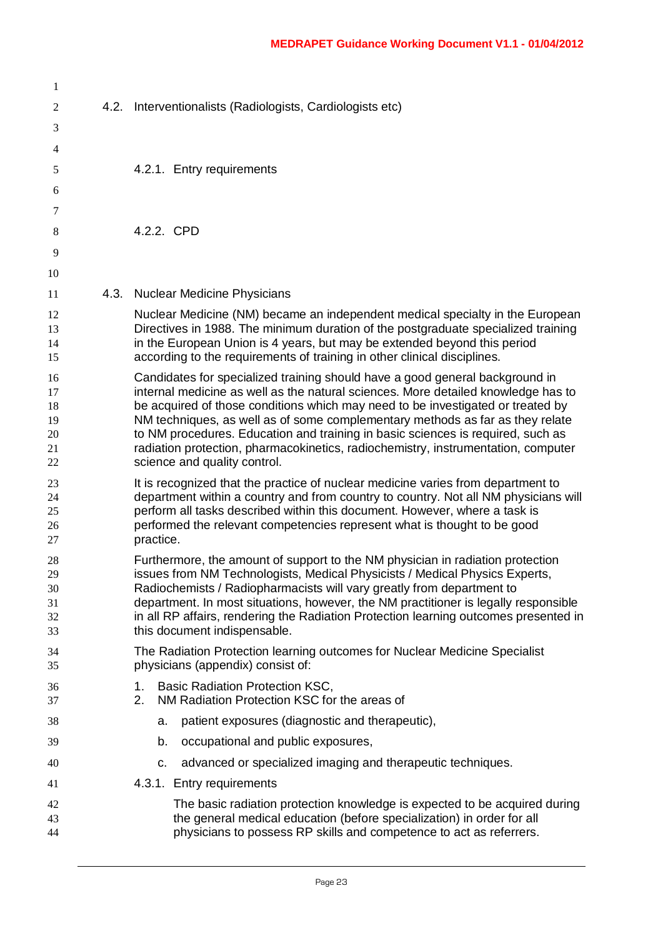| 1                                      |      |                                                                                                                                                                                                                                                                                                                                                                                                                                                                                                                                               |
|----------------------------------------|------|-----------------------------------------------------------------------------------------------------------------------------------------------------------------------------------------------------------------------------------------------------------------------------------------------------------------------------------------------------------------------------------------------------------------------------------------------------------------------------------------------------------------------------------------------|
| $\mathfrak{2}$                         | 4.2. | Interventionalists (Radiologists, Cardiologists etc)                                                                                                                                                                                                                                                                                                                                                                                                                                                                                          |
| 3                                      |      |                                                                                                                                                                                                                                                                                                                                                                                                                                                                                                                                               |
| 4                                      |      |                                                                                                                                                                                                                                                                                                                                                                                                                                                                                                                                               |
| 5                                      |      | 4.2.1. Entry requirements                                                                                                                                                                                                                                                                                                                                                                                                                                                                                                                     |
| 6                                      |      |                                                                                                                                                                                                                                                                                                                                                                                                                                                                                                                                               |
| 7                                      |      |                                                                                                                                                                                                                                                                                                                                                                                                                                                                                                                                               |
| 8                                      |      | 4.2.2. CPD                                                                                                                                                                                                                                                                                                                                                                                                                                                                                                                                    |
| 9                                      |      |                                                                                                                                                                                                                                                                                                                                                                                                                                                                                                                                               |
| 10                                     |      |                                                                                                                                                                                                                                                                                                                                                                                                                                                                                                                                               |
| 11                                     |      | 4.3. Nuclear Medicine Physicians                                                                                                                                                                                                                                                                                                                                                                                                                                                                                                              |
| 12<br>13<br>14<br>15                   |      | Nuclear Medicine (NM) became an independent medical specialty in the European<br>Directives in 1988. The minimum duration of the postgraduate specialized training<br>in the European Union is 4 years, but may be extended beyond this period<br>according to the requirements of training in other clinical disciplines.                                                                                                                                                                                                                    |
| 16<br>17<br>18<br>19<br>20<br>21<br>22 |      | Candidates for specialized training should have a good general background in<br>internal medicine as well as the natural sciences. More detailed knowledge has to<br>be acquired of those conditions which may need to be investigated or treated by<br>NM techniques, as well as of some complementary methods as far as they relate<br>to NM procedures. Education and training in basic sciences is required, such as<br>radiation protection, pharmacokinetics, radiochemistry, instrumentation, computer<br>science and quality control. |
| 23<br>24<br>25<br>26<br>27             |      | It is recognized that the practice of nuclear medicine varies from department to<br>department within a country and from country to country. Not all NM physicians will<br>perform all tasks described within this document. However, where a task is<br>performed the relevant competencies represent what is thought to be good<br>practice.                                                                                                                                                                                                |
| 28<br>29<br>30<br>31<br>32<br>33       |      | Furthermore, the amount of support to the NM physician in radiation protection<br>issues from NM Technologists, Medical Physicists / Medical Physics Experts,<br>Radiochemists / Radiopharmacists will vary greatly from department to<br>department. In most situations, however, the NM practitioner is legally responsible<br>in all RP affairs, rendering the Radiation Protection learning outcomes presented in<br>this document indispensable.                                                                                         |
| 34<br>35                               |      | The Radiation Protection learning outcomes for Nuclear Medicine Specialist<br>physicians (appendix) consist of:                                                                                                                                                                                                                                                                                                                                                                                                                               |
| 36<br>37                               |      | <b>Basic Radiation Protection KSC,</b><br>1.<br>NM Radiation Protection KSC for the areas of<br>2.                                                                                                                                                                                                                                                                                                                                                                                                                                            |
| 38                                     |      | patient exposures (diagnostic and therapeutic),<br>a.                                                                                                                                                                                                                                                                                                                                                                                                                                                                                         |
| 39                                     |      | occupational and public exposures,<br>b.                                                                                                                                                                                                                                                                                                                                                                                                                                                                                                      |
| 40                                     |      | advanced or specialized imaging and therapeutic techniques.<br>c.                                                                                                                                                                                                                                                                                                                                                                                                                                                                             |
| 41                                     |      | 4.3.1. Entry requirements                                                                                                                                                                                                                                                                                                                                                                                                                                                                                                                     |
| 42<br>43<br>44                         |      | The basic radiation protection knowledge is expected to be acquired during<br>the general medical education (before specialization) in order for all<br>physicians to possess RP skills and competence to act as referrers.                                                                                                                                                                                                                                                                                                                   |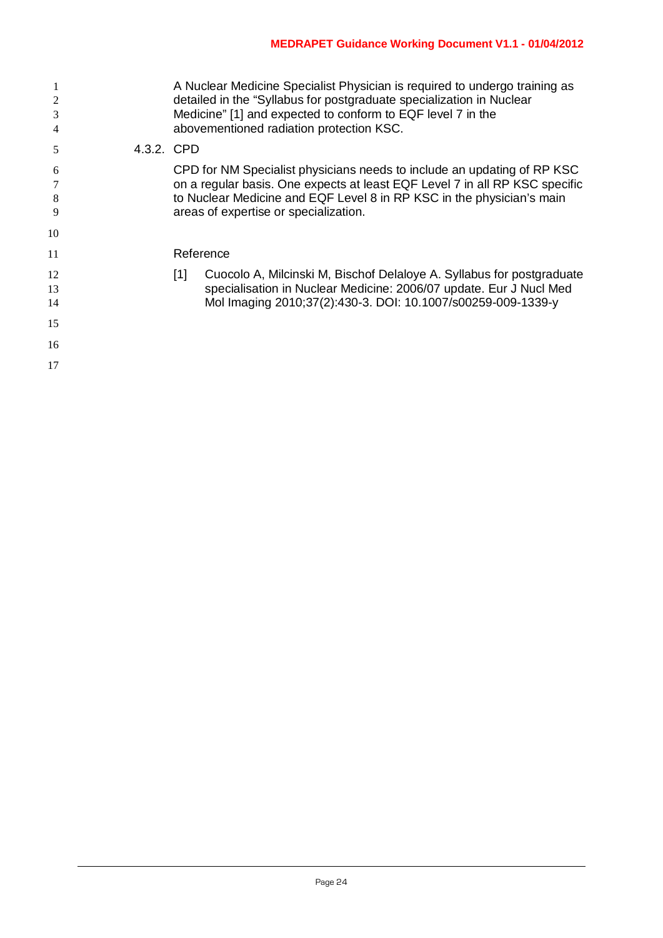| 1<br>$\overline{2}$<br>3<br>4 |            | A Nuclear Medicine Specialist Physician is required to undergo training as<br>detailed in the "Syllabus for postgraduate specialization in Nuclear<br>Medicine" [1] and expected to conform to EQF level 7 in the<br>abovementioned radiation protection KSC.            |
|-------------------------------|------------|--------------------------------------------------------------------------------------------------------------------------------------------------------------------------------------------------------------------------------------------------------------------------|
| 5                             | 4.3.2. CPD |                                                                                                                                                                                                                                                                          |
| 6<br>8<br>9                   |            | CPD for NM Specialist physicians needs to include an updating of RP KSC<br>on a regular basis. One expects at least EQF Level 7 in all RP KSC specific<br>to Nuclear Medicine and EQF Level 8 in RP KSC in the physician's main<br>areas of expertise or specialization. |
| 10                            |            |                                                                                                                                                                                                                                                                          |
| 11                            |            | Reference                                                                                                                                                                                                                                                                |
| 12<br>13<br>14                |            | Cuocolo A, Milcinski M, Bischof Delaloye A. Syllabus for postgraduate<br>$[1]$<br>specialisation in Nuclear Medicine: 2006/07 update. Eur J Nucl Med<br>Mol Imaging 2010;37(2):430-3. DOI: 10.1007/s00259-009-1339-y                                                     |
| 15                            |            |                                                                                                                                                                                                                                                                          |
| 16                            |            |                                                                                                                                                                                                                                                                          |
| 17                            |            |                                                                                                                                                                                                                                                                          |
|                               |            |                                                                                                                                                                                                                                                                          |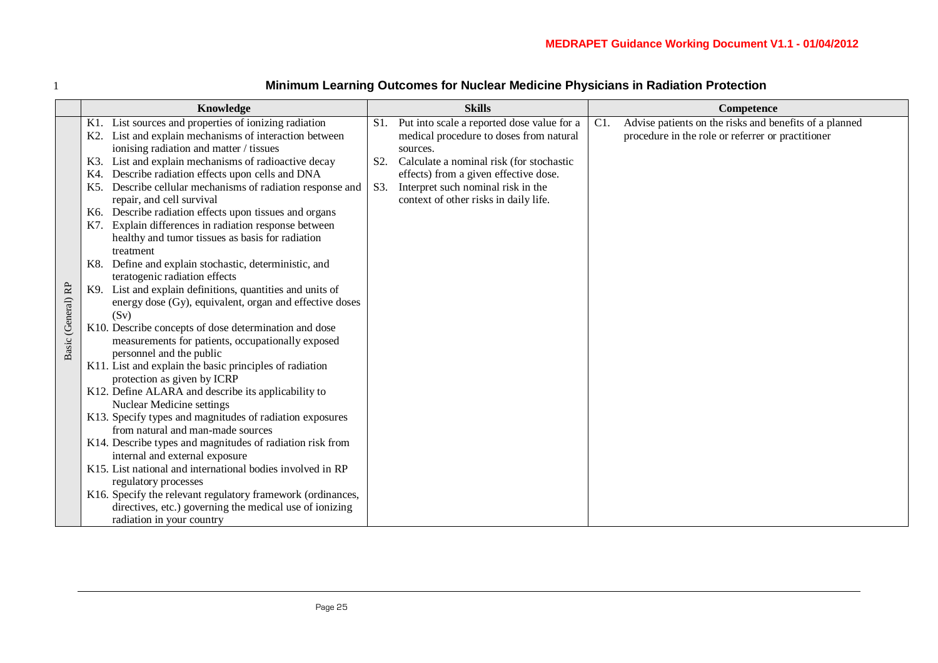|                    | Knowledge                                                                     |                                                                                                         |                  | <b>Skills</b>                                                               | Competence |                                                        |  |
|--------------------|-------------------------------------------------------------------------------|---------------------------------------------------------------------------------------------------------|------------------|-----------------------------------------------------------------------------|------------|--------------------------------------------------------|--|
|                    | K1.                                                                           | List sources and properties of ionizing radiation                                                       | S1.              | Put into scale a reported dose value for a                                  | C1.        | Advise patients on the risks and benefits of a planned |  |
|                    | K <sub>2</sub> .                                                              | List and explain mechanisms of interaction between                                                      |                  | medical procedure to doses from natural                                     |            | procedure in the role or referrer or practitioner      |  |
|                    |                                                                               | ionising radiation and matter / tissues                                                                 |                  | sources.                                                                    |            |                                                        |  |
|                    | K3.                                                                           | List and explain mechanisms of radioactive decay                                                        | S <sub>2</sub> . | Calculate a nominal risk (for stochastic                                    |            |                                                        |  |
|                    | K4.<br>K5.                                                                    | Describe radiation effects upon cells and DNA<br>Describe cellular mechanisms of radiation response and | S3.              | effects) from a given effective dose.<br>Interpret such nominal risk in the |            |                                                        |  |
|                    |                                                                               | repair, and cell survival                                                                               |                  | context of other risks in daily life.                                       |            |                                                        |  |
|                    | K6.                                                                           | Describe radiation effects upon tissues and organs                                                      |                  |                                                                             |            |                                                        |  |
|                    | K7.                                                                           | Explain differences in radiation response between                                                       |                  |                                                                             |            |                                                        |  |
|                    |                                                                               | healthy and tumor tissues as basis for radiation                                                        |                  |                                                                             |            |                                                        |  |
| treatment          |                                                                               |                                                                                                         |                  |                                                                             |            |                                                        |  |
|                    | K8.                                                                           | Define and explain stochastic, deterministic, and                                                       |                  |                                                                             |            |                                                        |  |
|                    |                                                                               | teratogenic radiation effects                                                                           |                  |                                                                             |            |                                                        |  |
| Basic (General) RP | K9.                                                                           | List and explain definitions, quantities and units of                                                   |                  |                                                                             |            |                                                        |  |
|                    |                                                                               | energy dose (Gy), equivalent, organ and effective doses                                                 |                  |                                                                             |            |                                                        |  |
|                    |                                                                               | (Sv)                                                                                                    |                  |                                                                             |            |                                                        |  |
|                    | K10. Describe concepts of dose determination and dose                         |                                                                                                         |                  |                                                                             |            |                                                        |  |
|                    | measurements for patients, occupationally exposed<br>personnel and the public |                                                                                                         |                  |                                                                             |            |                                                        |  |
|                    | K11. List and explain the basic principles of radiation                       |                                                                                                         |                  |                                                                             |            |                                                        |  |
|                    | protection as given by ICRP                                                   |                                                                                                         |                  |                                                                             |            |                                                        |  |
|                    | K12. Define ALARA and describe its applicability to                           |                                                                                                         |                  |                                                                             |            |                                                        |  |
|                    | <b>Nuclear Medicine settings</b>                                              |                                                                                                         |                  |                                                                             |            |                                                        |  |
|                    |                                                                               | K13. Specify types and magnitudes of radiation exposures                                                |                  |                                                                             |            |                                                        |  |
|                    |                                                                               | from natural and man-made sources                                                                       |                  |                                                                             |            |                                                        |  |
|                    |                                                                               | K14. Describe types and magnitudes of radiation risk from                                               |                  |                                                                             |            |                                                        |  |
|                    |                                                                               | internal and external exposure                                                                          |                  |                                                                             |            |                                                        |  |
|                    |                                                                               | K15. List national and international bodies involved in RP                                              |                  |                                                                             |            |                                                        |  |
|                    |                                                                               | regulatory processes                                                                                    |                  |                                                                             |            |                                                        |  |
|                    |                                                                               | K16. Specify the relevant regulatory framework (ordinances,                                             |                  |                                                                             |            |                                                        |  |
|                    |                                                                               | directives, etc.) governing the medical use of ionizing                                                 |                  |                                                                             |            |                                                        |  |
|                    |                                                                               | radiation in your country                                                                               |                  |                                                                             |            |                                                        |  |

# 1 **Minimum Learning Outcomes for Nuclear Medicine Physicians in Radiation Protection**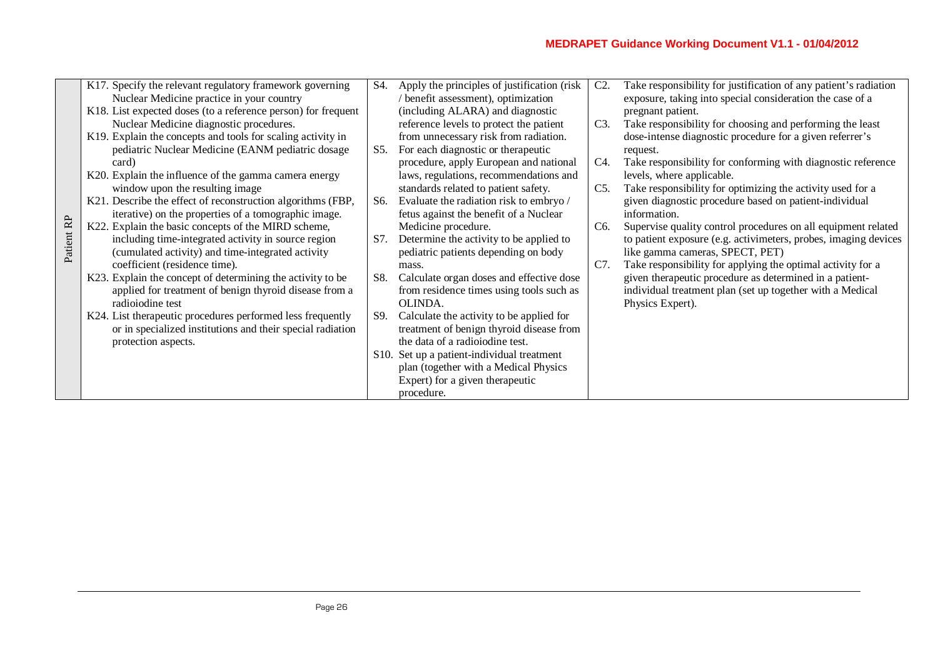|            | K17. Specify the relevant regulatory framework governing      | S4. | Apply the principles of justification (risk) | $C2$ .           | Take responsibility for justification of any patient's radiation |
|------------|---------------------------------------------------------------|-----|----------------------------------------------|------------------|------------------------------------------------------------------|
|            | Nuclear Medicine practice in your country                     |     | / benefit assessment), optimization          |                  | exposure, taking into special consideration the case of a        |
|            | K18. List expected doses (to a reference person) for frequent |     | (including ALARA) and diagnostic             |                  | pregnant patient.                                                |
|            | Nuclear Medicine diagnostic procedures.                       |     | reference levels to protect the patient      | C3.              | Take responsibility for choosing and performing the least        |
|            | K19. Explain the concepts and tools for scaling activity in   |     | from unnecessary risk from radiation.        |                  | dose-intense diagnostic procedure for a given referrer's         |
|            | pediatric Nuclear Medicine (EANM pediatric dosage             | S5. | For each diagnostic or therapeutic           |                  | request.                                                         |
|            | card)                                                         |     | procedure, apply European and national       | C4.              | Take responsibility for conforming with diagnostic reference     |
|            | K20. Explain the influence of the gamma camera energy         |     | laws, regulations, recommendations and       |                  | levels, where applicable.                                        |
|            | window upon the resulting image                               |     | standards related to patient safety.         | C5.              | Take responsibility for optimizing the activity used for a       |
|            | K21. Describe the effect of reconstruction algorithms (FBP,   | S6. | Evaluate the radiation risk to embryo /      |                  | given diagnostic procedure based on patient-individual           |
|            | iterative) on the properties of a tomographic image.          |     | fetus against the benefit of a Nuclear       |                  | information.                                                     |
| Patient RP | K22. Explain the basic concepts of the MIRD scheme,           |     | Medicine procedure.                          | C <sub>6</sub> . | Supervise quality control procedures on all equipment related    |
|            | including time-integrated activity in source region           | S7. | Determine the activity to be applied to      |                  | to patient exposure (e.g. activimeters, probes, imaging devices  |
|            | (cumulated activity) and time-integrated activity             |     | pediatric patients depending on body         |                  | like gamma cameras, SPECT, PET)                                  |
|            | coefficient (residence time).                                 |     | mass.                                        | C7.              | Take responsibility for applying the optimal activity for a      |
|            | K23. Explain the concept of determining the activity to be    | S8. | Calculate organ doses and effective dose     |                  | given therapeutic procedure as determined in a patient-          |
|            | applied for treatment of benign thyroid disease from a        |     | from residence times using tools such as     |                  | individual treatment plan (set up together with a Medical        |
|            | radioiodine test                                              |     | OLINDA.                                      |                  | Physics Expert).                                                 |
|            | K24. List therapeutic procedures performed less frequently    | S9. | Calculate the activity to be applied for     |                  |                                                                  |
|            | or in specialized institutions and their special radiation    |     | treatment of benign thyroid disease from     |                  |                                                                  |
|            | protection aspects.                                           |     | the data of a radioiodine test.              |                  |                                                                  |
|            |                                                               |     | S10. Set up a patient-individual treatment   |                  |                                                                  |
|            |                                                               |     | plan (together with a Medical Physics        |                  |                                                                  |
|            |                                                               |     | Expert) for a given therapeutic              |                  |                                                                  |
|            |                                                               |     | procedure.                                   |                  |                                                                  |
|            |                                                               |     |                                              |                  |                                                                  |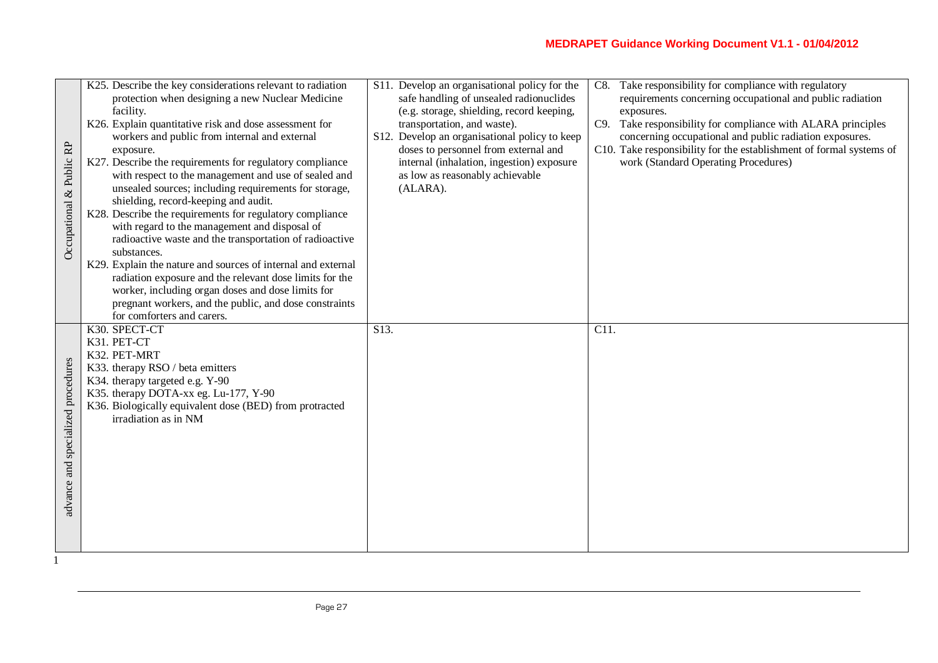| & Public RP<br>Occupational        | K25. Describe the key considerations relevant to radiation<br>protection when designing a new Nuclear Medicine<br>facility.<br>K26. Explain quantitative risk and dose assessment for<br>workers and public from internal and external<br>exposure.<br>K27. Describe the requirements for regulatory compliance<br>with respect to the management and use of sealed and<br>unsealed sources; including requirements for storage,<br>shielding, record-keeping and audit.<br>K28. Describe the requirements for regulatory compliance<br>with regard to the management and disposal of<br>radioactive waste and the transportation of radioactive<br>substances.<br>K29. Explain the nature and sources of internal and external<br>radiation exposure and the relevant dose limits for the<br>worker, including organ doses and dose limits for<br>pregnant workers, and the public, and dose constraints<br>for comforters and carers. | S11. Develop an organisational policy for the<br>safe handling of unsealed radionuclides<br>(e.g. storage, shielding, record keeping,<br>transportation, and waste).<br>S12. Develop an organisational policy to keep<br>doses to personnel from external and<br>internal (inhalation, ingestion) exposure<br>as low as reasonably achievable<br>(ALARA). | Take responsibility for compliance with regulatory<br>C8.<br>requirements concerning occupational and public radiation<br>exposures.<br>C9. Take responsibility for compliance with ALARA principles<br>concerning occupational and public radiation exposures.<br>C10. Take responsibility for the establishment of formal systems of<br>work (Standard Operating Procedures) |
|------------------------------------|-----------------------------------------------------------------------------------------------------------------------------------------------------------------------------------------------------------------------------------------------------------------------------------------------------------------------------------------------------------------------------------------------------------------------------------------------------------------------------------------------------------------------------------------------------------------------------------------------------------------------------------------------------------------------------------------------------------------------------------------------------------------------------------------------------------------------------------------------------------------------------------------------------------------------------------------|-----------------------------------------------------------------------------------------------------------------------------------------------------------------------------------------------------------------------------------------------------------------------------------------------------------------------------------------------------------|--------------------------------------------------------------------------------------------------------------------------------------------------------------------------------------------------------------------------------------------------------------------------------------------------------------------------------------------------------------------------------|
| advance and specialized procedures | K30. SPECT-CT<br>K31. PET-CT<br>K32. PET-MRT<br>K33. therapy RSO / beta emitters<br>K34. therapy targeted e.g. Y-90<br>K35. therapy DOTA-xx eg. Lu-177, Y-90<br>K36. Biologically equivalent dose (BED) from protracted<br>irradiation as in NM                                                                                                                                                                                                                                                                                                                                                                                                                                                                                                                                                                                                                                                                                         | $\overline{S13}$ .                                                                                                                                                                                                                                                                                                                                        | $\overline{C11}$ .                                                                                                                                                                                                                                                                                                                                                             |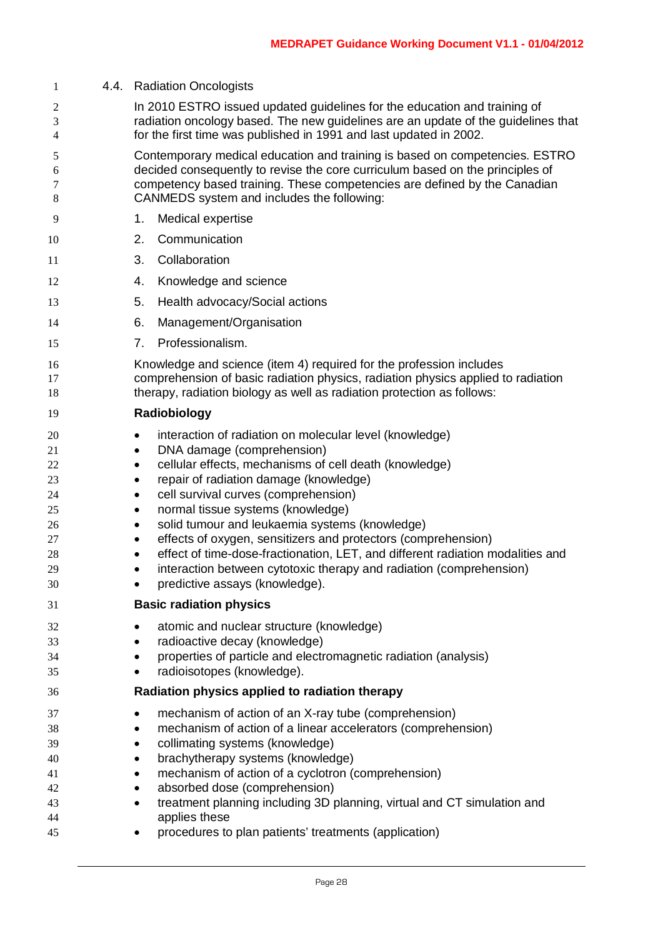| 1                                                        | 4.4. Radiation Oncologists                                                                                                                                                                                                                                                                                                                                                                                                                                                                                                                                                                                                                           |  |  |  |  |  |  |
|----------------------------------------------------------|------------------------------------------------------------------------------------------------------------------------------------------------------------------------------------------------------------------------------------------------------------------------------------------------------------------------------------------------------------------------------------------------------------------------------------------------------------------------------------------------------------------------------------------------------------------------------------------------------------------------------------------------------|--|--|--|--|--|--|
| 2<br>3<br>4                                              | In 2010 ESTRO issued updated guidelines for the education and training of<br>radiation oncology based. The new guidelines are an update of the guidelines that<br>for the first time was published in 1991 and last updated in 2002.                                                                                                                                                                                                                                                                                                                                                                                                                 |  |  |  |  |  |  |
| 5<br>6<br>7<br>8                                         | Contemporary medical education and training is based on competencies. ESTRO<br>decided consequently to revise the core curriculum based on the principles of<br>competency based training. These competencies are defined by the Canadian<br>CANMEDS system and includes the following:                                                                                                                                                                                                                                                                                                                                                              |  |  |  |  |  |  |
| 9                                                        | Medical expertise<br>1.                                                                                                                                                                                                                                                                                                                                                                                                                                                                                                                                                                                                                              |  |  |  |  |  |  |
| 10                                                       | Communication<br>2.                                                                                                                                                                                                                                                                                                                                                                                                                                                                                                                                                                                                                                  |  |  |  |  |  |  |
| 11                                                       | Collaboration<br>3.                                                                                                                                                                                                                                                                                                                                                                                                                                                                                                                                                                                                                                  |  |  |  |  |  |  |
| 12                                                       | Knowledge and science<br>4.                                                                                                                                                                                                                                                                                                                                                                                                                                                                                                                                                                                                                          |  |  |  |  |  |  |
| 13                                                       | 5.<br>Health advocacy/Social actions                                                                                                                                                                                                                                                                                                                                                                                                                                                                                                                                                                                                                 |  |  |  |  |  |  |
| 14                                                       | Management/Organisation<br>6.                                                                                                                                                                                                                                                                                                                                                                                                                                                                                                                                                                                                                        |  |  |  |  |  |  |
| 15                                                       | Professionalism.<br>7.                                                                                                                                                                                                                                                                                                                                                                                                                                                                                                                                                                                                                               |  |  |  |  |  |  |
| 16<br>17<br>18                                           | Knowledge and science (item 4) required for the profession includes<br>comprehension of basic radiation physics, radiation physics applied to radiation<br>therapy, radiation biology as well as radiation protection as follows:                                                                                                                                                                                                                                                                                                                                                                                                                    |  |  |  |  |  |  |
| 19                                                       | Radiobiology                                                                                                                                                                                                                                                                                                                                                                                                                                                                                                                                                                                                                                         |  |  |  |  |  |  |
| 20<br>21<br>22<br>23<br>24<br>25<br>26<br>27<br>28<br>29 | interaction of radiation on molecular level (knowledge)<br>$\bullet$<br>DNA damage (comprehension)<br>٠<br>cellular effects, mechanisms of cell death (knowledge)<br>$\bullet$<br>repair of radiation damage (knowledge)<br>٠<br>cell survival curves (comprehension)<br>$\bullet$<br>normal tissue systems (knowledge)<br>$\bullet$<br>solid tumour and leukaemia systems (knowledge)<br>$\bullet$<br>effects of oxygen, sensitizers and protectors (comprehension)<br>٠<br>effect of time-dose-fractionation, LET, and different radiation modalities and<br>٠<br>interaction between cytotoxic therapy and radiation (comprehension)<br>$\bullet$ |  |  |  |  |  |  |
| 30                                                       | predictive assays (knowledge).<br>٠                                                                                                                                                                                                                                                                                                                                                                                                                                                                                                                                                                                                                  |  |  |  |  |  |  |
| 31                                                       | <b>Basic radiation physics</b>                                                                                                                                                                                                                                                                                                                                                                                                                                                                                                                                                                                                                       |  |  |  |  |  |  |
| 32<br>33<br>34<br>35                                     | atomic and nuclear structure (knowledge)<br>٠<br>radioactive decay (knowledge)<br>properties of particle and electromagnetic radiation (analysis)<br>radioisotopes (knowledge).<br>٠                                                                                                                                                                                                                                                                                                                                                                                                                                                                 |  |  |  |  |  |  |
| 36                                                       | Radiation physics applied to radiation therapy                                                                                                                                                                                                                                                                                                                                                                                                                                                                                                                                                                                                       |  |  |  |  |  |  |
| 37<br>38<br>39<br>40<br>41<br>42                         | mechanism of action of an X-ray tube (comprehension)<br>$\bullet$<br>mechanism of action of a linear accelerators (comprehension)<br>٠<br>collimating systems (knowledge)<br>٠<br>brachytherapy systems (knowledge)<br>$\bullet$<br>mechanism of action of a cyclotron (comprehension)<br>absorbed dose (comprehension)                                                                                                                                                                                                                                                                                                                              |  |  |  |  |  |  |
| 43<br>44<br>45                                           | treatment planning including 3D planning, virtual and CT simulation and<br>٠<br>applies these<br>procedures to plan patients' treatments (application)<br>$\bullet$                                                                                                                                                                                                                                                                                                                                                                                                                                                                                  |  |  |  |  |  |  |
|                                                          |                                                                                                                                                                                                                                                                                                                                                                                                                                                                                                                                                                                                                                                      |  |  |  |  |  |  |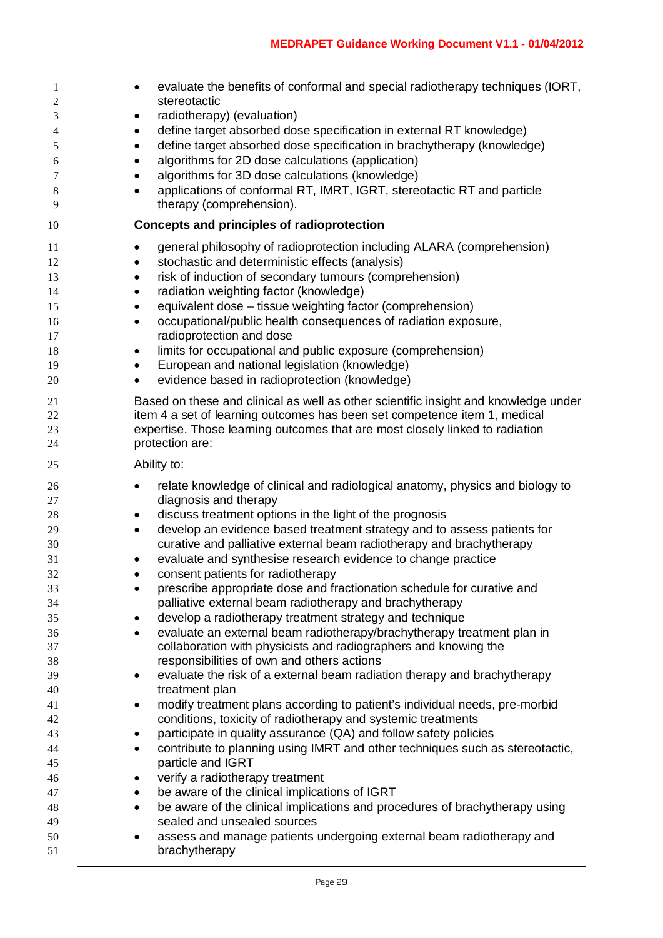| $\mathbf{1}$<br>2<br>3<br>4<br>5<br>6<br>7<br>8<br>9 | evaluate the benefits of conformal and special radiotherapy techniques (IORT,<br>٠<br>stereotactic<br>radiotherapy) (evaluation)<br>٠<br>define target absorbed dose specification in external RT knowledge)<br>٠<br>define target absorbed dose specification in brachytherapy (knowledge)<br>$\bullet$<br>algorithms for 2D dose calculations (application)<br>$\bullet$<br>algorithms for 3D dose calculations (knowledge)<br>$\bullet$<br>applications of conformal RT, IMRT, IGRT, stereotactic RT and particle<br>$\bullet$<br>therapy (comprehension). |
|------------------------------------------------------|---------------------------------------------------------------------------------------------------------------------------------------------------------------------------------------------------------------------------------------------------------------------------------------------------------------------------------------------------------------------------------------------------------------------------------------------------------------------------------------------------------------------------------------------------------------|
| 10                                                   | Concepts and principles of radioprotection                                                                                                                                                                                                                                                                                                                                                                                                                                                                                                                    |
|                                                      |                                                                                                                                                                                                                                                                                                                                                                                                                                                                                                                                                               |
| 11<br>12                                             | general philosophy of radioprotection including ALARA (comprehension)<br>$\bullet$<br>stochastic and deterministic effects (analysis)                                                                                                                                                                                                                                                                                                                                                                                                                         |
| 13                                                   | ٠<br>risk of induction of secondary tumours (comprehension)<br>٠                                                                                                                                                                                                                                                                                                                                                                                                                                                                                              |
| 14                                                   | radiation weighting factor (knowledge)<br>$\bullet$                                                                                                                                                                                                                                                                                                                                                                                                                                                                                                           |
| 15                                                   | equivalent dose - tissue weighting factor (comprehension)<br>٠                                                                                                                                                                                                                                                                                                                                                                                                                                                                                                |
| 16                                                   | occupational/public health consequences of radiation exposure,<br>$\bullet$                                                                                                                                                                                                                                                                                                                                                                                                                                                                                   |
| 17                                                   | radioprotection and dose                                                                                                                                                                                                                                                                                                                                                                                                                                                                                                                                      |
| 18                                                   | limits for occupational and public exposure (comprehension)<br>$\bullet$                                                                                                                                                                                                                                                                                                                                                                                                                                                                                      |
| 19                                                   | European and national legislation (knowledge)<br>$\bullet$                                                                                                                                                                                                                                                                                                                                                                                                                                                                                                    |
| 20                                                   | evidence based in radioprotection (knowledge)<br>$\bullet$                                                                                                                                                                                                                                                                                                                                                                                                                                                                                                    |
| 21                                                   | Based on these and clinical as well as other scientific insight and knowledge under                                                                                                                                                                                                                                                                                                                                                                                                                                                                           |
| 22                                                   | item 4 a set of learning outcomes has been set competence item 1, medical                                                                                                                                                                                                                                                                                                                                                                                                                                                                                     |
| 23                                                   | expertise. Those learning outcomes that are most closely linked to radiation                                                                                                                                                                                                                                                                                                                                                                                                                                                                                  |
| 24                                                   | protection are:                                                                                                                                                                                                                                                                                                                                                                                                                                                                                                                                               |
| 25                                                   | Ability to:                                                                                                                                                                                                                                                                                                                                                                                                                                                                                                                                                   |
| 26                                                   | relate knowledge of clinical and radiological anatomy, physics and biology to<br>$\bullet$                                                                                                                                                                                                                                                                                                                                                                                                                                                                    |
| 27                                                   | diagnosis and therapy                                                                                                                                                                                                                                                                                                                                                                                                                                                                                                                                         |
| 28                                                   | discuss treatment options in the light of the prognosis<br>$\bullet$                                                                                                                                                                                                                                                                                                                                                                                                                                                                                          |
| 29                                                   | develop an evidence based treatment strategy and to assess patients for<br>$\bullet$                                                                                                                                                                                                                                                                                                                                                                                                                                                                          |
| 30<br>31                                             | curative and palliative external beam radiotherapy and brachytherapy<br>evaluate and synthesise research evidence to change practice<br>$\bullet$                                                                                                                                                                                                                                                                                                                                                                                                             |
| 32                                                   | consent patients for radiotherapy<br>$\bullet$                                                                                                                                                                                                                                                                                                                                                                                                                                                                                                                |
| 33                                                   | prescribe appropriate dose and fractionation schedule for curative and<br>٠                                                                                                                                                                                                                                                                                                                                                                                                                                                                                   |
| 34                                                   | palliative external beam radiotherapy and brachytherapy                                                                                                                                                                                                                                                                                                                                                                                                                                                                                                       |
| 35                                                   | develop a radiotherapy treatment strategy and technique<br>$\bullet$                                                                                                                                                                                                                                                                                                                                                                                                                                                                                          |
| 36                                                   | evaluate an external beam radiotherapy/brachytherapy treatment plan in<br>$\bullet$                                                                                                                                                                                                                                                                                                                                                                                                                                                                           |
| 37                                                   | collaboration with physicists and radiographers and knowing the                                                                                                                                                                                                                                                                                                                                                                                                                                                                                               |
| 38                                                   | responsibilities of own and others actions                                                                                                                                                                                                                                                                                                                                                                                                                                                                                                                    |
| 39                                                   | evaluate the risk of a external beam radiation therapy and brachytherapy<br>٠                                                                                                                                                                                                                                                                                                                                                                                                                                                                                 |
| 40                                                   | treatment plan                                                                                                                                                                                                                                                                                                                                                                                                                                                                                                                                                |
| 41                                                   | modify treatment plans according to patient's individual needs, pre-morbid<br>$\bullet$                                                                                                                                                                                                                                                                                                                                                                                                                                                                       |
| 42                                                   | conditions, toxicity of radiotherapy and systemic treatments                                                                                                                                                                                                                                                                                                                                                                                                                                                                                                  |
| 43                                                   | participate in quality assurance (QA) and follow safety policies<br>$\bullet$<br>contribute to planning using IMRT and other techniques such as stereotactic,                                                                                                                                                                                                                                                                                                                                                                                                 |
| 44<br>45                                             | $\bullet$<br>particle and IGRT                                                                                                                                                                                                                                                                                                                                                                                                                                                                                                                                |
| 46                                                   | verify a radiotherapy treatment<br>٠                                                                                                                                                                                                                                                                                                                                                                                                                                                                                                                          |
| 47                                                   | be aware of the clinical implications of IGRT<br>٠                                                                                                                                                                                                                                                                                                                                                                                                                                                                                                            |
| 48                                                   | be aware of the clinical implications and procedures of brachytherapy using<br>$\bullet$                                                                                                                                                                                                                                                                                                                                                                                                                                                                      |
| 49                                                   | sealed and unsealed sources                                                                                                                                                                                                                                                                                                                                                                                                                                                                                                                                   |
| 50                                                   | assess and manage patients undergoing external beam radiotherapy and<br>٠                                                                                                                                                                                                                                                                                                                                                                                                                                                                                     |
| 51                                                   | brachytherapy                                                                                                                                                                                                                                                                                                                                                                                                                                                                                                                                                 |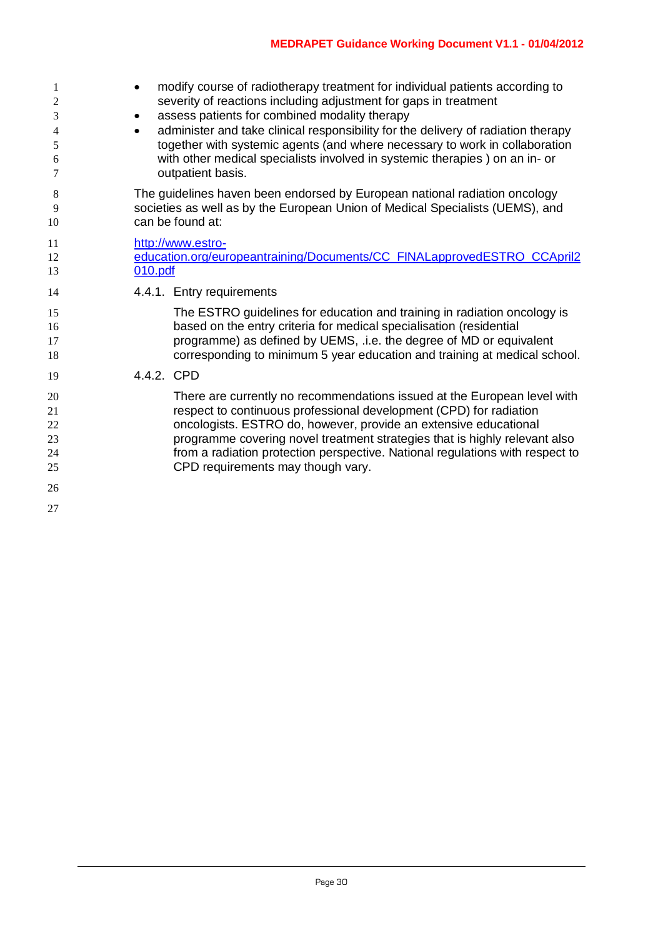| 1<br>2<br>3<br>4<br>5<br>6<br>7        | modify course of radiotherapy treatment for individual patients according to<br>$\bullet$<br>severity of reactions including adjustment for gaps in treatment<br>assess patients for combined modality therapy<br>$\bullet$<br>administer and take clinical responsibility for the delivery of radiation therapy<br>$\bullet$<br>together with systemic agents (and where necessary to work in collaboration<br>with other medical specialists involved in systemic therapies) on an in- or<br>outpatient basis. |  |  |  |  |  |  |  |
|----------------------------------------|------------------------------------------------------------------------------------------------------------------------------------------------------------------------------------------------------------------------------------------------------------------------------------------------------------------------------------------------------------------------------------------------------------------------------------------------------------------------------------------------------------------|--|--|--|--|--|--|--|
| 8<br>9<br>10                           | The guidelines haven been endorsed by European national radiation oncology<br>societies as well as by the European Union of Medical Specialists (UEMS), and<br>can be found at:                                                                                                                                                                                                                                                                                                                                  |  |  |  |  |  |  |  |
| 11<br>12<br>13                         | http://www.estro-<br>education.org/europeantraining/Documents/CC_FINALapprovedESTRO_CCApril2<br>010.pdf                                                                                                                                                                                                                                                                                                                                                                                                          |  |  |  |  |  |  |  |
| 14                                     | 4.4.1. Entry requirements                                                                                                                                                                                                                                                                                                                                                                                                                                                                                        |  |  |  |  |  |  |  |
| 15<br>16<br>17<br>18                   | The ESTRO guidelines for education and training in radiation oncology is<br>based on the entry criteria for medical specialisation (residential<br>programme) as defined by UEMS, .i.e. the degree of MD or equivalent<br>corresponding to minimum 5 year education and training at medical school.                                                                                                                                                                                                              |  |  |  |  |  |  |  |
| 19                                     | 4.4.2. CPD                                                                                                                                                                                                                                                                                                                                                                                                                                                                                                       |  |  |  |  |  |  |  |
| 20<br>21<br>22<br>23<br>24<br>25<br>26 | There are currently no recommendations issued at the European level with<br>respect to continuous professional development (CPD) for radiation<br>oncologists. ESTRO do, however, provide an extensive educational<br>programme covering novel treatment strategies that is highly relevant also<br>from a radiation protection perspective. National regulations with respect to<br>CPD requirements may though vary.                                                                                           |  |  |  |  |  |  |  |
| 27                                     |                                                                                                                                                                                                                                                                                                                                                                                                                                                                                                                  |  |  |  |  |  |  |  |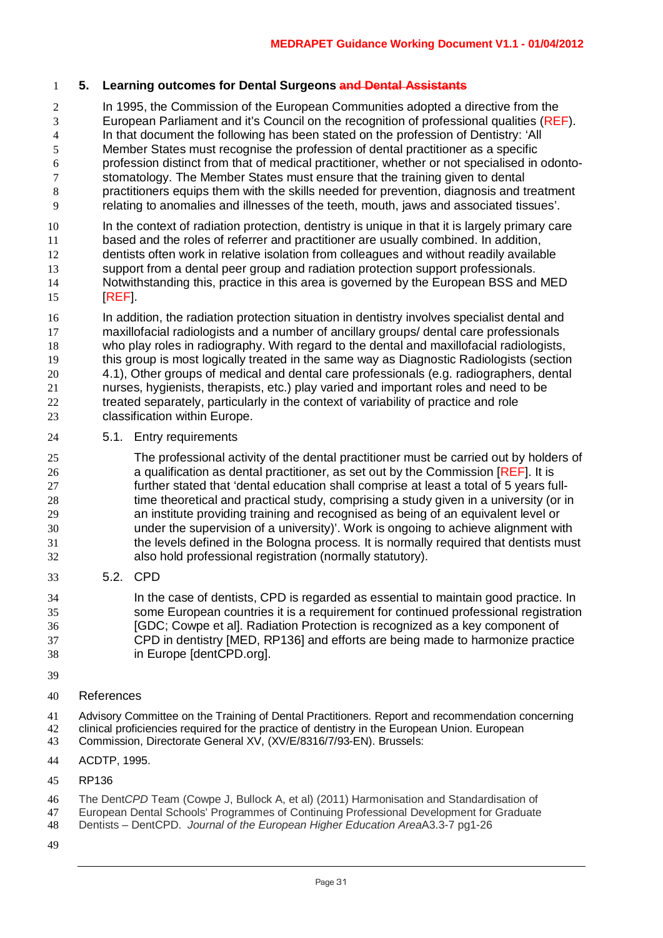## **5. Learning outcomes for Dental Surgeons and Dental Assistants**

 In 1995, the Commission of the European Communities adopted a directive from the European Parliament and it's Council on the recognition of professional qualities (REF). In that document the following has been stated on the profession of Dentistry: 'All Member States must recognise the profession of dental practitioner as a specific 6 profession distinct from that of medical practitioner, whether or not specialised in odonto-<br>6 stomatology. The Member States must ensure that the training given to dental stomatology. The Member States must ensure that the training given to dental practitioners equips them with the skills needed for prevention, diagnosis and treatment relating to anomalies and illnesses of the teeth, mouth, jaws and associated tissues'.

 In the context of radiation protection, dentistry is unique in that it is largely primary care based and the roles of referrer and practitioner are usually combined. In addition, dentists often work in relative isolation from colleagues and without readily available support from a dental peer group and radiation protection support professionals. Notwithstanding this, practice in this area is governed by the European BSS and MED [REF].

16 In addition, the radiation protection situation in dentistry involves specialist dental and maxillofacial radiologists and a number of ancillary groups/ dental care professionals who play roles in radiography. With regard to the dental and maxillofacial radiologists, this group is most logically treated in the same way as Diagnostic Radiologists (section 4.1), Other groups of medical and dental care professionals (e.g. radiographers, dental nurses, hygienists, therapists, etc.) play varied and important roles and need to be treated separately, particularly in the context of variability of practice and role classification within Europe.

5.1. Entry requirements

 The professional activity of the dental practitioner must be carried out by holders of a qualification as dental practitioner, as set out by the Commission [REF]. It is further stated that 'dental education shall comprise at least a total of 5 years full- time theoretical and practical study, comprising a study given in a university (or in an institute providing training and recognised as being of an equivalent level or under the supervision of a university)'. Work is ongoing to achieve alignment with the levels defined in the Bologna process. It is normally required that dentists must also hold professional registration (normally statutory).

5.2. CPD

 In the case of dentists, CPD is regarded as essential to maintain good practice. In some European countries it is a requirement for continued professional registration [GDC; Cowpe et al]. Radiation Protection is recognized as a key component of CPD in dentistry [MED, RP136] and efforts are being made to harmonize practice in Europe [dentCPD.org].

- 
- References

41 Advisory Committee on the Training of Dental Practitioners. Report and recommendation concerning<br>42 clinical proficiencies required for the practice of dentistry in the European Union. European 42 clinical proficiencies required for the practice of dentistry in the European Union. European 43 Commission. Directorate General XV. (XV/E/8316/7/93-EN). Brussels:

- Commission, Directorate General XV, (XV/E/8316/7/93-EN). Brussels:
- ACDTP, 1995.
- RP136
- The Dent*CPD* Team (Cowpe J, Bullock A, et al) (2011) Harmonisation and Standardisation of
- European Dental Schools' Programmes of Continuing Professional Development for Graduate
- Dentists DentCPD. *Journal of the European Higher Education Area*A3.3-7 pg1-26
-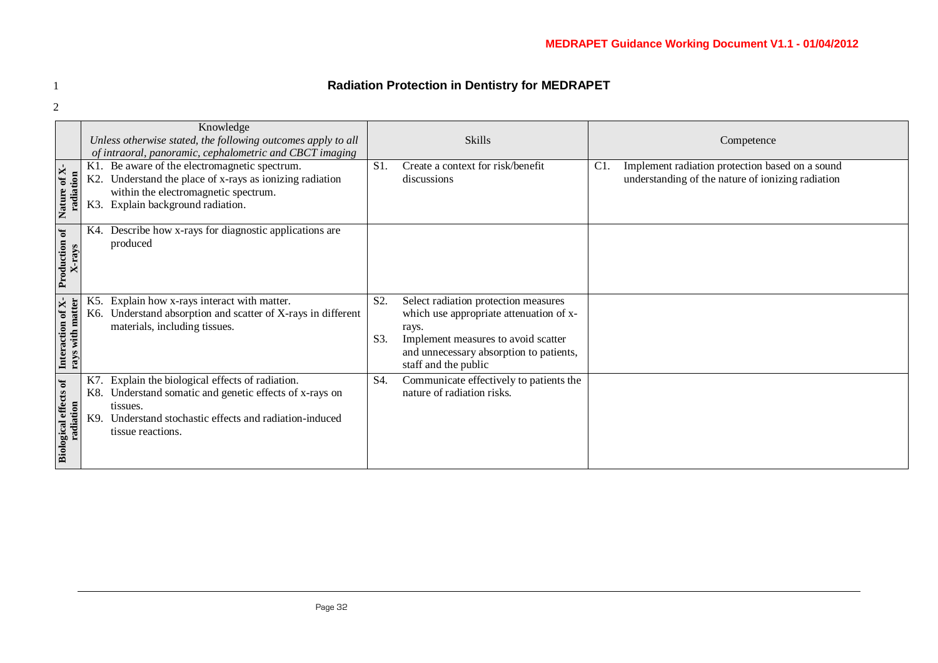# 1 **Radiation Protection in Dentistry for MEDRAPET**

|                                                        | Knowledge<br>Unless otherwise stated, the following outcomes apply to all<br>of intraoral, panoramic, cephalometric and CBCT imaging |                                                                                                                                                                                             |            | Skills                                                                                                                                                                                             | Competence |                                                                                                      |  |
|--------------------------------------------------------|--------------------------------------------------------------------------------------------------------------------------------------|---------------------------------------------------------------------------------------------------------------------------------------------------------------------------------------------|------------|----------------------------------------------------------------------------------------------------------------------------------------------------------------------------------------------------|------------|------------------------------------------------------------------------------------------------------|--|
| of $X$ -<br>radiation<br>Nature                        | K1.<br>K2.<br>K3.                                                                                                                    | Be aware of the electromagnetic spectrum.<br>Understand the place of x-rays as ionizing radiation<br>within the electromagnetic spectrum.<br>Explain background radiation.                  | $S1$ .     | Create a context for risk/benefit<br>discussions                                                                                                                                                   | C1         | Implement radiation protection based on a sound<br>understanding of the nature of ionizing radiation |  |
| Production of<br>X-rays                                | K4.                                                                                                                                  | Describe how x-rays for diagnostic applications are<br>produced                                                                                                                             |            |                                                                                                                                                                                                    |            |                                                                                                      |  |
| Interaction of X-<br>rays with matter<br>rays with mat |                                                                                                                                      | Explain how x-rays interact with matter.<br>K6. Understand absorption and scatter of X-rays in different<br>materials, including tissues.                                                   | S2.<br>S3. | Select radiation protection measures<br>which use appropriate attenuation of x-<br>rays.<br>Implement measures to avoid scatter<br>and unnecessary absorption to patients,<br>staff and the public |            |                                                                                                      |  |
| <b>Biological effects of</b><br>radiation              | K7<br>K8.<br>K9.                                                                                                                     | Explain the biological effects of radiation.<br>Understand somatic and genetic effects of x-rays on<br>tissues.<br>Understand stochastic effects and radiation-induced<br>tissue reactions. | S4.        | Communicate effectively to patients the<br>nature of radiation risks.                                                                                                                              |            |                                                                                                      |  |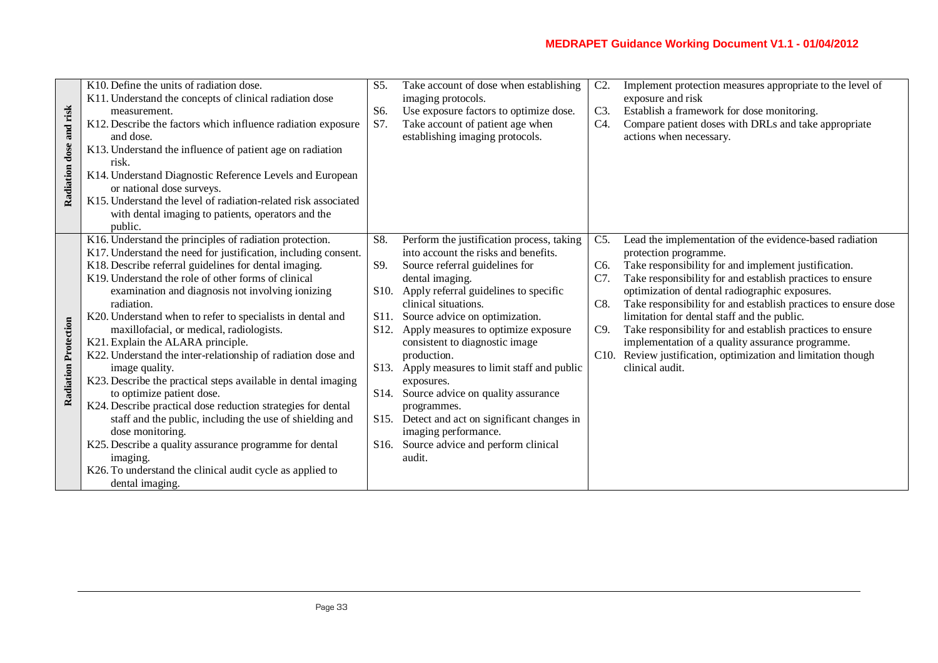|                                   | K10. Define the units of radiation dose.                                                                                                                               | S5.               | Take account of dose when establishing                                    | $C2$ .         | Implement protection measures appropriate to the level of      |
|-----------------------------------|------------------------------------------------------------------------------------------------------------------------------------------------------------------------|-------------------|---------------------------------------------------------------------------|----------------|----------------------------------------------------------------|
| and risk<br><b>Radiation</b> dose | K11. Understand the concepts of clinical radiation dose                                                                                                                |                   | imaging protocols.                                                        |                | exposure and risk                                              |
|                                   | measurement.                                                                                                                                                           | S6.               | Use exposure factors to optimize dose.                                    | C3.            | Establish a framework for dose monitoring.                     |
|                                   | K12. Describe the factors which influence radiation exposure                                                                                                           | S7.               | Take account of patient age when                                          | C4.            | Compare patient doses with DRLs and take appropriate           |
|                                   | and dose.                                                                                                                                                              |                   | establishing imaging protocols.                                           |                | actions when necessary.                                        |
|                                   | K13. Understand the influence of patient age on radiation                                                                                                              |                   |                                                                           |                |                                                                |
|                                   | risk.                                                                                                                                                                  |                   |                                                                           |                |                                                                |
|                                   | K14. Understand Diagnostic Reference Levels and European                                                                                                               |                   |                                                                           |                |                                                                |
|                                   | or national dose surveys.                                                                                                                                              |                   |                                                                           |                |                                                                |
|                                   | K15. Understand the level of radiation-related risk associated                                                                                                         |                   |                                                                           |                |                                                                |
|                                   | with dental imaging to patients, operators and the                                                                                                                     |                   |                                                                           |                |                                                                |
|                                   | public.                                                                                                                                                                |                   |                                                                           |                |                                                                |
|                                   | K16. Understand the principles of radiation protection.                                                                                                                | S8.               | Perform the justification process, taking                                 | C5.            | Lead the implementation of the evidence-based radiation        |
|                                   | K17. Understand the need for justification, including consent.                                                                                                         |                   | into account the risks and benefits.                                      |                | protection programme.                                          |
|                                   | K18. Describe referral guidelines for dental imaging.                                                                                                                  | S9.               | Source referral guidelines for                                            | C <sub>6</sub> | Take responsibility for and implement justification.           |
|                                   | K19. Understand the role of other forms of clinical                                                                                                                    |                   | dental imaging.                                                           | C7.            | Take responsibility for and establish practices to ensure      |
|                                   | examination and diagnosis not involving ionizing                                                                                                                       | S <sub>10</sub> . | Apply referral guidelines to specific                                     |                | optimization of dental radiographic exposures.                 |
|                                   | radiation.                                                                                                                                                             |                   | clinical situations.                                                      | C8.            | Take responsibility for and establish practices to ensure dose |
|                                   | K20. Understand when to refer to specialists in dental and                                                                                                             | S <sub>11</sub> . | Source advice on optimization.                                            |                | limitation for dental staff and the public.                    |
|                                   | maxillofacial, or medical, radiologists.                                                                                                                               | S <sub>12</sub> . | Apply measures to optimize exposure                                       | C9.            | Take responsibility for and establish practices to ensure      |
|                                   | K21. Explain the ALARA principle.                                                                                                                                      |                   | consistent to diagnostic image                                            |                | implementation of a quality assurance programme.               |
|                                   | K22. Understand the inter-relationship of radiation dose and                                                                                                           |                   | production.                                                               | C10.           | Review justification, optimization and limitation though       |
| <b>Radiation Protection</b>       | image quality.                                                                                                                                                         |                   | S13. Apply measures to limit staff and public                             |                | clinical audit.                                                |
|                                   | K23. Describe the practical steps available in dental imaging                                                                                                          |                   | exposures.                                                                |                |                                                                |
|                                   | to optimize patient dose.                                                                                                                                              |                   | S14. Source advice on quality assurance                                   |                |                                                                |
|                                   | K24. Describe practical dose reduction strategies for dental                                                                                                           |                   | programmes.                                                               |                |                                                                |
|                                   | staff and the public, including the use of shielding and                                                                                                               | S15.              | Detect and act on significant changes in                                  |                |                                                                |
|                                   |                                                                                                                                                                        |                   |                                                                           |                |                                                                |
|                                   |                                                                                                                                                                        |                   |                                                                           |                |                                                                |
|                                   |                                                                                                                                                                        |                   |                                                                           |                |                                                                |
|                                   |                                                                                                                                                                        |                   |                                                                           |                |                                                                |
|                                   |                                                                                                                                                                        |                   |                                                                           |                |                                                                |
|                                   | dose monitoring.<br>K25. Describe a quality assurance programme for dental<br>imaging.<br>K26. To understand the clinical audit cycle as applied to<br>dental imaging. |                   | imaging performance.<br>S16. Source advice and perform clinical<br>audit. |                |                                                                |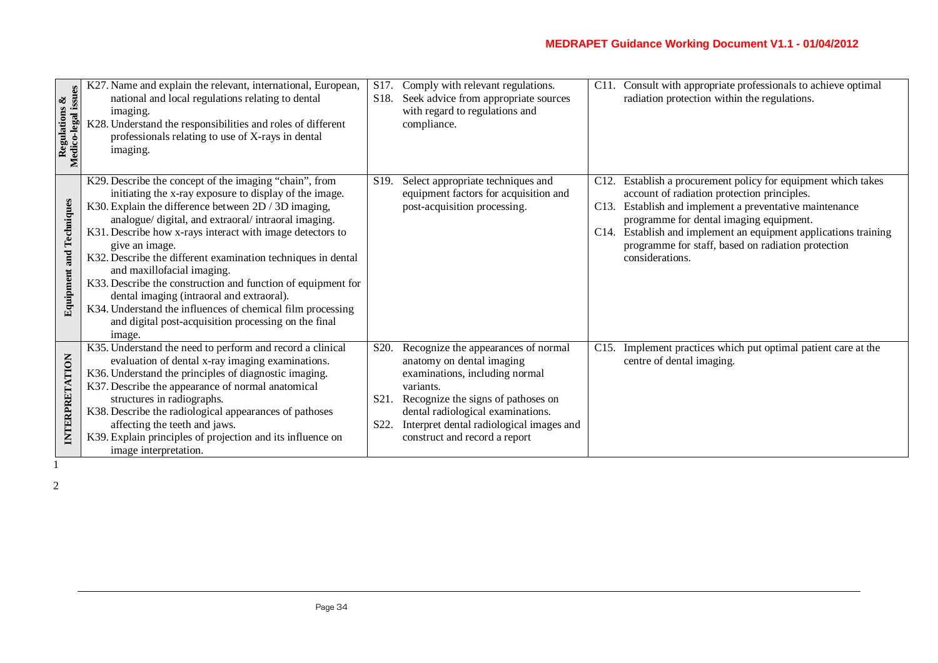| Regulations &<br>Medico-legal issues | K27. Name and explain the relevant, international, European,<br>national and local regulations relating to dental<br>imaging.<br>K28. Understand the responsibilities and roles of different<br>professionals relating to use of X-rays in dental<br>imaging.                                                                                                                                                                                                                                                                                                                                                                                            | S17.<br>S <sub>18</sub> .                      | Comply with relevant regulations.<br>Seek advice from appropriate sources<br>with regard to regulations and<br>compliance.                                                                                                                                              | C11.                              | Consult with appropriate professionals to achieve optimal<br>radiation protection within the regulations.                                                                                                                                                                                                                                       |
|--------------------------------------|----------------------------------------------------------------------------------------------------------------------------------------------------------------------------------------------------------------------------------------------------------------------------------------------------------------------------------------------------------------------------------------------------------------------------------------------------------------------------------------------------------------------------------------------------------------------------------------------------------------------------------------------------------|------------------------------------------------|-------------------------------------------------------------------------------------------------------------------------------------------------------------------------------------------------------------------------------------------------------------------------|-----------------------------------|-------------------------------------------------------------------------------------------------------------------------------------------------------------------------------------------------------------------------------------------------------------------------------------------------------------------------------------------------|
| <b>Equipment and Techniques</b>      | K29. Describe the concept of the imaging "chain", from<br>initiating the x-ray exposure to display of the image.<br>K30. Explain the difference between 2D / 3D imaging,<br>analogue/digital, and extraoral/intraoral imaging.<br>K31. Describe how x-rays interact with image detectors to<br>give an image.<br>K32. Describe the different examination techniques in dental<br>and maxillofacial imaging.<br>K33. Describe the construction and function of equipment for<br>dental imaging (intraoral and extraoral).<br>K34. Understand the influences of chemical film processing<br>and digital post-acquisition processing on the final<br>image. | S <sub>19</sub> .                              | Select appropriate techniques and<br>equipment factors for acquisition and<br>post-acquisition processing.                                                                                                                                                              | C <sub>12</sub> .<br>C13.<br>C14. | Establish a procurement policy for equipment which takes<br>account of radiation protection principles.<br>Establish and implement a preventative maintenance<br>programme for dental imaging equipment.<br>Establish and implement an equipment applications training<br>programme for staff, based on radiation protection<br>considerations. |
| INTERPRETATION                       | K35. Understand the need to perform and record a clinical<br>evaluation of dental x-ray imaging examinations.<br>K36. Understand the principles of diagnostic imaging.<br>K37. Describe the appearance of normal anatomical<br>structures in radiographs.<br>K38. Describe the radiological appearances of pathoses<br>affecting the teeth and jaws.<br>K39. Explain principles of projection and its influence on<br>image interpretation.                                                                                                                                                                                                              | S <sub>20</sub> .<br>S <sub>21</sub> .<br>S22. | Recognize the appearances of normal<br>anatomy on dental imaging<br>examinations, including normal<br>variants.<br>Recognize the signs of pathoses on<br>dental radiological examinations.<br>Interpret dental radiological images and<br>construct and record a report | C <sub>15</sub> .                 | Implement practices which put optimal patient care at the<br>centre of dental imaging.                                                                                                                                                                                                                                                          |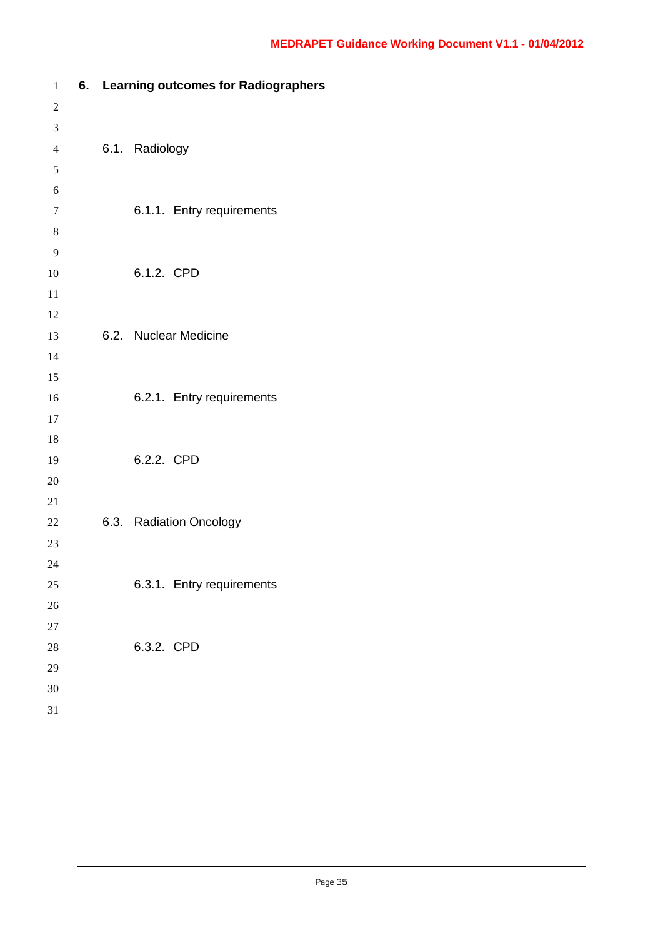| $\mathbf{1}$     |  | 6. Learning outcomes for Radiographers |
|------------------|--|----------------------------------------|
| $\overline{c}$   |  |                                        |
| $\mathfrak{Z}$   |  |                                        |
| $\overline{4}$   |  | 6.1. Radiology                         |
| $\mathfrak s$    |  |                                        |
| 6                |  |                                        |
| $\boldsymbol{7}$ |  | 6.1.1. Entry requirements              |
| $8\phantom{1}$   |  |                                        |
| 9                |  |                                        |
| 10               |  | 6.1.2. CPD                             |
| 11               |  |                                        |
| 12               |  |                                        |
| 13               |  | 6.2. Nuclear Medicine                  |
| 14               |  |                                        |
| 15               |  |                                        |
| 16               |  | 6.2.1. Entry requirements              |
| 17               |  |                                        |
| 18               |  |                                        |
| 19               |  | 6.2.2. CPD                             |
| 20               |  |                                        |
| 21               |  |                                        |
| 22               |  | 6.3. Radiation Oncology                |
| 23               |  |                                        |
| 24               |  |                                        |
| 25               |  | 6.3.1. Entry requirements              |
| 26               |  |                                        |
| 27               |  |                                        |
| 28               |  | 6.3.2. CPD                             |
| 29               |  |                                        |
| 30               |  |                                        |
| 31               |  |                                        |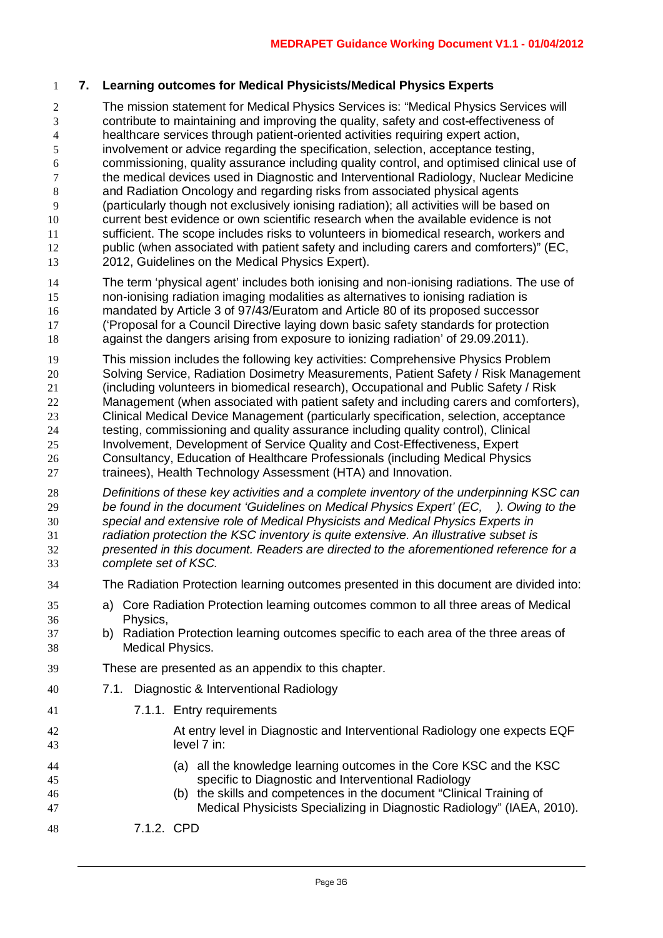#### **7. Learning outcomes for Medical Physicists/Medical Physics Experts**

 The mission statement for Medical Physics Services is: "Medical Physics Services will contribute to maintaining and improving the quality, safety and cost-effectiveness of healthcare services through patient-oriented activities requiring expert action, involvement or advice regarding the specification, selection, acceptance testing, commissioning, quality assurance including quality control, and optimised clinical use of the medical devices used in Diagnostic and Interventional Radiology, Nuclear Medicine and Radiation Oncology and regarding risks from associated physical agents (particularly though not exclusively ionising radiation); all activities will be based on current best evidence or own scientific research when the available evidence is not sufficient. The scope includes risks to volunteers in biomedical research, workers and public (when associated with patient safety and including carers and comforters)" (EC, 2012, Guidelines on the Medical Physics Expert).

- The term 'physical agent' includes both ionising and non-ionising radiations. The use of non-ionising radiation imaging modalities as alternatives to ionising radiation is mandated by Article 3 of 97/43/Euratom and Article 80 of its proposed successor ('Proposal for a Council Directive laying down basic safety standards for protection against the dangers arising from exposure to ionizing radiation' of 29.09.2011).
- This mission includes the following key activities: Comprehensive Physics Problem Solving Service, Radiation Dosimetry Measurements, Patient Safety / Risk Management (including volunteers in biomedical research), Occupational and Public Safety / Risk Management (when associated with patient safety and including carers and comforters), Clinical Medical Device Management (particularly specification, selection, acceptance testing, commissioning and quality assurance including quality control), Clinical Involvement, Development of Service Quality and Cost-Effectiveness, Expert Consultancy, Education of Healthcare Professionals (including Medical Physics trainees), Health Technology Assessment (HTA) and Innovation.
- *Definitions of these key activities and a complete inventory of the underpinning KSC can be found in the document 'Guidelines on Medical Physics Expert' (EC, ). Owing to the special and extensive role of Medical Physicists and Medical Physics Experts in radiation protection the KSC inventory is quite extensive. An illustrative subset is presented in this document. Readers are directed to the aforementioned reference for a complete set of KSC.*
- The Radiation Protection learning outcomes presented in this document are divided into:
- a) Core Radiation Protection learning outcomes common to all three areas of Medical Physics,
- b) Radiation Protection learning outcomes specific to each area of the three areas of Medical Physics.
- These are presented as an appendix to this chapter.
- 7.1. Diagnostic & Interventional Radiology
- 7.1.1. Entry requirements
- At entry level in Diagnostic and Interventional Radiology one expects EQF level 7 in:
- (a) all the knowledge learning outcomes in the Core KSC and the KSC specific to Diagnostic and Interventional Radiology
- (b) the skills and competences in the document "Clinical Training of Medical Physicists Specializing in Diagnostic Radiology" (IAEA, 2010).
- 7.1.2. CPD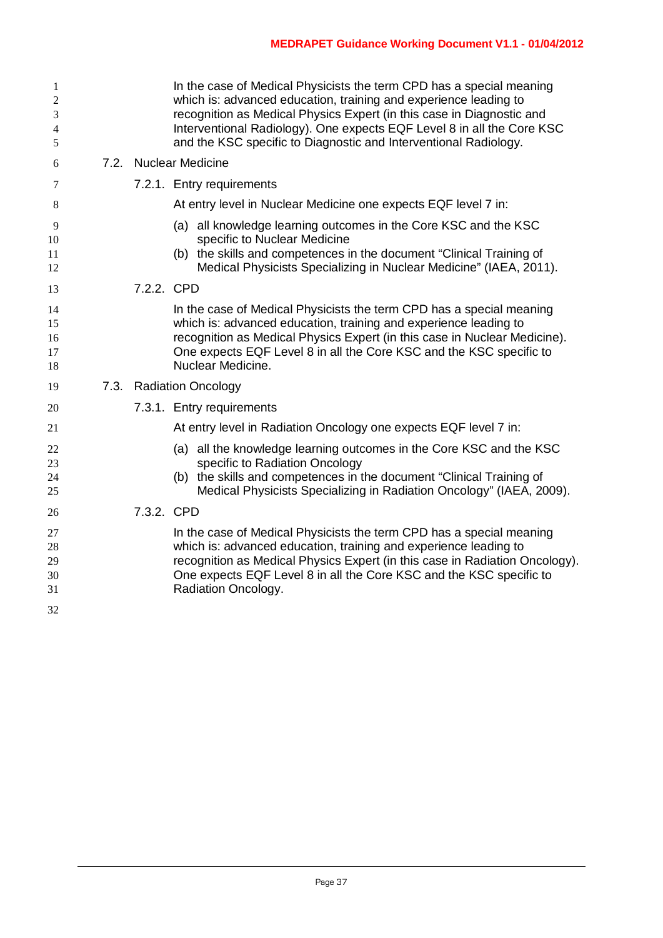| 1<br>$\overline{2}$<br>3<br>$\overline{4}$<br>5 |            | In the case of Medical Physicists the term CPD has a special meaning<br>which is: advanced education, training and experience leading to<br>recognition as Medical Physics Expert (in this case in Diagnostic and<br>Interventional Radiology). One expects EQF Level 8 in all the Core KSC<br>and the KSC specific to Diagnostic and Interventional Radiology. |
|-------------------------------------------------|------------|-----------------------------------------------------------------------------------------------------------------------------------------------------------------------------------------------------------------------------------------------------------------------------------------------------------------------------------------------------------------|
| 6                                               |            | 7.2. Nuclear Medicine                                                                                                                                                                                                                                                                                                                                           |
| 7                                               |            | 7.2.1. Entry requirements                                                                                                                                                                                                                                                                                                                                       |
| 8                                               |            | At entry level in Nuclear Medicine one expects EQF level 7 in:                                                                                                                                                                                                                                                                                                  |
| 9<br>10<br>11<br>12                             |            | (a) all knowledge learning outcomes in the Core KSC and the KSC<br>specific to Nuclear Medicine<br>(b) the skills and competences in the document "Clinical Training of<br>Medical Physicists Specializing in Nuclear Medicine" (IAEA, 2011).                                                                                                                   |
| 13                                              | 7.2.2. CPD |                                                                                                                                                                                                                                                                                                                                                                 |
| 14<br>15<br>16<br>17<br>18                      |            | In the case of Medical Physicists the term CPD has a special meaning<br>which is: advanced education, training and experience leading to<br>recognition as Medical Physics Expert (in this case in Nuclear Medicine).<br>One expects EQF Level 8 in all the Core KSC and the KSC specific to<br>Nuclear Medicine.                                               |
| 19                                              |            | 7.3. Radiation Oncology                                                                                                                                                                                                                                                                                                                                         |
| 20                                              |            | 7.3.1. Entry requirements                                                                                                                                                                                                                                                                                                                                       |
| 21                                              |            | At entry level in Radiation Oncology one expects EQF level 7 in:                                                                                                                                                                                                                                                                                                |
| 22<br>23<br>24<br>25                            |            | (a) all the knowledge learning outcomes in the Core KSC and the KSC<br>specific to Radiation Oncology<br>(b) the skills and competences in the document "Clinical Training of<br>Medical Physicists Specializing in Radiation Oncology" (IAEA, 2009).                                                                                                           |
| 26                                              | 7.3.2. CPD |                                                                                                                                                                                                                                                                                                                                                                 |
| 27<br>28<br>29<br>30<br>31<br>32                |            | In the case of Medical Physicists the term CPD has a special meaning<br>which is: advanced education, training and experience leading to<br>recognition as Medical Physics Expert (in this case in Radiation Oncology).<br>One expects EQF Level 8 in all the Core KSC and the KSC specific to<br>Radiation Oncology.                                           |
|                                                 |            |                                                                                                                                                                                                                                                                                                                                                                 |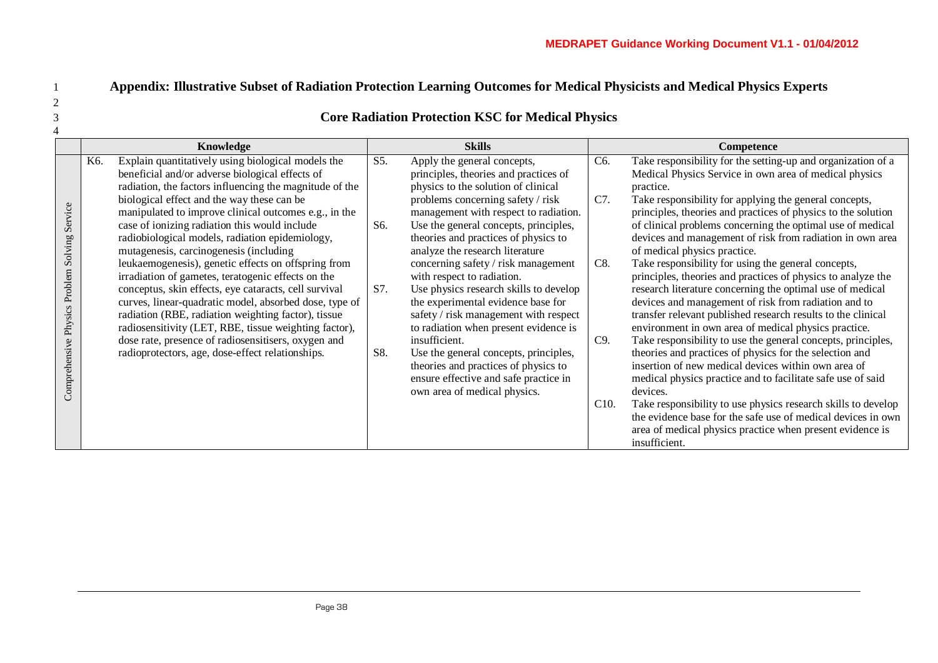### 1 **Appendix: Illustrative Subset of Radiation Protection Learning Outcomes for Medical Physicists and Medical Physics Experts**

#### 3 **Core Radiation Protection KSC for Medical Physics**

|                                                        |     | Knowledge                                                                                                                                                                                                                       | <b>Skills</b> |                                                                                                                                                                         |      | Competence                                                                                                                                                                                                                                                |  |  |
|--------------------------------------------------------|-----|---------------------------------------------------------------------------------------------------------------------------------------------------------------------------------------------------------------------------------|---------------|-------------------------------------------------------------------------------------------------------------------------------------------------------------------------|------|-----------------------------------------------------------------------------------------------------------------------------------------------------------------------------------------------------------------------------------------------------------|--|--|
|                                                        | K6. | Explain quantitatively using biological models the<br>beneficial and/or adverse biological effects of<br>radiation, the factors influencing the magnitude of the                                                                | S5.           | Apply the general concepts,<br>principles, theories and practices of<br>physics to the solution of clinical                                                             | C6.  | Take responsibility for the setting-up and organization of a<br>Medical Physics Service in own area of medical physics<br>practice.                                                                                                                       |  |  |
| Service<br>Problem Solving<br>Physics<br>Comprehensive |     | biological effect and the way these can be<br>manipulated to improve clinical outcomes e.g., in the<br>case of ionizing radiation this would include                                                                            | S6.           | problems concerning safety / risk<br>management with respect to radiation.<br>Use the general concepts, principles,                                                     | C7.  | Take responsibility for applying the general concepts,<br>principles, theories and practices of physics to the solution<br>of clinical problems concerning the optimal use of medical                                                                     |  |  |
|                                                        |     | radiobiological models, radiation epidemiology,<br>mutagenesis, carcinogenesis (including<br>leukaemogenesis), genetic effects on offspring from<br>irradiation of gametes, teratogenic effects on the                          |               | theories and practices of physics to<br>analyze the research literature<br>concerning safety / risk management<br>with respect to radiation.                            | C8.  | devices and management of risk from radiation in own area<br>of medical physics practice.<br>Take responsibility for using the general concepts,<br>principles, theories and practices of physics to analyze the                                          |  |  |
|                                                        |     | conceptus, skin effects, eye cataracts, cell survival<br>curves, linear-quadratic model, absorbed dose, type of<br>radiation (RBE, radiation weighting factor), tissue<br>radiosensitivity (LET, RBE, tissue weighting factor), | S7.           | Use physics research skills to develop<br>the experimental evidence base for<br>safety / risk management with respect<br>to radiation when present evidence is          |      | research literature concerning the optimal use of medical<br>devices and management of risk from radiation and to<br>transfer relevant published research results to the clinical<br>environment in own area of medical physics practice.                 |  |  |
|                                                        |     | dose rate, presence of radiosensitisers, oxygen and<br>radioprotectors, age, dose-effect relationships.                                                                                                                         | S8.           | insufficient.<br>Use the general concepts, principles,<br>theories and practices of physics to<br>ensure effective and safe practice in<br>own area of medical physics. | C9.  | Take responsibility to use the general concepts, principles,<br>theories and practices of physics for the selection and<br>insertion of new medical devices within own area of<br>medical physics practice and to facilitate safe use of said<br>devices. |  |  |
|                                                        |     |                                                                                                                                                                                                                                 |               |                                                                                                                                                                         | C10. | Take responsibility to use physics research skills to develop<br>the evidence base for the safe use of medical devices in own<br>area of medical physics practice when present evidence is<br>insufficient.                                               |  |  |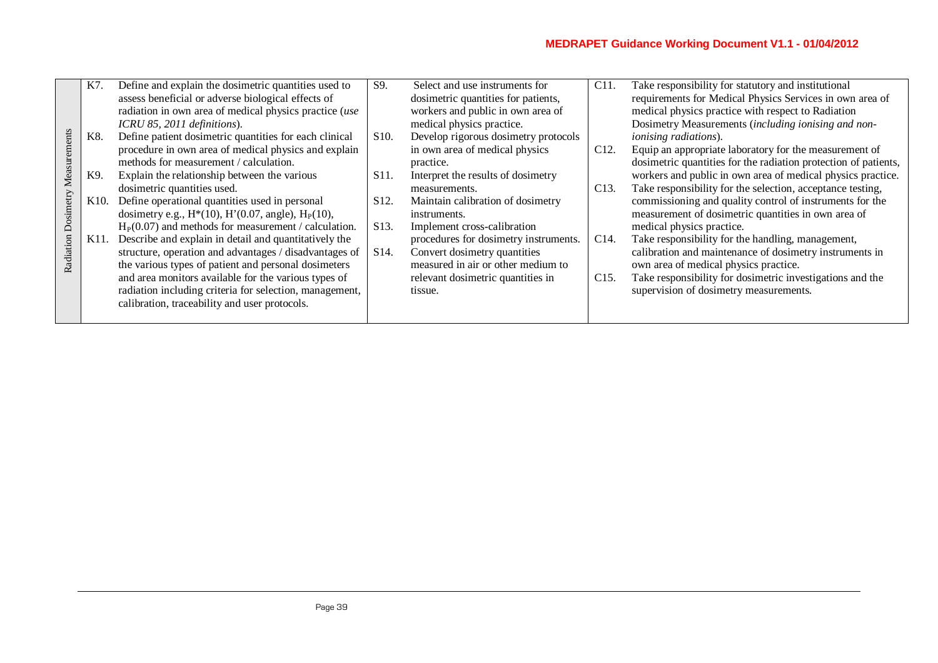| Define and explain the dosimetric quantities used to<br>S9.<br>C <sub>11</sub> .<br>Take responsibility for statutory and institutional<br>Select and use instruments for<br>K7.<br>assess beneficial or adverse biological effects of<br>requirements for Medical Physics Services in own area of<br>dosimetric quantities for patients,<br>workers and public in own area of<br>medical physics practice with respect to Radiation<br>radiation in own area of medical physics practice (use<br>Dosimetry Measurements (including ionising and non-<br>ICRU 85, 2011 definitions).<br>medical physics practice.<br>Measurements<br>Define patient dosimetric quantities for each clinical<br>K8.<br>Develop rigorous dosimetry protocols<br>S <sub>10</sub> .<br><i>ionising radiations</i> ).<br>procedure in own area of medical physics and explain<br>in own area of medical physics<br>C <sub>12</sub> .<br>Equip an appropriate laboratory for the measurement of<br>methods for measurement / calculation.<br>dosimetric quantities for the radiation protection of patients,<br>practice. |  |
|-----------------------------------------------------------------------------------------------------------------------------------------------------------------------------------------------------------------------------------------------------------------------------------------------------------------------------------------------------------------------------------------------------------------------------------------------------------------------------------------------------------------------------------------------------------------------------------------------------------------------------------------------------------------------------------------------------------------------------------------------------------------------------------------------------------------------------------------------------------------------------------------------------------------------------------------------------------------------------------------------------------------------------------------------------------------------------------------------------|--|
|                                                                                                                                                                                                                                                                                                                                                                                                                                                                                                                                                                                                                                                                                                                                                                                                                                                                                                                                                                                                                                                                                                     |  |
|                                                                                                                                                                                                                                                                                                                                                                                                                                                                                                                                                                                                                                                                                                                                                                                                                                                                                                                                                                                                                                                                                                     |  |
|                                                                                                                                                                                                                                                                                                                                                                                                                                                                                                                                                                                                                                                                                                                                                                                                                                                                                                                                                                                                                                                                                                     |  |
|                                                                                                                                                                                                                                                                                                                                                                                                                                                                                                                                                                                                                                                                                                                                                                                                                                                                                                                                                                                                                                                                                                     |  |
|                                                                                                                                                                                                                                                                                                                                                                                                                                                                                                                                                                                                                                                                                                                                                                                                                                                                                                                                                                                                                                                                                                     |  |
|                                                                                                                                                                                                                                                                                                                                                                                                                                                                                                                                                                                                                                                                                                                                                                                                                                                                                                                                                                                                                                                                                                     |  |
|                                                                                                                                                                                                                                                                                                                                                                                                                                                                                                                                                                                                                                                                                                                                                                                                                                                                                                                                                                                                                                                                                                     |  |
| workers and public in own area of medical physics practice.<br>Explain the relationship between the various<br>K9.<br>Interpret the results of dosimetry<br>S <sub>11</sub> .                                                                                                                                                                                                                                                                                                                                                                                                                                                                                                                                                                                                                                                                                                                                                                                                                                                                                                                       |  |
| Take responsibility for the selection, acceptance testing,<br>dosimetric quantities used.<br>C <sub>13</sub> .<br>measurements.                                                                                                                                                                                                                                                                                                                                                                                                                                                                                                                                                                                                                                                                                                                                                                                                                                                                                                                                                                     |  |
| Radiation Dosimetry<br>commissioning and quality control of instruments for the<br>K10. Define operational quantities used in personal<br>S <sub>12</sub> .<br>Maintain calibration of dosimetry                                                                                                                                                                                                                                                                                                                                                                                                                                                                                                                                                                                                                                                                                                                                                                                                                                                                                                    |  |
| dosimetry e.g., $H^*(10)$ , $H'(0.07)$ , angle), $H_P(10)$ ,<br>measurement of dosimetric quantities in own area of<br>instruments.                                                                                                                                                                                                                                                                                                                                                                                                                                                                                                                                                                                                                                                                                                                                                                                                                                                                                                                                                                 |  |
| $HP(0.07)$ and methods for measurement / calculation.<br>S <sub>13</sub> .<br>medical physics practice.<br>Implement cross-calibration                                                                                                                                                                                                                                                                                                                                                                                                                                                                                                                                                                                                                                                                                                                                                                                                                                                                                                                                                              |  |
| K11. Describe and explain in detail and quantitatively the<br>procedures for dosimetry instruments.<br>C14.<br>Take responsibility for the handling, management,                                                                                                                                                                                                                                                                                                                                                                                                                                                                                                                                                                                                                                                                                                                                                                                                                                                                                                                                    |  |
| Convert dosimetry quantities<br>calibration and maintenance of dosimetry instruments in<br>structure, operation and advantages / disadvantages of<br>S <sub>14</sub> .                                                                                                                                                                                                                                                                                                                                                                                                                                                                                                                                                                                                                                                                                                                                                                                                                                                                                                                              |  |
| measured in air or other medium to<br>the various types of patient and personal dosimeters<br>own area of medical physics practice.                                                                                                                                                                                                                                                                                                                                                                                                                                                                                                                                                                                                                                                                                                                                                                                                                                                                                                                                                                 |  |
| and area monitors available for the various types of<br>Take responsibility for dosimetric investigations and the<br>relevant dosimetric quantities in<br>C15.                                                                                                                                                                                                                                                                                                                                                                                                                                                                                                                                                                                                                                                                                                                                                                                                                                                                                                                                      |  |
| radiation including criteria for selection, management,<br>supervision of dosimetry measurements.<br>tissue.                                                                                                                                                                                                                                                                                                                                                                                                                                                                                                                                                                                                                                                                                                                                                                                                                                                                                                                                                                                        |  |
| calibration, traceability and user protocols.                                                                                                                                                                                                                                                                                                                                                                                                                                                                                                                                                                                                                                                                                                                                                                                                                                                                                                                                                                                                                                                       |  |
|                                                                                                                                                                                                                                                                                                                                                                                                                                                                                                                                                                                                                                                                                                                                                                                                                                                                                                                                                                                                                                                                                                     |  |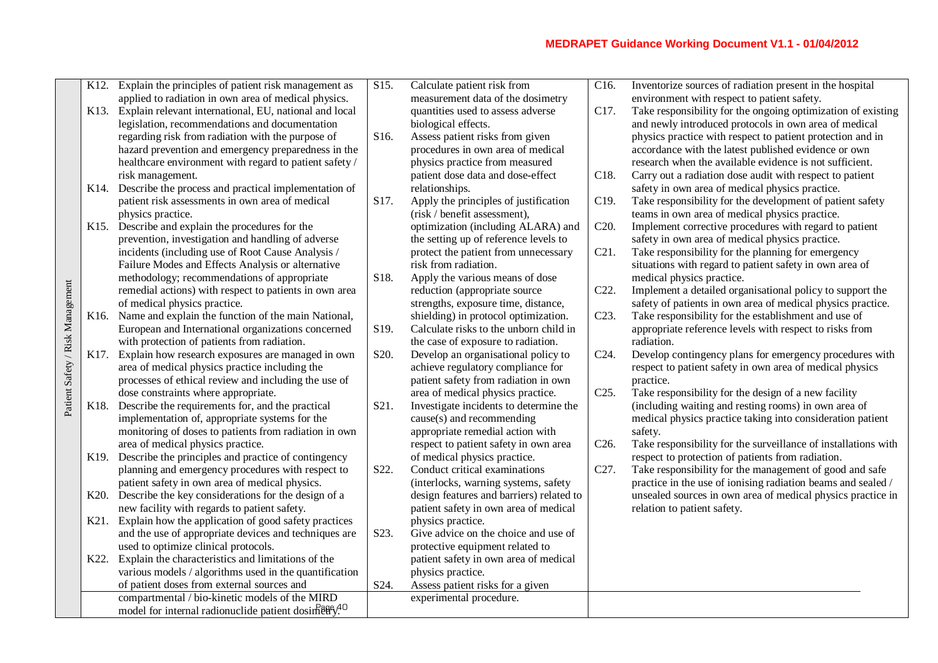|                                  |                   | K12. Explain the principles of patient risk management as         | $\overline{S15}$ . | Calculate patient risk from              | C <sub>16</sub> . | Inventorize sources of radiation present in the hospital       |
|----------------------------------|-------------------|-------------------------------------------------------------------|--------------------|------------------------------------------|-------------------|----------------------------------------------------------------|
|                                  |                   | applied to radiation in own area of medical physics.              |                    | measurement data of the dosimetry        |                   | environment with respect to patient safety.                    |
|                                  |                   | K13. Explain relevant international, EU, national and local       |                    | quantities used to assess adverse        | C17.              | Take responsibility for the ongoing optimization of existing   |
|                                  |                   | legislation, recommendations and documentation                    |                    | biological effects.                      |                   | and newly introduced protocols in own area of medical          |
|                                  |                   | regarding risk from radiation with the purpose of                 | S16.               | Assess patient risks from given          |                   | physics practice with respect to patient protection and in     |
|                                  |                   | hazard prevention and emergency preparedness in the               |                    | procedures in own area of medical        |                   | accordance with the latest published evidence or own           |
|                                  |                   | healthcare environment with regard to patient safety /            |                    | physics practice from measured           |                   | research when the available evidence is not sufficient.        |
|                                  |                   | risk management.                                                  |                    | patient dose data and dose-effect        | C18.              | Carry out a radiation dose audit with respect to patient       |
|                                  | K14.              | Describe the process and practical implementation of              |                    | relationships.                           |                   | safety in own area of medical physics practice.                |
|                                  |                   | patient risk assessments in own area of medical                   | S17.               | Apply the principles of justification    | C19.              | Take responsibility for the development of patient safety      |
|                                  |                   | physics practice.                                                 |                    | (risk / benefit assessment),             |                   | teams in own area of medical physics practice.                 |
|                                  |                   | K15. Describe and explain the procedures for the                  |                    | optimization (including ALARA) and       | C20.              | Implement corrective procedures with regard to patient         |
|                                  |                   | prevention, investigation and handling of adverse                 |                    | the setting up of reference levels to    |                   | safety in own area of medical physics practice.                |
|                                  |                   | incidents (including use of Root Cause Analysis /                 |                    | protect the patient from unnecessary     | C21.              | Take responsibility for the planning for emergency             |
|                                  |                   | Failure Modes and Effects Analysis or alternative                 |                    | risk from radiation.                     |                   | situations with regard to patient safety in own area of        |
|                                  |                   | methodology; recommendations of appropriate                       | S18.               | Apply the various means of dose          |                   | medical physics practice.                                      |
|                                  |                   | remedial actions) with respect to patients in own area            |                    | reduction (appropriate source            | C22.              | Implement a detailed organisational policy to support the      |
|                                  |                   | of medical physics practice.                                      |                    | strengths, exposure time, distance,      |                   | safety of patients in own area of medical physics practice.    |
|                                  | K <sub>16</sub> . | Name and explain the function of the main National,               |                    | shielding) in protocol optimization.     | C <sub>23</sub> . | Take responsibility for the establishment and use of           |
|                                  |                   | European and International organizations concerned                | S19.               | Calculate risks to the unborn child in   |                   | appropriate reference levels with respect to risks from        |
|                                  |                   | with protection of patients from radiation.                       |                    | the case of exposure to radiation.       |                   | radiation.                                                     |
|                                  | K17.              | Explain how research exposures are managed in own                 | S20.               | Develop an organisational policy to      | C24.              | Develop contingency plans for emergency procedures with        |
|                                  |                   | area of medical physics practice including the                    |                    | achieve regulatory compliance for        |                   | respect to patient safety in own area of medical physics       |
|                                  |                   | processes of ethical review and including the use of              |                    | patient safety from radiation in own     |                   | practice.                                                      |
| Patient Safety / Risk Management |                   | dose constraints where appropriate.                               |                    | area of medical physics practice.        | C <sub>25</sub> . | Take responsibility for the design of a new facility           |
|                                  | K18.              | Describe the requirements for, and the practical                  | S21.               | Investigate incidents to determine the   |                   | (including waiting and resting rooms) in own area of           |
|                                  |                   | implementation of, appropriate systems for the                    |                    | cause(s) and recommending                |                   | medical physics practice taking into consideration patient     |
|                                  |                   | monitoring of doses to patients from radiation in own             |                    | appropriate remedial action with         |                   | safety.                                                        |
|                                  |                   | area of medical physics practice.                                 |                    | respect to patient safety in own area    | C <sub>26</sub> . | Take responsibility for the surveillance of installations with |
|                                  | K19.              | Describe the principles and practice of contingency               |                    | of medical physics practice.             |                   | respect to protection of patients from radiation.              |
|                                  |                   | planning and emergency procedures with respect to                 | S22.               | Conduct critical examinations            | C27.              | Take responsibility for the management of good and safe        |
|                                  |                   | patient safety in own area of medical physics.                    |                    | (interlocks, warning systems, safety     |                   | practice in the use of ionising radiation beams and sealed /   |
|                                  | K20.              | Describe the key considerations for the design of a               |                    | design features and barriers) related to |                   | unsealed sources in own area of medical physics practice in    |
|                                  |                   | new facility with regards to patient safety.                      |                    | patient safety in own area of medical    |                   | relation to patient safety.                                    |
|                                  | K21.              | Explain how the application of good safety practices              |                    | physics practice.                        |                   |                                                                |
|                                  |                   | and the use of appropriate devices and techniques are             | S23.               | Give advice on the choice and use of     |                   |                                                                |
|                                  |                   | used to optimize clinical protocols.                              |                    | protective equipment related to          |                   |                                                                |
|                                  | K22.              | Explain the characteristics and limitations of the                |                    | patient safety in own area of medical    |                   |                                                                |
|                                  |                   | various models / algorithms used in the quantification            |                    | physics practice.                        |                   |                                                                |
|                                  |                   | of patient doses from external sources and                        | S24.               | Assess patient risks for a given         |                   |                                                                |
|                                  |                   | compartmental / bio-kinetic models of the MIRD                    |                    | experimental procedure.                  |                   |                                                                |
|                                  |                   | model for internal radionuclide patient dosinferry. <sup>40</sup> |                    |                                          |                   |                                                                |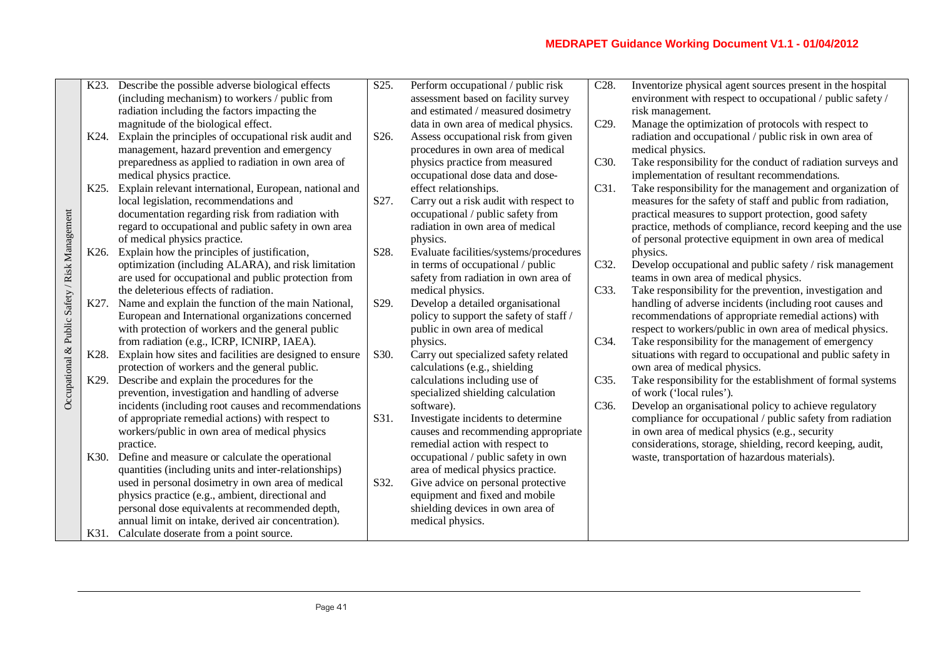|                                                | K23.              | Describe the possible adverse biological effects        | $\overline{S}25.$ | Perform occupational / public risk      | C28. | Inventorize physical agent sources present in the hospital   |
|------------------------------------------------|-------------------|---------------------------------------------------------|-------------------|-----------------------------------------|------|--------------------------------------------------------------|
|                                                |                   | (including mechanism) to workers / public from          |                   | assessment based on facility survey     |      | environment with respect to occupational / public safety /   |
|                                                |                   | radiation including the factors impacting the           |                   | and estimated / measured dosimetry      |      | risk management.                                             |
|                                                |                   | magnitude of the biological effect.                     |                   | data in own area of medical physics.    | C29. | Manage the optimization of protocols with respect to         |
|                                                | K24.              | Explain the principles of occupational risk audit and   | S26.              | Assess occupational risk from given     |      | radiation and occupational / public risk in own area of      |
|                                                |                   | management, hazard prevention and emergency             |                   | procedures in own area of medical       |      | medical physics.                                             |
|                                                |                   | preparedness as applied to radiation in own area of     |                   | physics practice from measured          | C30. | Take responsibility for the conduct of radiation surveys and |
|                                                |                   | medical physics practice.                               |                   | occupational dose data and dose-        |      | implementation of resultant recommendations.                 |
|                                                | K <sub>25</sub> . | Explain relevant international, European, national and  |                   | effect relationships.                   | C31. | Take responsibility for the management and organization of   |
|                                                |                   | local legislation, recommendations and                  | S27.              | Carry out a risk audit with respect to  |      | measures for the safety of staff and public from radiation,  |
|                                                |                   | documentation regarding risk from radiation with        |                   | occupational / public safety from       |      | practical measures to support protection, good safety        |
|                                                |                   | regard to occupational and public safety in own area    |                   | radiation in own area of medical        |      | practice, methods of compliance, record keeping and the use  |
|                                                |                   | of medical physics practice.                            |                   | physics.                                |      | of personal protective equipment in own area of medical      |
|                                                | K <sub>26</sub> . | Explain how the principles of justification,            | S28.              | Evaluate facilities/systems/procedures  |      | physics.                                                     |
|                                                |                   | optimization (including ALARA), and risk limitation     |                   | in terms of occupational / public       | C32. | Develop occupational and public safety / risk management     |
|                                                |                   | are used for occupational and public protection from    |                   | safety from radiation in own area of    |      | teams in own area of medical physics.                        |
|                                                |                   | the deleterious effects of radiation.                   |                   | medical physics.                        | C33. | Take responsibility for the prevention, investigation and    |
|                                                | K27.              | Name and explain the function of the main National,     | S29.              | Develop a detailed organisational       |      | handling of adverse incidents (including root causes and     |
|                                                |                   | European and International organizations concerned      |                   | policy to support the safety of staff / |      | recommendations of appropriate remedial actions) with        |
|                                                |                   | with protection of workers and the general public       |                   | public in own area of medical           |      | respect to workers/public in own area of medical physics.    |
| Occupational & Public Safety / Risk Management |                   | from radiation (e.g., ICRP, ICNIRP, IAEA).              |                   | physics.                                | C34. | Take responsibility for the management of emergency          |
|                                                | K28.              | Explain how sites and facilities are designed to ensure | S30.              | Carry out specialized safety related    |      | situations with regard to occupational and public safety in  |
|                                                |                   | protection of workers and the general public.           |                   | calculations (e.g., shielding           |      | own area of medical physics.                                 |
|                                                | K29.              | Describe and explain the procedures for the             |                   | calculations including use of           | C35. | Take responsibility for the establishment of formal systems  |
|                                                |                   | prevention, investigation and handling of adverse       |                   | specialized shielding calculation       |      | of work ('local rules').                                     |
|                                                |                   | incidents (including root causes and recommendations    |                   | software).                              | C36. | Develop an organisational policy to achieve regulatory       |
|                                                |                   | of appropriate remedial actions) with respect to        | S31.              | Investigate incidents to determine      |      | compliance for occupational / public safety from radiation   |
|                                                |                   | workers/public in own area of medical physics           |                   | causes and recommending appropriate     |      | in own area of medical physics (e.g., security               |
|                                                |                   | practice.                                               |                   | remedial action with respect to         |      | considerations, storage, shielding, record keeping, audit,   |
|                                                | K30.              | Define and measure or calculate the operational         |                   | occupational / public safety in own     |      | waste, transportation of hazardous materials).               |
|                                                |                   | quantities (including units and inter-relationships)    |                   | area of medical physics practice.       |      |                                                              |
|                                                |                   | used in personal dosimetry in own area of medical       | S32.              | Give advice on personal protective      |      |                                                              |
|                                                |                   | physics practice (e.g., ambient, directional and        |                   | equipment and fixed and mobile          |      |                                                              |
|                                                |                   | personal dose equivalents at recommended depth,         |                   | shielding devices in own area of        |      |                                                              |
|                                                |                   | annual limit on intake, derived air concentration).     |                   | medical physics.                        |      |                                                              |
|                                                | K31.              | Calculate doserate from a point source.                 |                   |                                         |      |                                                              |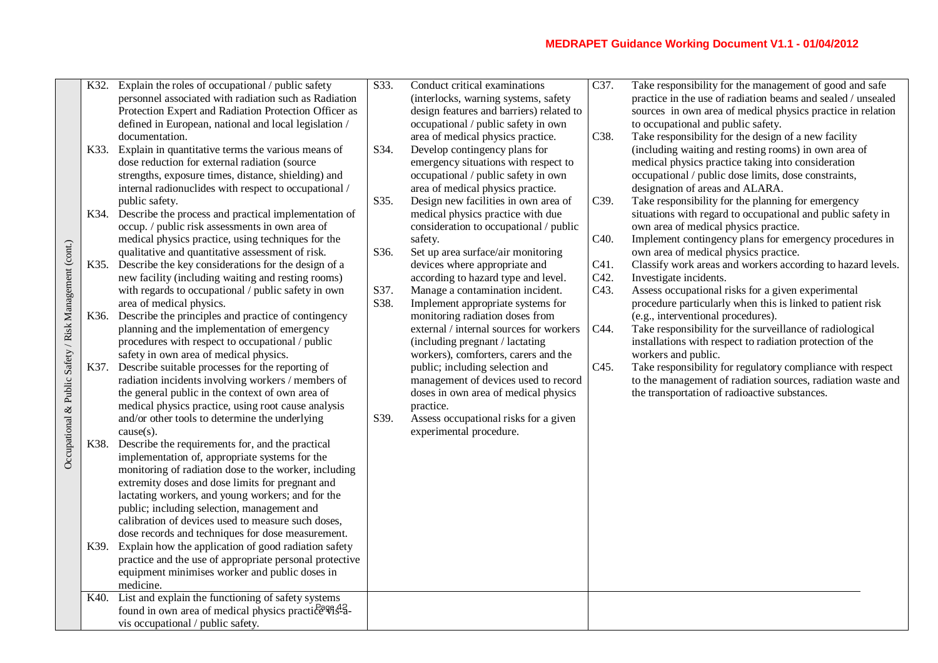|                                                        | K32. | Explain the roles of occupational / public safety       | S33. | Conduct critical examinations            | C37.              | Take responsibility for the management of good and safe      |
|--------------------------------------------------------|------|---------------------------------------------------------|------|------------------------------------------|-------------------|--------------------------------------------------------------|
|                                                        |      | personnel associated with radiation such as Radiation   |      | (interlocks, warning systems, safety     |                   | practice in the use of radiation beams and sealed / unsealed |
|                                                        |      | Protection Expert and Radiation Protection Officer as   |      | design features and barriers) related to |                   | sources in own area of medical physics practice in relation  |
|                                                        |      | defined in European, national and local legislation /   |      | occupational / public safety in own      |                   | to occupational and public safety.                           |
|                                                        |      | documentation.                                          |      | area of medical physics practice.        | C38.              | Take responsibility for the design of a new facility         |
|                                                        | K33. | Explain in quantitative terms the various means of      | S34. | Develop contingency plans for            |                   | (including waiting and resting rooms) in own area of         |
|                                                        |      | dose reduction for external radiation (source           |      | emergency situations with respect to     |                   | medical physics practice taking into consideration           |
|                                                        |      | strengths, exposure times, distance, shielding) and     |      | occupational / public safety in own      |                   | occupational / public dose limits, dose constraints,         |
|                                                        |      | internal radionuclides with respect to occupational /   |      | area of medical physics practice.        |                   | designation of areas and ALARA.                              |
|                                                        |      | public safety.                                          | S35. | Design new facilities in own area of     | C39.              | Take responsibility for the planning for emergency           |
|                                                        | K34. | Describe the process and practical implementation of    |      | medical physics practice with due        |                   | situations with regard to occupational and public safety in  |
|                                                        |      | occup. / public risk assessments in own area of         |      | consideration to occupational / public   |                   | own area of medical physics practice.                        |
|                                                        |      | medical physics practice, using techniques for the      |      | safety.                                  | C <sub>40</sub> . | Implement contingency plans for emergency procedures in      |
|                                                        |      | qualitative and quantitative assessment of risk.        | S36. | Set up area surface/air monitoring       |                   | own area of medical physics practice.                        |
|                                                        | K35. | Describe the key considerations for the design of a     |      | devices where appropriate and            | C41.              | Classify work areas and workers according to hazard levels.  |
|                                                        |      | new facility (including waiting and resting rooms)      |      | according to hazard type and level.      | C42.              | Investigate incidents.                                       |
|                                                        |      | with regards to occupational / public safety in own     | S37. | Manage a contamination incident.         | C43.              | Assess occupational risks for a given experimental           |
|                                                        |      | area of medical physics.                                | S38. | Implement appropriate systems for        |                   | procedure particularly when this is linked to patient risk   |
|                                                        | K36. | Describe the principles and practice of contingency     |      | monitoring radiation doses from          |                   | (e.g., interventional procedures).                           |
| Occupational & Public Safety / Risk Management (cont.) |      | planning and the implementation of emergency            |      | external / internal sources for workers  | C44.              | Take responsibility for the surveillance of radiological     |
|                                                        |      | procedures with respect to occupational / public        |      | (including pregnant / lactating          |                   | installations with respect to radiation protection of the    |
|                                                        |      | safety in own area of medical physics.                  |      | workers), comforters, carers and the     |                   | workers and public.                                          |
|                                                        | K37. | Describe suitable processes for the reporting of        |      | public; including selection and          | C45.              | Take responsibility for regulatory compliance with respect   |
|                                                        |      | radiation incidents involving workers / members of      |      | management of devices used to record     |                   | to the management of radiation sources, radiation waste and  |
|                                                        |      | the general public in the context of own area of        |      | doses in own area of medical physics     |                   | the transportation of radioactive substances.                |
|                                                        |      | medical physics practice, using root cause analysis     |      | practice.                                |                   |                                                              |
|                                                        |      | and/or other tools to determine the underlying          | S39. | Assess occupational risks for a given    |                   |                                                              |
|                                                        |      | $cause(s)$ .                                            |      | experimental procedure.                  |                   |                                                              |
|                                                        | K38. | Describe the requirements for, and the practical        |      |                                          |                   |                                                              |
|                                                        |      | implementation of, appropriate systems for the          |      |                                          |                   |                                                              |
|                                                        |      | monitoring of radiation dose to the worker, including   |      |                                          |                   |                                                              |
|                                                        |      | extremity doses and dose limits for pregnant and        |      |                                          |                   |                                                              |
|                                                        |      | lactating workers, and young workers; and for the       |      |                                          |                   |                                                              |
|                                                        |      | public; including selection, management and             |      |                                          |                   |                                                              |
|                                                        |      | calibration of devices used to measure such doses,      |      |                                          |                   |                                                              |
|                                                        |      | dose records and techniques for dose measurement.       |      |                                          |                   |                                                              |
|                                                        | K39. | Explain how the application of good radiation safety    |      |                                          |                   |                                                              |
|                                                        |      | practice and the use of appropriate personal protective |      |                                          |                   |                                                              |
|                                                        |      | equipment minimises worker and public doses in          |      |                                          |                   |                                                              |
|                                                        |      | medicine.                                               |      |                                          |                   |                                                              |
|                                                        | K40. | List and explain the functioning of safety systems      |      |                                          |                   |                                                              |
|                                                        |      | found in own area of medical physics practice \$1\$-2.  |      |                                          |                   |                                                              |
|                                                        |      | vis occupational / public safety.                       |      |                                          |                   |                                                              |
|                                                        |      |                                                         |      |                                          |                   |                                                              |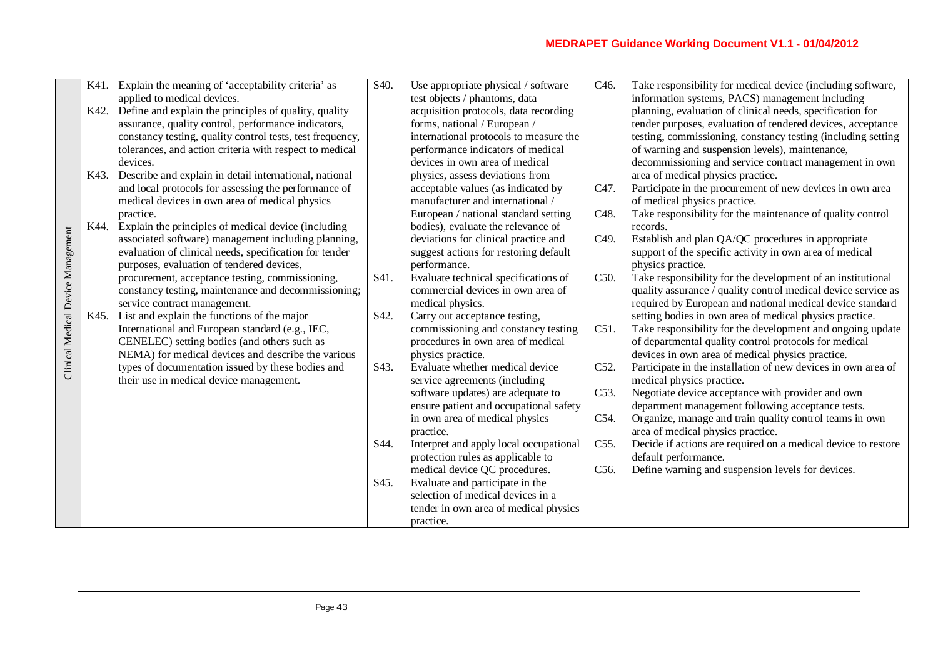|                                    |      | K41. Explain the meaning of 'acceptability criteria' as   | S40. | Use appropriate physical / software    | C <sub>46</sub> . | Take responsibility for medical device (including software,   |
|------------------------------------|------|-----------------------------------------------------------|------|----------------------------------------|-------------------|---------------------------------------------------------------|
|                                    |      | applied to medical devices.                               |      | test objects / phantoms, data          |                   | information systems, PACS) management including               |
|                                    | K42. | Define and explain the principles of quality, quality     |      | acquisition protocols, data recording  |                   | planning, evaluation of clinical needs, specification for     |
|                                    |      | assurance, quality control, performance indicators,       |      | forms, national / European /           |                   | tender purposes, evaluation of tendered devices, acceptance   |
|                                    |      | constancy testing, quality control tests, test frequency, |      | international protocols to measure the |                   | testing, commissioning, constancy testing (including setting  |
|                                    |      | tolerances, and action criteria with respect to medical   |      | performance indicators of medical      |                   | of warning and suspension levels), maintenance,               |
|                                    |      | devices.                                                  |      | devices in own area of medical         |                   | decommissioning and service contract management in own        |
|                                    | K43. | Describe and explain in detail international, national    |      | physics, assess deviations from        |                   | area of medical physics practice.                             |
|                                    |      | and local protocols for assessing the performance of      |      | acceptable values (as indicated by     | C47.              | Participate in the procurement of new devices in own area     |
|                                    |      | medical devices in own area of medical physics            |      | manufacturer and international /       |                   | of medical physics practice.                                  |
|                                    |      | practice.                                                 |      | European / national standard setting   | C48.              | Take responsibility for the maintenance of quality control    |
|                                    | K44. | Explain the principles of medical device (including       |      | bodies), evaluate the relevance of     |                   | records.                                                      |
| Clinical Medical Device Management |      | associated software) management including planning,       |      | deviations for clinical practice and   | C49.              | Establish and plan QA/QC procedures in appropriate            |
|                                    |      | evaluation of clinical needs, specification for tender    |      | suggest actions for restoring default  |                   | support of the specific activity in own area of medical       |
|                                    |      | purposes, evaluation of tendered devices,                 |      | performance.                           |                   | physics practice.                                             |
|                                    |      | procurement, acceptance testing, commissioning,           | S41. | Evaluate technical specifications of   | C50.              | Take responsibility for the development of an institutional   |
|                                    |      | constancy testing, maintenance and decommissioning;       |      | commercial devices in own area of      |                   | quality assurance / quality control medical device service as |
|                                    |      | service contract management.                              |      | medical physics.                       |                   | required by European and national medical device standard     |
|                                    | K45. | List and explain the functions of the major               | S42. | Carry out acceptance testing,          |                   | setting bodies in own area of medical physics practice.       |
|                                    |      | International and European standard (e.g., IEC,           |      | commissioning and constancy testing    | C51.              | Take responsibility for the development and ongoing update    |
|                                    |      | CENELEC) setting bodies (and others such as               |      | procedures in own area of medical      |                   | of departmental quality control protocols for medical         |
|                                    |      | NEMA) for medical devices and describe the various        |      | physics practice.                      |                   | devices in own area of medical physics practice.              |
|                                    |      | types of documentation issued by these bodies and         | S43. | Evaluate whether medical device        | C52.              | Participate in the installation of new devices in own area of |
|                                    |      | their use in medical device management.                   |      | service agreements (including          |                   | medical physics practice.                                     |
|                                    |      |                                                           |      | software updates) are adequate to      | C53.              | Negotiate device acceptance with provider and own             |
|                                    |      |                                                           |      | ensure patient and occupational safety |                   | department management following acceptance tests.             |
|                                    |      |                                                           |      | in own area of medical physics         | C54.              | Organize, manage and train quality control teams in own       |
|                                    |      |                                                           |      | practice.                              |                   | area of medical physics practice.                             |
|                                    |      |                                                           | S44. | Interpret and apply local occupational | C55.              | Decide if actions are required on a medical device to restore |
|                                    |      |                                                           |      | protection rules as applicable to      |                   | default performance.                                          |
|                                    |      |                                                           |      | medical device QC procedures.          | C56.              | Define warning and suspension levels for devices.             |
|                                    |      |                                                           | S45. | Evaluate and participate in the        |                   |                                                               |
|                                    |      |                                                           |      | selection of medical devices in a      |                   |                                                               |
|                                    |      |                                                           |      | tender in own area of medical physics  |                   |                                                               |
|                                    |      |                                                           |      | practice.                              |                   |                                                               |
|                                    |      |                                                           |      |                                        |                   |                                                               |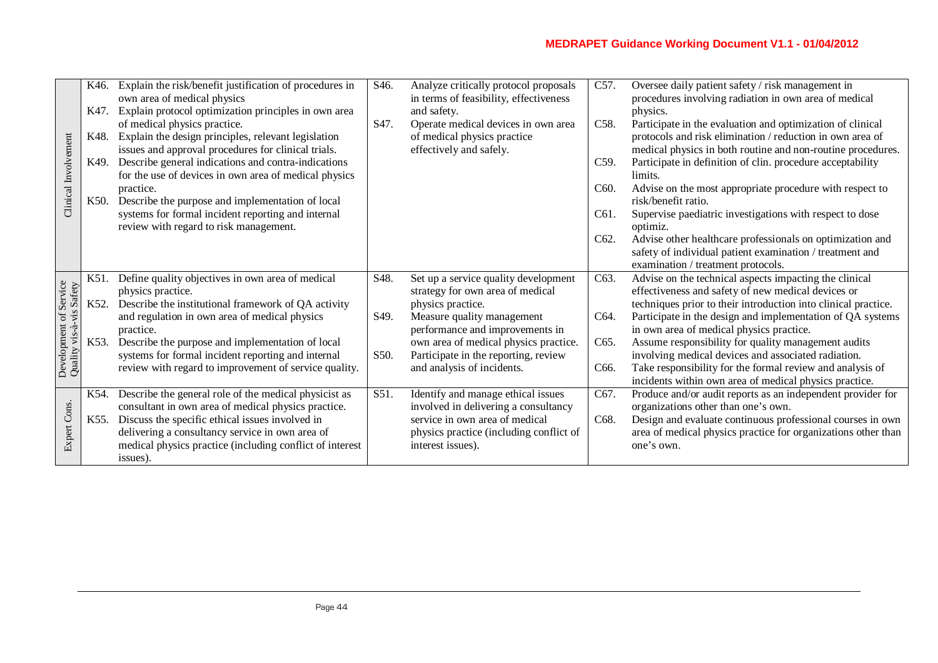|                                                    | K46. | Explain the risk/benefit justification of procedures in<br>own area of medical physics<br>K47. Explain protocol optimization principles in own area | S <sub>46</sub> . | Analyze critically protocol proposals<br>in terms of feasibility, effectiveness<br>and safety. | C57.              | Oversee daily patient safety / risk management in<br>procedures involving radiation in own area of medical<br>physics.    |
|----------------------------------------------------|------|-----------------------------------------------------------------------------------------------------------------------------------------------------|-------------------|------------------------------------------------------------------------------------------------|-------------------|---------------------------------------------------------------------------------------------------------------------------|
|                                                    | K48. | of medical physics practice.<br>Explain the design principles, relevant legislation                                                                 | S47.              | Operate medical devices in own area<br>of medical physics practice                             | C58.              | Participate in the evaluation and optimization of clinical<br>protocols and risk elimination / reduction in own area of   |
|                                                    | K49. | issues and approval procedures for clinical trials.<br>Describe general indications and contra-indications                                          |                   | effectively and safely.                                                                        | C59.              | medical physics in both routine and non-routine procedures.<br>Participate in definition of clin. procedure acceptability |
|                                                    |      | for the use of devices in own area of medical physics                                                                                               |                   |                                                                                                |                   | limits.                                                                                                                   |
| Clinical Involvement                               | K50. | practice.<br>Describe the purpose and implementation of local                                                                                       |                   |                                                                                                | C <sub>60</sub> . | Advise on the most appropriate procedure with respect to<br>risk/benefit ratio.                                           |
|                                                    |      | systems for formal incident reporting and internal<br>review with regard to risk management.                                                        |                   |                                                                                                | C61.              | Supervise paediatric investigations with respect to dose<br>optimiz.                                                      |
|                                                    |      |                                                                                                                                                     |                   |                                                                                                | C <sub>62</sub> . | Advise other healthcare professionals on optimization and                                                                 |
|                                                    |      |                                                                                                                                                     |                   |                                                                                                |                   | safety of individual patient examination / treatment and                                                                  |
|                                                    |      |                                                                                                                                                     |                   |                                                                                                |                   | examination / treatment protocols.                                                                                        |
|                                                    | K51. | Define quality objectives in own area of medical                                                                                                    | S48.              | Set up a service quality development                                                           | C63.              | Advise on the technical aspects impacting the clinical                                                                    |
|                                                    |      | physics practice.                                                                                                                                   |                   | strategy for own area of medical                                                               |                   | effectiveness and safety of new medical devices or                                                                        |
|                                                    | K52. | Describe the institutional framework of QA activity                                                                                                 |                   | physics practice.                                                                              |                   | techniques prior to their introduction into clinical practice.                                                            |
| Development of Service<br>Quality vis-a-vis Safety |      | and regulation in own area of medical physics<br>practice.                                                                                          | S49.              | Measure quality management<br>performance and improvements in                                  | C64.              | Participate in the design and implementation of QA systems<br>in own area of medical physics practice.                    |
|                                                    | K53. | Describe the purpose and implementation of local                                                                                                    |                   | own area of medical physics practice.                                                          | C65.              | Assume responsibility for quality management audits                                                                       |
|                                                    |      | systems for formal incident reporting and internal                                                                                                  | S50.              | Participate in the reporting, review                                                           |                   | involving medical devices and associated radiation.                                                                       |
|                                                    |      | review with regard to improvement of service quality.                                                                                               |                   | and analysis of incidents.                                                                     | C66.              | Take responsibility for the formal review and analysis of                                                                 |
|                                                    |      |                                                                                                                                                     |                   |                                                                                                |                   | incidents within own area of medical physics practice.                                                                    |
|                                                    | K54. | Describe the general role of the medical physicist as                                                                                               | S51.              | Identify and manage ethical issues                                                             | C67.              | Produce and/or audit reports as an independent provider for                                                               |
|                                                    |      | consultant in own area of medical physics practice.                                                                                                 |                   | involved in delivering a consultancy                                                           |                   | organizations other than one's own.                                                                                       |
|                                                    | K55. | Discuss the specific ethical issues involved in                                                                                                     |                   | service in own area of medical                                                                 | C68.              | Design and evaluate continuous professional courses in own                                                                |
| Expert Cons.                                       |      | delivering a consultancy service in own area of                                                                                                     |                   | physics practice (including conflict of                                                        |                   | area of medical physics practice for organizations other than                                                             |
|                                                    |      | medical physics practice (including conflict of interest                                                                                            |                   | interest issues).                                                                              |                   | one's own.                                                                                                                |
|                                                    |      | issues).                                                                                                                                            |                   |                                                                                                |                   |                                                                                                                           |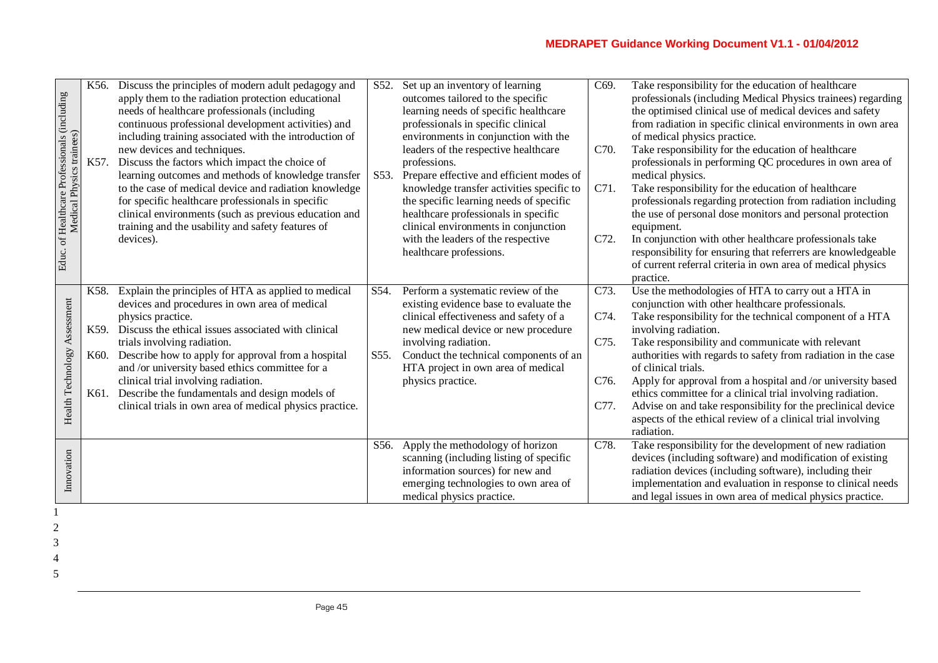| Educ. of Healthcare Professionals (including<br>Medical Physics trainees) | K56.<br>K57.                 | Discuss the principles of modern adult pedagogy and<br>apply them to the radiation protection educational<br>needs of healthcare professionals (including<br>continuous professional development activities) and<br>including training associated with the introduction of<br>new devices and techniques.<br>Discuss the factors which impact the choice of<br>learning outcomes and methods of knowledge transfer<br>to the case of medical device and radiation knowledge<br>for specific healthcare professionals in specific<br>clinical environments (such as previous education and<br>training and the usability and safety features of<br>devices). | S52.<br>S53. | Set up an inventory of learning<br>outcomes tailored to the specific<br>learning needs of specific healthcare<br>professionals in specific clinical<br>environments in conjunction with the<br>leaders of the respective healthcare<br>professions.<br>Prepare effective and efficient modes of<br>knowledge transfer activities specific to<br>the specific learning needs of specific<br>healthcare professionals in specific<br>clinical environments in conjunction<br>with the leaders of the respective<br>healthcare professions. | C69.<br>C70.<br>C71.<br>C72.         | Take responsibility for the education of healthcare<br>professionals (including Medical Physics trainees) regarding<br>the optimised clinical use of medical devices and safety<br>from radiation in specific clinical environments in own area<br>of medical physics practice.<br>Take responsibility for the education of healthcare<br>professionals in performing QC procedures in own area of<br>medical physics.<br>Take responsibility for the education of healthcare<br>professionals regarding protection from radiation including<br>the use of personal dose monitors and personal protection<br>equipment.<br>In conjunction with other healthcare professionals take<br>responsibility for ensuring that referrers are knowledgeable<br>of current referral criteria in own area of medical physics<br>practice. |
|---------------------------------------------------------------------------|------------------------------|-------------------------------------------------------------------------------------------------------------------------------------------------------------------------------------------------------------------------------------------------------------------------------------------------------------------------------------------------------------------------------------------------------------------------------------------------------------------------------------------------------------------------------------------------------------------------------------------------------------------------------------------------------------|--------------|------------------------------------------------------------------------------------------------------------------------------------------------------------------------------------------------------------------------------------------------------------------------------------------------------------------------------------------------------------------------------------------------------------------------------------------------------------------------------------------------------------------------------------------|--------------------------------------|--------------------------------------------------------------------------------------------------------------------------------------------------------------------------------------------------------------------------------------------------------------------------------------------------------------------------------------------------------------------------------------------------------------------------------------------------------------------------------------------------------------------------------------------------------------------------------------------------------------------------------------------------------------------------------------------------------------------------------------------------------------------------------------------------------------------------------|
| Assessment<br>Health Technology                                           | K58.<br>K59.<br>K60.<br>K61. | Explain the principles of HTA as applied to medical<br>devices and procedures in own area of medical<br>physics practice.<br>Discuss the ethical issues associated with clinical<br>trials involving radiation.<br>Describe how to apply for approval from a hospital<br>and /or university based ethics committee for a<br>clinical trial involving radiation.<br>Describe the fundamentals and design models of<br>clinical trials in own area of medical physics practice.                                                                                                                                                                               | S54.<br>S55. | Perform a systematic review of the<br>existing evidence base to evaluate the<br>clinical effectiveness and safety of a<br>new medical device or new procedure<br>involving radiation.<br>Conduct the technical components of an<br>HTA project in own area of medical<br>physics practice.                                                                                                                                                                                                                                               | C73.<br>C74.<br>C75.<br>C76.<br>C77. | Use the methodologies of HTA to carry out a HTA in<br>conjunction with other healthcare professionals.<br>Take responsibility for the technical component of a HTA<br>involving radiation.<br>Take responsibility and communicate with relevant<br>authorities with regards to safety from radiation in the case<br>of clinical trials.<br>Apply for approval from a hospital and /or university based<br>ethics committee for a clinical trial involving radiation.<br>Advise on and take responsibility for the preclinical device<br>aspects of the ethical review of a clinical trial involving<br>radiation.                                                                                                                                                                                                              |
| Innovation                                                                |                              |                                                                                                                                                                                                                                                                                                                                                                                                                                                                                                                                                                                                                                                             | S56.         | Apply the methodology of horizon<br>scanning (including listing of specific<br>information sources) for new and<br>emerging technologies to own area of<br>medical physics practice.                                                                                                                                                                                                                                                                                                                                                     | C78.                                 | Take responsibility for the development of new radiation<br>devices (including software) and modification of existing<br>radiation devices (including software), including their<br>implementation and evaluation in response to clinical needs<br>and legal issues in own area of medical physics practice.                                                                                                                                                                                                                                                                                                                                                                                                                                                                                                                   |

- 2
- 3
- 4
- 5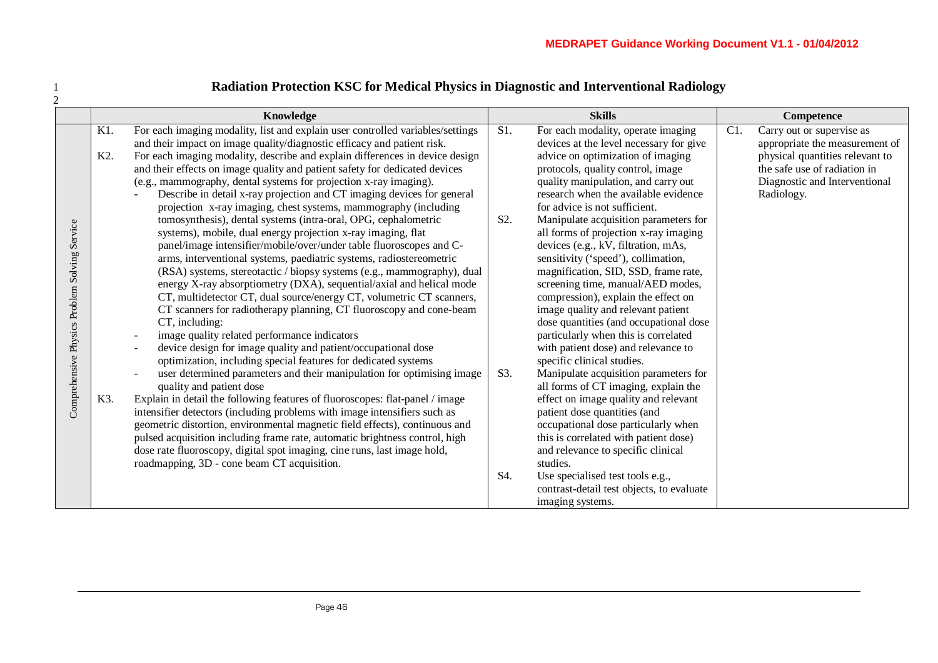|                                                  | Radiation Protection KSC for Medical Physics in Diagnostic and Interventional Radiology |                                                                                                                                                                                                                                                                                                                                                                                                                                                                                                                                                                                                                                                                                                                                                                                                                                                                                                                                                                                                                                                                                                                                                                                                                                                                                                                                                                                                                                                                                                                                                                                                                                                                                                                                                                                                                                                                                              |                                |                                                                                                                                                                                                                                                                                                                                                                                                                                                                                                                                                                                                                                                                                                                                                                                                                                                                                                                                                                                                                                                     |     |                                                                                                                                                                               |  |  |  |  |  |
|--------------------------------------------------|-----------------------------------------------------------------------------------------|----------------------------------------------------------------------------------------------------------------------------------------------------------------------------------------------------------------------------------------------------------------------------------------------------------------------------------------------------------------------------------------------------------------------------------------------------------------------------------------------------------------------------------------------------------------------------------------------------------------------------------------------------------------------------------------------------------------------------------------------------------------------------------------------------------------------------------------------------------------------------------------------------------------------------------------------------------------------------------------------------------------------------------------------------------------------------------------------------------------------------------------------------------------------------------------------------------------------------------------------------------------------------------------------------------------------------------------------------------------------------------------------------------------------------------------------------------------------------------------------------------------------------------------------------------------------------------------------------------------------------------------------------------------------------------------------------------------------------------------------------------------------------------------------------------------------------------------------------------------------------------------------|--------------------------------|-----------------------------------------------------------------------------------------------------------------------------------------------------------------------------------------------------------------------------------------------------------------------------------------------------------------------------------------------------------------------------------------------------------------------------------------------------------------------------------------------------------------------------------------------------------------------------------------------------------------------------------------------------------------------------------------------------------------------------------------------------------------------------------------------------------------------------------------------------------------------------------------------------------------------------------------------------------------------------------------------------------------------------------------------------|-----|-------------------------------------------------------------------------------------------------------------------------------------------------------------------------------|--|--|--|--|--|
|                                                  |                                                                                         | Knowledge                                                                                                                                                                                                                                                                                                                                                                                                                                                                                                                                                                                                                                                                                                                                                                                                                                                                                                                                                                                                                                                                                                                                                                                                                                                                                                                                                                                                                                                                                                                                                                                                                                                                                                                                                                                                                                                                                    |                                | <b>Skills</b>                                                                                                                                                                                                                                                                                                                                                                                                                                                                                                                                                                                                                                                                                                                                                                                                                                                                                                                                                                                                                                       |     | Competence                                                                                                                                                                    |  |  |  |  |  |
| Service<br>Comprehensive Physics Problem Solving | K1.<br>K <sub>2</sub> .<br>K3.                                                          | For each imaging modality, list and explain user controlled variables/settings<br>and their impact on image quality/diagnostic efficacy and patient risk.<br>For each imaging modality, describe and explain differences in device design<br>and their effects on image quality and patient safety for dedicated devices<br>(e.g., mammography, dental systems for projection x-ray imaging).<br>Describe in detail x-ray projection and CT imaging devices for general<br>projection x-ray imaging, chest systems, mammography (including<br>tomosynthesis), dental systems (intra-oral, OPG, cephalometric<br>systems), mobile, dual energy projection x-ray imaging, flat<br>panel/image intensifier/mobile/over/under table fluoroscopes and C-<br>arms, interventional systems, paediatric systems, radiostereometric<br>(RSA) systems, stereotactic / biopsy systems (e.g., mammography), dual<br>energy X-ray absorptiometry (DXA), sequential/axial and helical mode<br>CT, multidetector CT, dual source/energy CT, volumetric CT scanners,<br>CT scanners for radiotherapy planning, CT fluoroscopy and cone-beam<br>CT, including:<br>image quality related performance indicators<br>device design for image quality and patient/occupational dose<br>optimization, including special features for dedicated systems<br>user determined parameters and their manipulation for optimising image<br>quality and patient dose<br>Explain in detail the following features of fluoroscopes: flat-panel / image<br>intensifier detectors (including problems with image intensifiers such as<br>geometric distortion, environmental magnetic field effects), continuous and<br>pulsed acquisition including frame rate, automatic brightness control, high<br>dose rate fluoroscopy, digital spot imaging, cine runs, last image hold,<br>roadmapping, 3D - cone beam CT acquisition. | S1.<br>S <sub>2</sub> .<br>S3. | For each modality, operate imaging<br>devices at the level necessary for give<br>advice on optimization of imaging<br>protocols, quality control, image<br>quality manipulation, and carry out<br>research when the available evidence<br>for advice is not sufficient.<br>Manipulate acquisition parameters for<br>all forms of projection x-ray imaging<br>devices (e.g., kV, filtration, mAs,<br>sensitivity ('speed'), collimation,<br>magnification, SID, SSD, frame rate,<br>screening time, manual/AED modes,<br>compression), explain the effect on<br>image quality and relevant patient<br>dose quantities (and occupational dose<br>particularly when this is correlated<br>with patient dose) and relevance to<br>specific clinical studies.<br>Manipulate acquisition parameters for<br>all forms of CT imaging, explain the<br>effect on image quality and relevant<br>patient dose quantities (and<br>occupational dose particularly when<br>this is correlated with patient dose)<br>and relevance to specific clinical<br>studies. | C1. | Carry out or supervise as<br>appropriate the measurement of<br>physical quantities relevant to<br>the safe use of radiation in<br>Diagnostic and Interventional<br>Radiology. |  |  |  |  |  |
|                                                  |                                                                                         |                                                                                                                                                                                                                                                                                                                                                                                                                                                                                                                                                                                                                                                                                                                                                                                                                                                                                                                                                                                                                                                                                                                                                                                                                                                                                                                                                                                                                                                                                                                                                                                                                                                                                                                                                                                                                                                                                              | S4.                            | Use specialised test tools e.g.,<br>contrast-detail test objects, to evaluate<br>imaging systems.                                                                                                                                                                                                                                                                                                                                                                                                                                                                                                                                                                                                                                                                                                                                                                                                                                                                                                                                                   |     |                                                                                                                                                                               |  |  |  |  |  |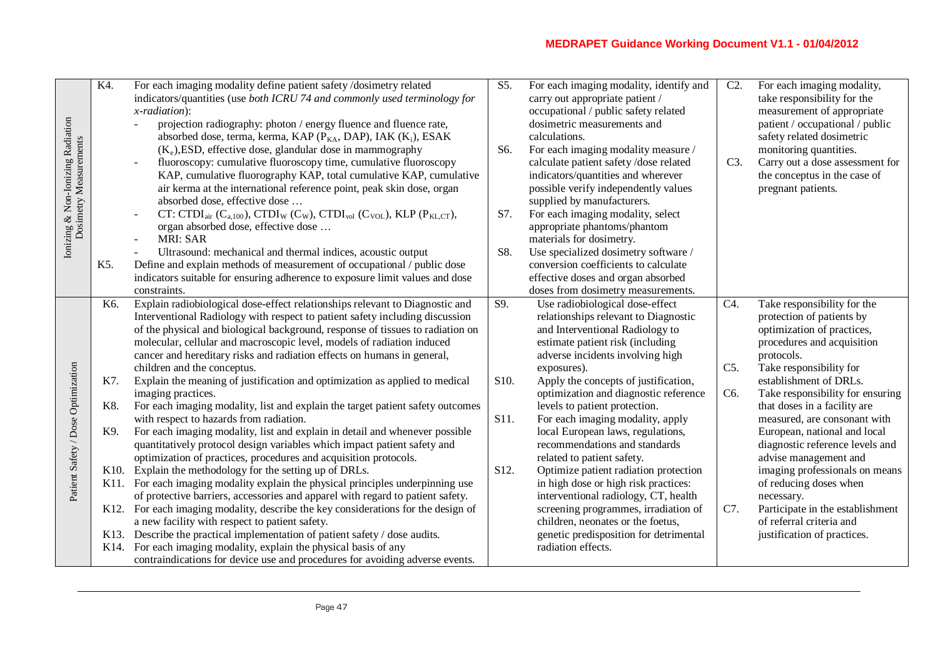| Ionizing & Non-Ionizing Radiation<br>Dosimetry Measurements | K4.               | For each imaging modality define patient safety /dosimetry related<br>indicators/quantities (use both ICRU 74 and commonly used terminology for<br>$x$ -radiation):<br>projection radiography: photon / energy fluence and fluence rate,<br>absorbed dose, terma, kerma, KAP (P <sub>KA</sub> , DAP), IAK (K <sub>i</sub> ), ESAK<br>$(K_e)$ , ESD, effective dose, glandular dose in mammography<br>fluoroscopy: cumulative fluoroscopy time, cumulative fluoroscopy<br>KAP, cumulative fluorography KAP, total cumulative KAP, cumulative<br>air kerma at the international reference point, peak skin dose, organ<br>absorbed dose, effective dose<br>CT: CTDI <sub>air</sub> (C <sub>a,100</sub> ), CTDI <sub>W</sub> (C <sub>W</sub> ), CTDI <sub>vol</sub> (C <sub>VOL</sub> ), KLP (P <sub>KLCT</sub> ),<br>organ absorbed dose, effective dose<br><b>MRI: SAR</b> | S5.<br>S6.<br>S7. | For each imaging modality, identify and<br>carry out appropriate patient /<br>occupational / public safety related<br>dosimetric measurements and<br>calculations.<br>For each imaging modality measure /<br>calculate patient safety /dose related<br>indicators/quantities and wherever<br>possible verify independently values<br>supplied by manufacturers.<br>For each imaging modality, select<br>appropriate phantoms/phantom<br>materials for dosimetry. | $C2$ .<br>C3. | For each imaging modality,<br>take responsibility for the<br>measurement of appropriate<br>patient / occupational / public<br>safety related dosimetric<br>monitoring quantities.<br>Carry out a dose assessment for<br>the conceptus in the case of<br>pregnant patients. |
|-------------------------------------------------------------|-------------------|---------------------------------------------------------------------------------------------------------------------------------------------------------------------------------------------------------------------------------------------------------------------------------------------------------------------------------------------------------------------------------------------------------------------------------------------------------------------------------------------------------------------------------------------------------------------------------------------------------------------------------------------------------------------------------------------------------------------------------------------------------------------------------------------------------------------------------------------------------------------------|-------------------|------------------------------------------------------------------------------------------------------------------------------------------------------------------------------------------------------------------------------------------------------------------------------------------------------------------------------------------------------------------------------------------------------------------------------------------------------------------|---------------|----------------------------------------------------------------------------------------------------------------------------------------------------------------------------------------------------------------------------------------------------------------------------|
|                                                             | K5.               | Ultrasound: mechanical and thermal indices, acoustic output<br>Define and explain methods of measurement of occupational / public dose<br>indicators suitable for ensuring adherence to exposure limit values and dose<br>constraints.                                                                                                                                                                                                                                                                                                                                                                                                                                                                                                                                                                                                                                    | S8.               | Use specialized dosimetry software /<br>conversion coefficients to calculate<br>effective doses and organ absorbed<br>doses from dosimetry measurements.                                                                                                                                                                                                                                                                                                         |               |                                                                                                                                                                                                                                                                            |
|                                                             | K6.               | Explain radiobiological dose-effect relationships relevant to Diagnostic and<br>Interventional Radiology with respect to patient safety including discussion<br>of the physical and biological background, response of tissues to radiation on<br>molecular, cellular and macroscopic level, models of radiation induced<br>cancer and hereditary risks and radiation effects on humans in general,<br>children and the conceptus.                                                                                                                                                                                                                                                                                                                                                                                                                                        | S9.               | Use radiobiological dose-effect<br>relationships relevant to Diagnostic<br>and Interventional Radiology to<br>estimate patient risk (including<br>adverse incidents involving high<br>exposures).                                                                                                                                                                                                                                                                | C4.<br>$C5$ . | Take responsibility for the<br>protection of patients by<br>optimization of practices,<br>procedures and acquisition<br>protocols.<br>Take responsibility for                                                                                                              |
|                                                             | K7.               | Explain the meaning of justification and optimization as applied to medical<br>imaging practices.                                                                                                                                                                                                                                                                                                                                                                                                                                                                                                                                                                                                                                                                                                                                                                         | S <sub>10</sub> . | Apply the concepts of justification,<br>optimization and diagnostic reference                                                                                                                                                                                                                                                                                                                                                                                    | C6.           | establishment of DRLs.<br>Take responsibility for ensuring                                                                                                                                                                                                                 |
|                                                             | K8.               | For each imaging modality, list and explain the target patient safety outcomes                                                                                                                                                                                                                                                                                                                                                                                                                                                                                                                                                                                                                                                                                                                                                                                            |                   | levels to patient protection.                                                                                                                                                                                                                                                                                                                                                                                                                                    |               | that doses in a facility are                                                                                                                                                                                                                                               |
| Patient Safety / Dose Optimization                          | K9.               | with respect to hazards from radiation.<br>For each imaging modality, list and explain in detail and whenever possible<br>quantitatively protocol design variables which impact patient safety and<br>optimization of practices, procedures and acquisition protocols.                                                                                                                                                                                                                                                                                                                                                                                                                                                                                                                                                                                                    | S <sub>11</sub> . | For each imaging modality, apply<br>local European laws, regulations,<br>recommendations and standards<br>related to patient safety.                                                                                                                                                                                                                                                                                                                             |               | measured, are consonant with<br>European, national and local<br>diagnostic reference levels and<br>advise management and                                                                                                                                                   |
|                                                             |                   | K10. Explain the methodology for the setting up of DRLs.<br>K11. For each imaging modality explain the physical principles underpinning use<br>of protective barriers, accessories and apparel with regard to patient safety.                                                                                                                                                                                                                                                                                                                                                                                                                                                                                                                                                                                                                                             | S12.              | Optimize patient radiation protection<br>in high dose or high risk practices:<br>interventional radiology, CT, health                                                                                                                                                                                                                                                                                                                                            |               | imaging professionals on means<br>of reducing doses when<br>necessary.                                                                                                                                                                                                     |
|                                                             | K <sub>12</sub> . | For each imaging modality, describe the key considerations for the design of<br>a new facility with respect to patient safety.                                                                                                                                                                                                                                                                                                                                                                                                                                                                                                                                                                                                                                                                                                                                            |                   | screening programmes, irradiation of<br>children, neonates or the foetus,                                                                                                                                                                                                                                                                                                                                                                                        | C7.           | Participate in the establishment<br>of referral criteria and                                                                                                                                                                                                               |
|                                                             | K14.              | K13. Describe the practical implementation of patient safety / dose audits.<br>For each imaging modality, explain the physical basis of any<br>contraindications for device use and procedures for avoiding adverse events.                                                                                                                                                                                                                                                                                                                                                                                                                                                                                                                                                                                                                                               |                   | genetic predisposition for detrimental<br>radiation effects.                                                                                                                                                                                                                                                                                                                                                                                                     |               | justification of practices.                                                                                                                                                                                                                                                |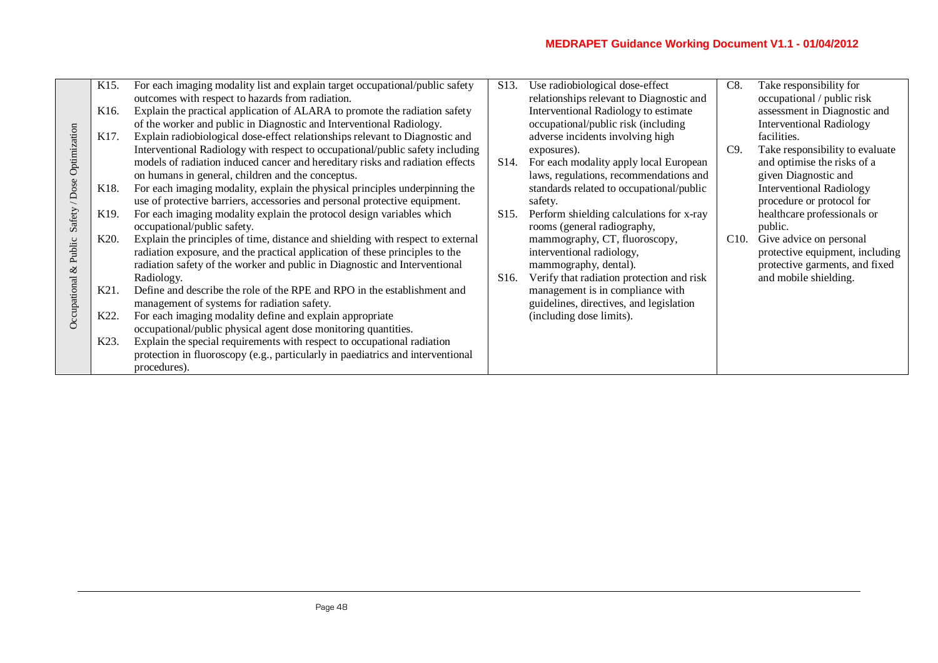|              | K <sub>15</sub> . | For each imaging modality list and explain target occupational/public safety                    | S <sub>13</sub> . | Use radiobiological dose-effect           | C8.  | Take responsibility for         |
|--------------|-------------------|-------------------------------------------------------------------------------------------------|-------------------|-------------------------------------------|------|---------------------------------|
|              |                   | outcomes with respect to hazards from radiation.                                                |                   | relationships relevant to Diagnostic and  |      | occupational / public risk      |
|              | K <sub>16</sub> . | Explain the practical application of ALARA to promote the radiation safety                      |                   | Interventional Radiology to estimate      |      | assessment in Diagnostic and    |
|              |                   | of the worker and public in Diagnostic and Interventional Radiology.                            |                   | occupational/public risk (including       |      | <b>Interventional Radiology</b> |
|              | K17.              | Explain radiobiological dose-effect relationships relevant to Diagnostic and                    |                   | adverse incidents involving high          |      | facilities.                     |
|              |                   | Interventional Radiology with respect to occupational/public safety including                   |                   | exposures).                               | C9.  | Take responsibility to evaluate |
| Optimization |                   | models of radiation induced cancer and hereditary risks and radiation effects                   | S <sub>14</sub> . | For each modality apply local European    |      | and optimise the risks of a     |
|              |                   | on humans in general, children and the conceptus.                                               |                   | laws, regulations, recommendations and    |      | given Diagnostic and            |
| / Dose       | K <sub>18</sub> . | For each imaging modality, explain the physical principles underpinning the                     |                   | standards related to occupational/public  |      | <b>Interventional Radiology</b> |
|              |                   | use of protective barriers, accessories and personal protective equipment.                      |                   | safety.                                   |      | procedure or protocol for       |
| Safety       | K <sub>19</sub> . | For each imaging modality explain the protocol design variables which                           | S <sub>15</sub> . | Perform shielding calculations for x-ray  |      | healthcare professionals or     |
|              |                   | occupational/public safety.                                                                     |                   | rooms (general radiography,               |      | public.                         |
|              | K <sub>20</sub> . | Explain the principles of time, distance and shielding with respect to external                 |                   | mammography, CT, fluoroscopy,             | C10. | Give advice on personal         |
| $&$ Public   |                   | radiation exposure, and the practical application of these principles to the                    |                   | interventional radiology,                 |      | protective equipment, including |
|              |                   | radiation safety of the worker and public in Diagnostic and Interventional                      |                   | mammography, dental).                     |      | protective garments, and fixed  |
|              |                   | Radiology.                                                                                      | S <sub>16</sub> . | Verify that radiation protection and risk |      | and mobile shielding.           |
| Occupational | K21.              | Define and describe the role of the RPE and RPO in the establishment and                        |                   | management is in compliance with          |      |                                 |
|              |                   | management of systems for radiation safety.                                                     |                   | guidelines, directives, and legislation   |      |                                 |
|              | K22.              | For each imaging modality define and explain appropriate                                        |                   | (including dose limits).                  |      |                                 |
|              |                   | occupational/public physical agent dose monitoring quantities.                                  |                   |                                           |      |                                 |
|              | K <sub>23</sub> . | Explain the special requirements with respect to occupational radiation                         |                   |                                           |      |                                 |
|              |                   | protection in fluoroscopy (e.g., particularly in paediatrics and interventional<br>procedures). |                   |                                           |      |                                 |
|              |                   |                                                                                                 |                   |                                           |      |                                 |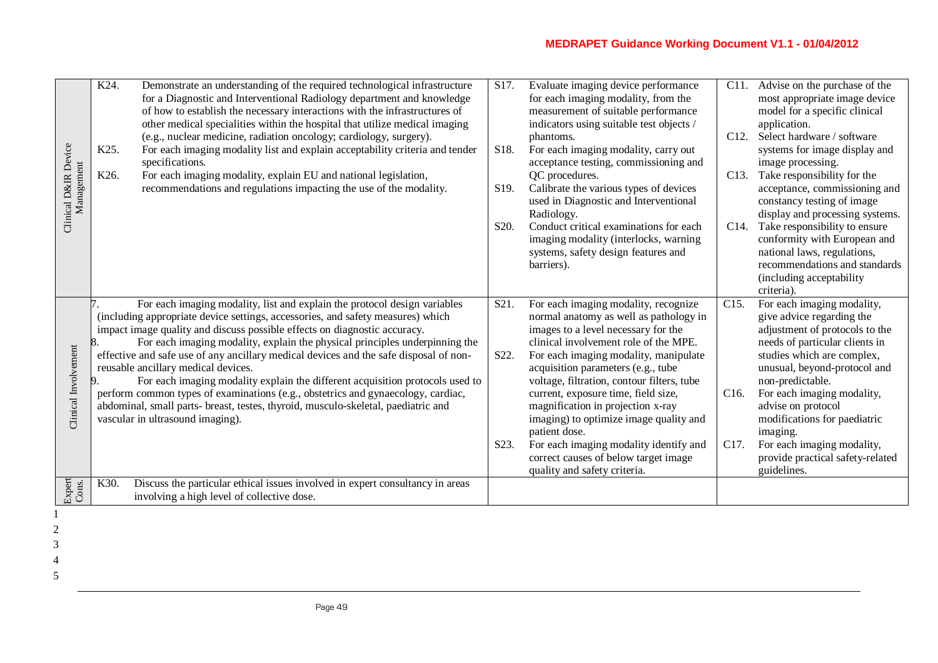| Clinical D&IR Device<br>Management | K24.<br>K25.<br>K26. | Demonstrate an understanding of the required technological infrastructure<br>for a Diagnostic and Interventional Radiology department and knowledge<br>of how to establish the necessary interactions with the infrastructures of<br>other medical specialities within the hospital that utilize medical imaging<br>(e.g., nuclear medicine, radiation oncology; cardiology, surgery).<br>For each imaging modality list and explain acceptability criteria and tender<br>specifications.<br>For each imaging modality, explain EU and national legislation,<br>recommendations and regulations impacting the use of the modality.                                                                                 | S17.<br>S <sub>18</sub> .<br>S <sub>19</sub> . | Evaluate imaging device performance<br>for each imaging modality, from the<br>measurement of suitable performance<br>indicators using suitable test objects /<br>phantoms.<br>For each imaging modality, carry out<br>acceptance testing, commissioning and<br>QC procedures.<br>Calibrate the various types of devices<br>used in Diagnostic and Interventional<br>Radiology. | C <sub>11</sub> .<br>C12.<br>C <sub>13</sub> . | Advise on the purchase of the<br>most appropriate image device<br>model for a specific clinical<br>application.<br>Select hardware / software<br>systems for image display and<br>image processing.<br>Take responsibility for the<br>acceptance, commissioning and<br>constancy testing of image<br>display and processing systems. |
|------------------------------------|----------------------|--------------------------------------------------------------------------------------------------------------------------------------------------------------------------------------------------------------------------------------------------------------------------------------------------------------------------------------------------------------------------------------------------------------------------------------------------------------------------------------------------------------------------------------------------------------------------------------------------------------------------------------------------------------------------------------------------------------------|------------------------------------------------|--------------------------------------------------------------------------------------------------------------------------------------------------------------------------------------------------------------------------------------------------------------------------------------------------------------------------------------------------------------------------------|------------------------------------------------|--------------------------------------------------------------------------------------------------------------------------------------------------------------------------------------------------------------------------------------------------------------------------------------------------------------------------------------|
|                                    |                      |                                                                                                                                                                                                                                                                                                                                                                                                                                                                                                                                                                                                                                                                                                                    | S <sub>20</sub> .                              | Conduct critical examinations for each<br>imaging modality (interlocks, warning<br>systems, safety design features and<br>barriers).                                                                                                                                                                                                                                           | C14.                                           | Take responsibility to ensure<br>conformity with European and<br>national laws, regulations,<br>recommendations and standards<br>(including acceptability<br>criteria).                                                                                                                                                              |
| Clinical Involvement               |                      | For each imaging modality, list and explain the protocol design variables<br>(including appropriate device settings, accessories, and safety measures) which<br>impact image quality and discuss possible effects on diagnostic accuracy.<br>For each imaging modality, explain the physical principles underpinning the<br>effective and safe use of any ancillary medical devices and the safe disposal of non-<br>reusable ancillary medical devices.<br>For each imaging modality explain the different acquisition protocols used to<br>perform common types of examinations (e.g., obstetrics and gynaecology, cardiac,<br>abdominal, small parts- breast, testes, thyroid, musculo-skeletal, paediatric and | S <sub>21</sub> .<br>S22.                      | For each imaging modality, recognize<br>normal anatomy as well as pathology in<br>images to a level necessary for the<br>clinical involvement role of the MPE.<br>For each imaging modality, manipulate<br>acquisition parameters (e.g., tube<br>voltage, filtration, contour filters, tube<br>current, exposure time, field size,<br>magnification in projection x-ray        | C15.<br>C <sub>16</sub> .                      | For each imaging modality,<br>give advice regarding the<br>adjustment of protocols to the<br>needs of particular clients in<br>studies which are complex,<br>unusual, beyond-protocol and<br>non-predictable.<br>For each imaging modality,<br>advise on protocol                                                                    |
|                                    |                      | vascular in ultrasound imaging).                                                                                                                                                                                                                                                                                                                                                                                                                                                                                                                                                                                                                                                                                   | S <sub>2</sub> 3.                              | imaging) to optimize image quality and<br>patient dose.<br>For each imaging modality identify and<br>correct causes of below target image<br>quality and safety criteria.                                                                                                                                                                                                      | C17.                                           | modifications for paediatric<br>imaging.<br>For each imaging modality,<br>provide practical safety-related<br>guidelines.                                                                                                                                                                                                            |
| Expert<br>Cons.                    | K30.                 | Discuss the particular ethical issues involved in expert consultancy in areas<br>involving a high level of collective dose.                                                                                                                                                                                                                                                                                                                                                                                                                                                                                                                                                                                        |                                                |                                                                                                                                                                                                                                                                                                                                                                                |                                                |                                                                                                                                                                                                                                                                                                                                      |
|                                    |                      |                                                                                                                                                                                                                                                                                                                                                                                                                                                                                                                                                                                                                                                                                                                    |                                                |                                                                                                                                                                                                                                                                                                                                                                                |                                                |                                                                                                                                                                                                                                                                                                                                      |

- 2 3
- 4
- 5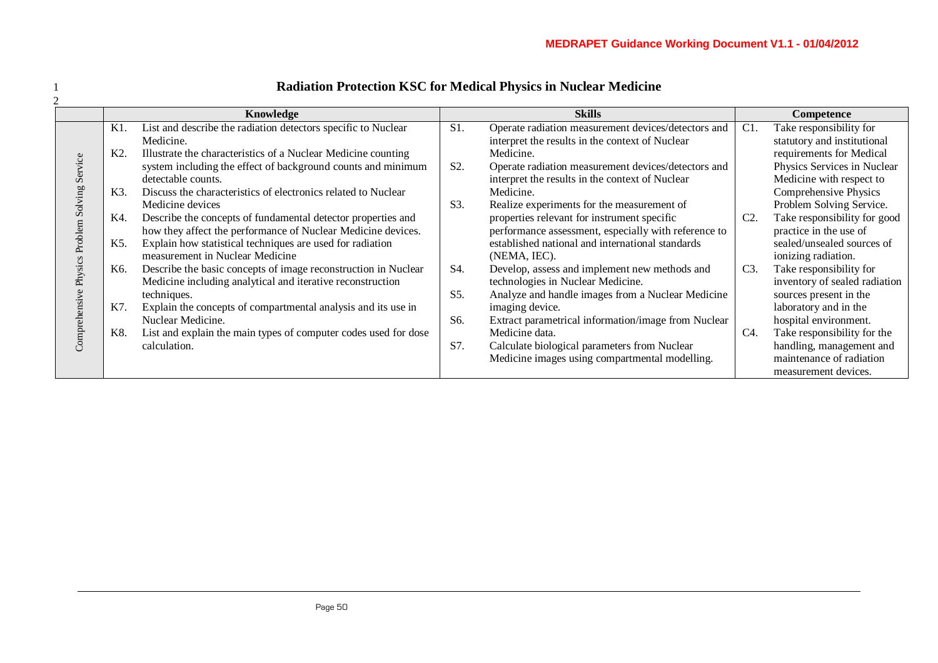|                      |            | Knowledge                                                                                                                                           |                  | <b>Skills</b>                                                                                                                                     |     | Competence                                                                                                  |
|----------------------|------------|-----------------------------------------------------------------------------------------------------------------------------------------------------|------------------|---------------------------------------------------------------------------------------------------------------------------------------------------|-----|-------------------------------------------------------------------------------------------------------------|
|                      | K1.<br>K2. | List and describe the radiation detectors specific to Nuclear<br>Medicine.<br>Illustrate the characteristics of a Nuclear Medicine counting         | S1.              | Operate radiation measurement devices/detectors and<br>interpret the results in the context of Nuclear<br>Medicine.                               | C1. | Take responsibility for<br>statutory and institutional<br>requirements for Medical                          |
| Service              | K3.        | system including the effect of background counts and minimum<br>detectable counts.<br>Discuss the characteristics of electronics related to Nuclear | S <sub>2</sub> . | Operate radiation measurement devices/detectors and<br>interpret the results in the context of Nuclear<br>Medicine.                               |     | Physics Services in Nuclear<br>Medicine with respect to<br>Comprehensive Physics                            |
| olving<br>Ō          | K4.        | Medicine devices<br>Describe the concepts of fundamental detector properties and<br>how they affect the performance of Nuclear Medicine devices.    | S3.              | Realize experiments for the measurement of<br>properties relevant for instrument specific<br>performance assessment, especially with reference to | C2. | Problem Solving Service.<br>Take responsibility for good<br>practice in the use of                          |
| Problem              | K5.        | Explain how statistical techniques are used for radiation<br>measurement in Nuclear Medicine                                                        |                  | established national and international standards<br>(NEMA, IEC).                                                                                  |     | sealed/unsealed sources of<br>ionizing radiation.                                                           |
| <b>Physics</b><br>ye | K6.        | Describe the basic concepts of image reconstruction in Nuclear<br>Medicine including analytical and iterative reconstruction<br>techniques.         | S4.<br>$S5$ .    | Develop, assess and implement new methods and<br>technologies in Nuclear Medicine.<br>Analyze and handle images from a Nuclear Medicine           | C3. | Take responsibility for<br>inventory of sealed radiation<br>sources present in the                          |
| Comprehensi          | K7.        | Explain the concepts of compartmental analysis and its use in<br>Nuclear Medicine.                                                                  | S6.              | imaging device.<br>Extract parametrical information/image from Nuclear                                                                            |     | laboratory and in the<br>hospital environment.                                                              |
|                      | K8.        | List and explain the main types of computer codes used for dose<br>calculation.                                                                     | S7.              | Medicine data.<br>Calculate biological parameters from Nuclear<br>Medicine images using compartmental modelling.                                  | C4. | Take responsibility for the<br>handling, management and<br>maintenance of radiation<br>measurement devices. |

# 1 **Radiation Protection KSC for Medical Physics in Nuclear Medicine**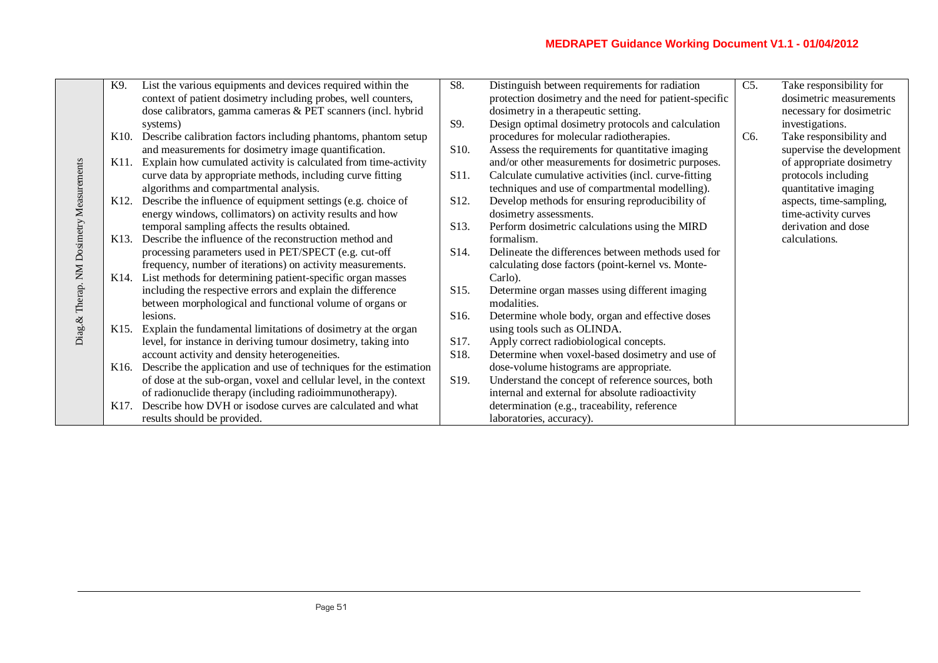|                           | K9.               | List the various equipments and devices required within the            | S8.               | Distinguish between requirements for radiation         | C5.              | Take responsibility for   |
|---------------------------|-------------------|------------------------------------------------------------------------|-------------------|--------------------------------------------------------|------------------|---------------------------|
|                           |                   | context of patient dosimetry including probes, well counters,          |                   | protection dosimetry and the need for patient-specific |                  | dosimetric measurements   |
|                           |                   | dose calibrators, gamma cameras & PET scanners (incl. hybrid           |                   | dosimetry in a therapeutic setting.                    |                  | necessary for dosimetric  |
|                           |                   | systems)                                                               | S9.               | Design optimal dosimetry protocols and calculation     |                  | investigations.           |
|                           |                   | K10. Describe calibration factors including phantoms, phantom setup    |                   | procedures for molecular radiotherapies.               | C <sub>6</sub> . | Take responsibility and   |
|                           |                   | and measurements for dosimetry image quantification.                   | S <sub>10</sub> . | Assess the requirements for quantitative imaging       |                  | supervise the development |
|                           |                   | K11. Explain how cumulated activity is calculated from time-activity   |                   | and/or other measurements for dosimetric purposes.     |                  | of appropriate dosimetry  |
|                           |                   | curve data by appropriate methods, including curve fitting             | S <sub>11</sub> . | Calculate cumulative activities (incl. curve-fitting   |                  | protocols including       |
|                           |                   | algorithms and compartmental analysis.                                 |                   | techniques and use of compartmental modelling).        |                  | quantitative imaging      |
|                           |                   | K12. Describe the influence of equipment settings (e.g. choice of      | S <sub>12</sub> . | Develop methods for ensuring reproducibility of        |                  | aspects, time-sampling,   |
|                           |                   | energy windows, collimators) on activity results and how               |                   | dosimetry assessments.                                 |                  | time-activity curves      |
|                           |                   | temporal sampling affects the results obtained.                        | S <sub>13</sub> . | Perform dosimetric calculations using the MIRD         |                  | derivation and dose       |
|                           | K13.              | Describe the influence of the reconstruction method and                |                   | formalism.                                             |                  | calculations.             |
| NM Dosimetry Measurements |                   | processing parameters used in PET/SPECT (e.g. cut-off                  | S <sub>14</sub> . | Delineate the differences between methods used for     |                  |                           |
|                           |                   | frequency, number of iterations) on activity measurements.             |                   | calculating dose factors (point-kernel vs. Monte-      |                  |                           |
|                           |                   | K14. List methods for determining patient-specific organ masses        |                   | Carlo).                                                |                  |                           |
|                           |                   | including the respective errors and explain the difference             | S <sub>15</sub> . | Determine organ masses using different imaging         |                  |                           |
| Diag.& Therap.            |                   | between morphological and functional volume of organs or               |                   | modalities.                                            |                  |                           |
|                           |                   | lesions.                                                               | S <sub>16</sub> . | Determine whole body, organ and effective doses        |                  |                           |
|                           |                   | K15. Explain the fundamental limitations of dosimetry at the organ     |                   | using tools such as OLINDA.                            |                  |                           |
|                           |                   | level, for instance in deriving tumour dosimetry, taking into          | S <sub>17</sub> . | Apply correct radiobiological concepts.                |                  |                           |
|                           |                   | account activity and density heterogeneities.                          | S18.              | Determine when voxel-based dosimetry and use of        |                  |                           |
|                           |                   | K16. Describe the application and use of techniques for the estimation |                   | dose-volume histograms are appropriate.                |                  |                           |
|                           |                   | of dose at the sub-organ, voxel and cellular level, in the context     | S <sub>19</sub> . | Understand the concept of reference sources, both      |                  |                           |
|                           |                   | of radionuclide therapy (including radioimmunotherapy).                |                   | internal and external for absolute radioactivity       |                  |                           |
|                           | K <sub>17</sub> . | Describe how DVH or isodose curves are calculated and what             |                   | determination (e.g., traceability, reference           |                  |                           |
|                           |                   | results should be provided.                                            |                   | laboratories, accuracy).                               |                  |                           |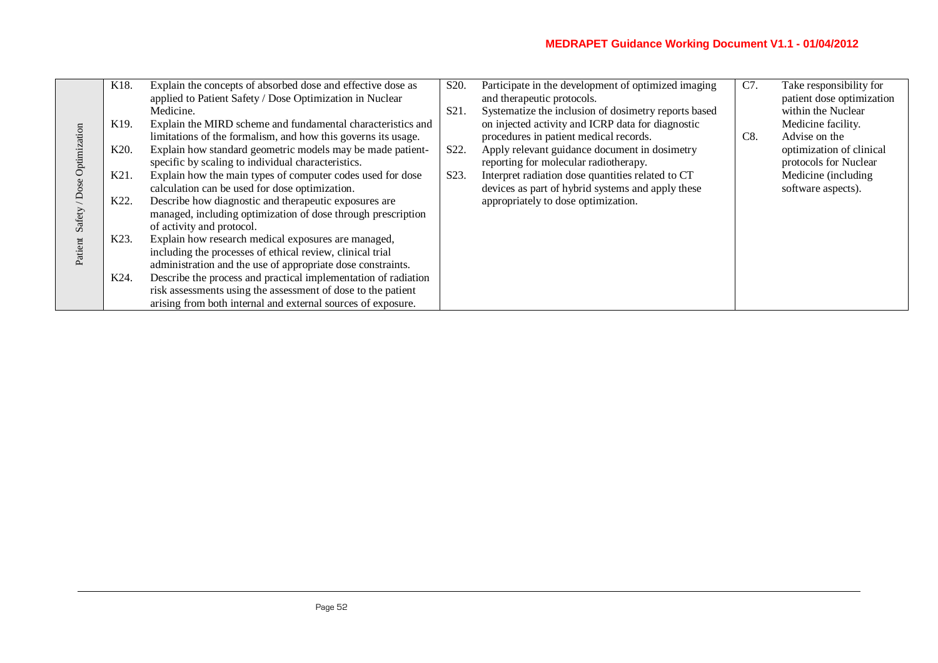|                     | K18.              | Explain the concepts of absorbed dose and effective dose as    | S <sub>20</sub> . | Participate in the development of optimized imaging  | C7. | Take responsibility for   |
|---------------------|-------------------|----------------------------------------------------------------|-------------------|------------------------------------------------------|-----|---------------------------|
|                     |                   | applied to Patient Safety / Dose Optimization in Nuclear       |                   | and therapeutic protocols.                           |     | patient dose optimization |
|                     |                   | Medicine.                                                      | S <sub>21</sub> . | Systematize the inclusion of dosimetry reports based |     | within the Nuclear        |
|                     | K <sub>19</sub> . | Explain the MIRD scheme and fundamental characteristics and    |                   | on injected activity and ICRP data for diagnostic    |     | Medicine facility.        |
|                     |                   | limitations of the formalism, and how this governs its usage.  |                   | procedures in patient medical records.               | C8. | Advise on the             |
| / Dose Optimization | K <sub>20</sub> . | Explain how standard geometric models may be made patient-     | S22.              | Apply relevant guidance document in dosimetry        |     | optimization of clinical  |
|                     |                   | specific by scaling to individual characteristics.             |                   | reporting for molecular radiotherapy.                |     | protocols for Nuclear     |
|                     | K21.              | Explain how the main types of computer codes used for dose     | S23.              | Interpret radiation dose quantities related to CT    |     | Medicine (including       |
|                     |                   | calculation can be used for dose optimization.                 |                   | devices as part of hybrid systems and apply these    |     | software aspects).        |
|                     | K22.              | Describe how diagnostic and therapeutic exposures are          |                   | appropriately to dose optimization.                  |     |                           |
| Safety              |                   | managed, including optimization of dose through prescription   |                   |                                                      |     |                           |
|                     |                   | of activity and protocol.                                      |                   |                                                      |     |                           |
|                     | K23.              | Explain how research medical exposures are managed,            |                   |                                                      |     |                           |
| Patient             |                   | including the processes of ethical review, clinical trial      |                   |                                                      |     |                           |
|                     |                   | administration and the use of appropriate dose constraints.    |                   |                                                      |     |                           |
|                     | K24.              | Describe the process and practical implementation of radiation |                   |                                                      |     |                           |
|                     |                   | risk assessments using the assessment of dose to the patient   |                   |                                                      |     |                           |
|                     |                   | arising from both internal and external sources of exposure.   |                   |                                                      |     |                           |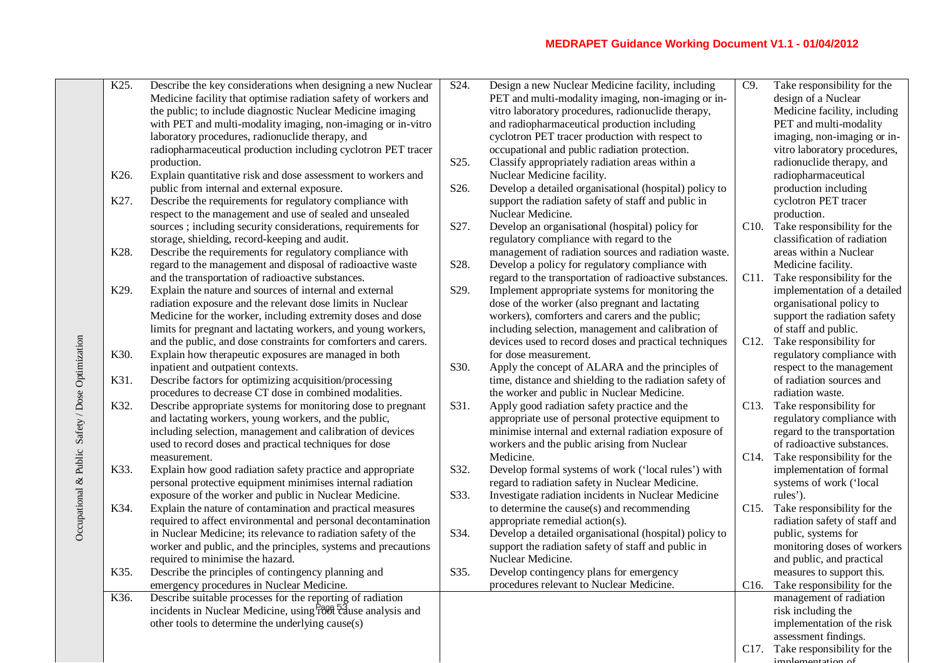|                                                  | K25.              | Describe the key considerations when designing a new Nuclear                                                                            | S24.              | Design a new Nuclear Medicine facility, including       | C9.               | Take responsibility for the                   |
|--------------------------------------------------|-------------------|-----------------------------------------------------------------------------------------------------------------------------------------|-------------------|---------------------------------------------------------|-------------------|-----------------------------------------------|
|                                                  |                   | Medicine facility that optimise radiation safety of workers and                                                                         |                   | PET and multi-modality imaging, non-imaging or in-      |                   | design of a Nuclear                           |
|                                                  |                   | the public; to include diagnostic Nuclear Medicine imaging                                                                              |                   | vitro laboratory procedures, radionuclide therapy,      |                   | Medicine facility, including                  |
|                                                  |                   | with PET and multi-modality imaging, non-imaging or in-vitro                                                                            |                   | and radiopharmaceutical production including            |                   | PET and multi-modality                        |
|                                                  |                   | laboratory procedures, radionuclide therapy, and                                                                                        |                   | cyclotron PET tracer production with respect to         |                   | imaging, non-imaging or in-                   |
|                                                  |                   | radiopharmaceutical production including cyclotron PET tracer                                                                           |                   | occupational and public radiation protection.           |                   | vitro laboratory procedures,                  |
|                                                  |                   | production.                                                                                                                             | S25.              | Classify appropriately radiation areas within a         |                   | radionuclide therapy, and                     |
|                                                  | K <sub>26</sub> . | Explain quantitative risk and dose assessment to workers and                                                                            |                   | Nuclear Medicine facility.                              |                   | radiopharmaceutical                           |
|                                                  |                   | public from internal and external exposure.                                                                                             | S26.              | Develop a detailed organisational (hospital) policy to  |                   | production including                          |
|                                                  | K27.              | Describe the requirements for regulatory compliance with                                                                                |                   | support the radiation safety of staff and public in     |                   | cyclotron PET tracer                          |
|                                                  |                   | respect to the management and use of sealed and unsealed                                                                                |                   | Nuclear Medicine.                                       |                   | production.                                   |
|                                                  |                   | sources; including security considerations, requirements for                                                                            | S <sub>27</sub> . | Develop an organisational (hospital) policy for         |                   | C10. Take responsibility for the              |
|                                                  |                   | storage, shielding, record-keeping and audit.                                                                                           |                   | regulatory compliance with regard to the                |                   | classification of radiation                   |
|                                                  | K28.              | Describe the requirements for regulatory compliance with                                                                                |                   | management of radiation sources and radiation waste.    |                   | areas within a Nuclear                        |
|                                                  |                   | regard to the management and disposal of radioactive waste                                                                              | S28.              | Develop a policy for regulatory compliance with         |                   | Medicine facility.                            |
|                                                  |                   | and the transportation of radioactive substances.                                                                                       |                   | regard to the transportation of radioactive substances. |                   | C11. Take responsibility for the              |
|                                                  | K <sub>29</sub> . | Explain the nature and sources of internal and external                                                                                 | S29.              | Implement appropriate systems for monitoring the        |                   | implementation of a detailed                  |
|                                                  |                   | radiation exposure and the relevant dose limits in Nuclear                                                                              |                   | dose of the worker (also pregnant and lactating         |                   | organisational policy to                      |
|                                                  |                   | Medicine for the worker, including extremity doses and dose                                                                             |                   | workers), comforters and carers and the public;         |                   | support the radiation safety                  |
|                                                  |                   | limits for pregnant and lactating workers, and young workers,                                                                           |                   | including selection, management and calibration of      |                   | of staff and public.                          |
|                                                  |                   | and the public, and dose constraints for comforters and carers.                                                                         |                   | devices used to record doses and practical techniques   | C <sub>12</sub> . | Take responsibility for                       |
| Occupational & Public Safety / Dose Optimization | K30.              | Explain how therapeutic exposures are managed in both                                                                                   |                   | for dose measurement.                                   |                   | regulatory compliance with                    |
|                                                  |                   | inpatient and outpatient contexts.                                                                                                      | S30.              | Apply the concept of ALARA and the principles of        |                   | respect to the management                     |
|                                                  | K31.              | Describe factors for optimizing acquisition/processing                                                                                  |                   | time, distance and shielding to the radiation safety of |                   | of radiation sources and                      |
|                                                  |                   | procedures to decrease CT dose in combined modalities.                                                                                  |                   | the worker and public in Nuclear Medicine.              |                   | radiation waste.                              |
|                                                  | K32.              | Describe appropriate systems for monitoring dose to pregnant                                                                            | S31.              | Apply good radiation safety practice and the            | C13.              | Take responsibility for                       |
|                                                  |                   | and lactating workers, young workers, and the public,                                                                                   |                   | appropriate use of personal protective equipment to     |                   | regulatory compliance with                    |
|                                                  |                   | including selection, management and calibration of devices                                                                              |                   | minimise internal and external radiation exposure of    |                   | regard to the transportation                  |
|                                                  |                   | used to record doses and practical techniques for dose                                                                                  |                   | workers and the public arising from Nuclear             |                   | of radioactive substances.                    |
|                                                  |                   | measurement.                                                                                                                            |                   | Medicine.                                               |                   | C14. Take responsibility for the              |
|                                                  | K33.              | Explain how good radiation safety practice and appropriate                                                                              | S32.              | Develop formal systems of work ('local rules') with     |                   | implementation of formal                      |
|                                                  |                   | personal protective equipment minimises internal radiation                                                                              |                   | regard to radiation safety in Nuclear Medicine.         |                   | systems of work ('local                       |
|                                                  |                   | exposure of the worker and public in Nuclear Medicine.                                                                                  | S33.              | Investigate radiation incidents in Nuclear Medicine     |                   | rules').                                      |
|                                                  | K34.              | Explain the nature of contamination and practical measures                                                                              |                   | to determine the cause(s) and recommending              | C15.              | Take responsibility for the                   |
|                                                  |                   | required to affect environmental and personal decontamination                                                                           |                   | appropriate remedial action(s).                         |                   | radiation safety of staff and                 |
|                                                  |                   | in Nuclear Medicine; its relevance to radiation safety of the                                                                           | S34.              | Develop a detailed organisational (hospital) policy to  |                   | public, systems for                           |
|                                                  |                   | worker and public, and the principles, systems and precautions                                                                          |                   | support the radiation safety of staff and public in     |                   | monitoring doses of workers                   |
|                                                  |                   | required to minimise the hazard.                                                                                                        |                   | Nuclear Medicine.                                       |                   | and public, and practical                     |
|                                                  | K35.              | Describe the principles of contingency planning and                                                                                     | S35.              | Develop contingency plans for emergency                 |                   | measures to support this.                     |
|                                                  |                   | emergency procedures in Nuclear Medicine.                                                                                               |                   | procedures relevant to Nuclear Medicine.                |                   | C16. Take responsibility for the              |
|                                                  | K36.              | Describe suitable processes for the reporting of radiation<br>incidents in Nuclear Medicine, using <sup>Poof</sup> t aluse analysis and |                   |                                                         |                   | management of radiation<br>risk including the |
|                                                  |                   | other tools to determine the underlying cause(s)                                                                                        |                   |                                                         |                   | implementation of the risk                    |
|                                                  |                   |                                                                                                                                         |                   |                                                         |                   | assessment findings.                          |
|                                                  |                   |                                                                                                                                         |                   |                                                         |                   | C17. Take responsibility for the              |
|                                                  |                   |                                                                                                                                         |                   |                                                         |                   | $implement_{\alpha}$                          |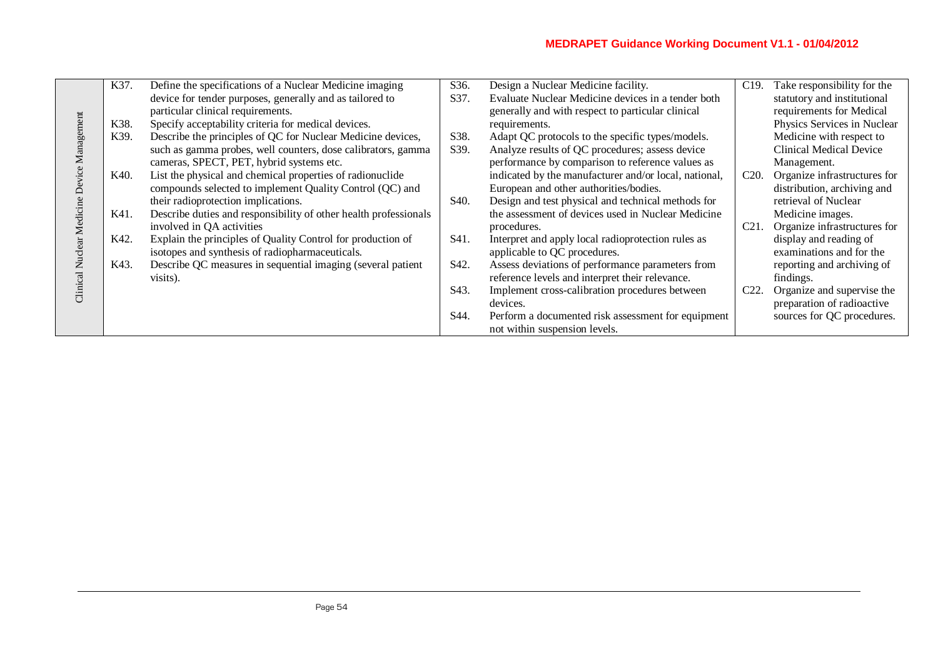| K37. | Define the specifications of a Nuclear Medicine imaging          | S36.              | Design a Nuclear Medicine facility.                   | C <sub>19</sub> . | Take responsibility for the    |
|------|------------------------------------------------------------------|-------------------|-------------------------------------------------------|-------------------|--------------------------------|
|      | device for tender purposes, generally and as tailored to         | S37.              | Evaluate Nuclear Medicine devices in a tender both    |                   | statutory and institutional    |
|      | particular clinical requirements.                                |                   | generally and with respect to particular clinical     |                   | requirements for Medical       |
| K38. | Specify acceptability criteria for medical devices.              |                   | requirements.                                         |                   | Physics Services in Nuclear    |
| K39. | Describe the principles of QC for Nuclear Medicine devices,      | S38.              | Adapt QC protocols to the specific types/models.      |                   | Medicine with respect to       |
|      | such as gamma probes, well counters, dose calibrators, gamma     | S39.              | Analyze results of QC procedures; assess device       |                   | <b>Clinical Medical Device</b> |
|      | cameras, SPECT, PET, hybrid systems etc.                         |                   | performance by comparison to reference values as      |                   |                                |
|      |                                                                  |                   |                                                       |                   | Management.                    |
| K40. | List the physical and chemical properties of radionuclide        |                   | indicated by the manufacturer and/or local, national, | C20.              | Organize infrastructures for   |
|      | compounds selected to implement Quality Control (QC) and         |                   | European and other authorities/bodies.                |                   | distribution, archiving and    |
|      | their radioprotection implications.                              | S <sub>40</sub> . | Design and test physical and technical methods for    |                   | retrieval of Nuclear           |
| K41. | Describe duties and responsibility of other health professionals |                   | the assessment of devices used in Nuclear Medicine    |                   | Medicine images.               |
|      | involved in QA activities                                        |                   | procedures.                                           | C <sub>21</sub> . | Organize infrastructures for   |
| K42. | Explain the principles of Quality Control for production of      | S41.              | Interpret and apply local radioprotection rules as    |                   | display and reading of         |
|      | isotopes and synthesis of radiopharmaceuticals.                  |                   | applicable to QC procedures.                          |                   | examinations and for the       |
| K43. | Describe QC measures in sequential imaging (several patient      | S <sub>42</sub> . | Assess deviations of performance parameters from      |                   | reporting and archiving of     |
|      | visits).                                                         |                   | reference levels and interpret their relevance.       |                   | findings.                      |
|      |                                                                  | S <sub>43</sub> . | Implement cross-calibration procedures between        | C22.              | Organize and supervise the     |
|      |                                                                  |                   | devices.                                              |                   | preparation of radioactive     |
|      |                                                                  | S44.              | Perform a documented risk assessment for equipment    |                   | sources for QC procedures.     |
|      |                                                                  |                   |                                                       |                   |                                |
|      |                                                                  |                   | not within suspension levels.                         |                   |                                |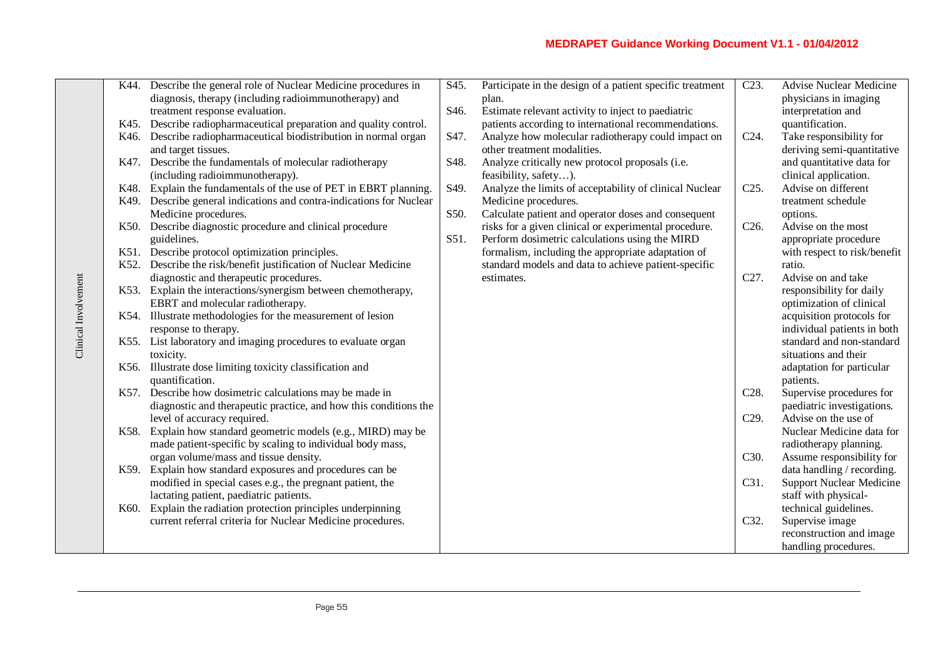|                      | K44. | Describe the general role of Nuclear Medicine procedures in        | S45.              | Participate in the design of a patient specific treatment | $\overline{C}23.$ | <b>Advise Nuclear Medicine</b>  |
|----------------------|------|--------------------------------------------------------------------|-------------------|-----------------------------------------------------------|-------------------|---------------------------------|
|                      |      | diagnosis, therapy (including radioimmunotherapy) and              |                   | plan.                                                     |                   | physicians in imaging           |
|                      |      | treatment response evaluation.                                     | S <sub>46</sub> . | Estimate relevant activity to inject to paediatric        |                   | interpretation and              |
|                      |      | K45. Describe radiopharmaceutical preparation and quality control. |                   | patients according to international recommendations.      |                   | quantification.                 |
|                      | K46. | Describe radiopharmaceutical biodistribution in normal organ       | S47.              | Analyze how molecular radiotherapy could impact on        | $C24$ .           | Take responsibility for         |
|                      |      | and target tissues.                                                |                   | other treatment modalities.                               |                   | deriving semi-quantitative      |
|                      | K47. | Describe the fundamentals of molecular radiotherapy                | S48.              | Analyze critically new protocol proposals (i.e.           |                   | and quantitative data for       |
|                      |      | (including radioimmunotherapy).                                    |                   | feasibility, safety).                                     |                   | clinical application.           |
|                      | K48. | Explain the fundamentals of the use of PET in EBRT planning.       | S49.              | Analyze the limits of acceptability of clinical Nuclear   | C25.              | Advise on different             |
|                      | K49. | Describe general indications and contra-indications for Nuclear    |                   | Medicine procedures.                                      |                   | treatment schedule              |
|                      |      | Medicine procedures.                                               | S50.              | Calculate patient and operator doses and consequent       |                   | options.                        |
|                      | K50. | Describe diagnostic procedure and clinical procedure               |                   | risks for a given clinical or experimental procedure.     | C <sub>26</sub> . | Advise on the most              |
|                      |      | guidelines.                                                        | S51.              | Perform dosimetric calculations using the MIRD            |                   | appropriate procedure           |
|                      |      | K51. Describe protocol optimization principles.                    |                   | formalism, including the appropriate adaptation of        |                   | with respect to risk/benefit    |
|                      | K52. | Describe the risk/benefit justification of Nuclear Medicine        |                   | standard models and data to achieve patient-specific      |                   | ratio.                          |
|                      |      | diagnostic and therapeutic procedures.                             |                   | estimates.                                                | C <sub>27</sub> . | Advise on and take              |
|                      |      | K53. Explain the interactions/synergism between chemotherapy,      |                   |                                                           |                   | responsibility for daily        |
|                      |      | EBRT and molecular radiotherapy.                                   |                   |                                                           |                   | optimization of clinical        |
| Clinical Involvement |      | K54. Illustrate methodologies for the measurement of lesion        |                   |                                                           |                   | acquisition protocols for       |
|                      |      | response to therapy.                                               |                   |                                                           |                   | individual patients in both     |
|                      |      | K55. List laboratory and imaging procedures to evaluate organ      |                   |                                                           |                   | standard and non-standard       |
|                      |      | toxicity.                                                          |                   |                                                           |                   | situations and their            |
|                      |      | K56. Illustrate dose limiting toxicity classification and          |                   |                                                           |                   | adaptation for particular       |
|                      |      | quantification.                                                    |                   |                                                           |                   | patients.                       |
|                      |      | K57. Describe how dosimetric calculations may be made in           |                   |                                                           | C <sub>28</sub> . | Supervise procedures for        |
|                      |      | diagnostic and therapeutic practice, and how this conditions the   |                   |                                                           |                   | paediatric investigations.      |
|                      |      | level of accuracy required.                                        |                   |                                                           | C <sub>29</sub> . | Advise on the use of            |
|                      | K58. | Explain how standard geometric models (e.g., MIRD) may be          |                   |                                                           |                   | Nuclear Medicine data for       |
|                      |      | made patient-specific by scaling to individual body mass,          |                   |                                                           |                   | radiotherapy planning.          |
|                      |      | organ volume/mass and tissue density.                              |                   |                                                           | C30.              | Assume responsibility for       |
|                      |      | K59. Explain how standard exposures and procedures can be          |                   |                                                           |                   | data handling / recording.      |
|                      |      | modified in special cases e.g., the pregnant patient, the          |                   |                                                           | C31.              | <b>Support Nuclear Medicine</b> |
|                      |      | lactating patient, paediatric patients.                            |                   |                                                           |                   | staff with physical-            |
|                      | K60. | Explain the radiation protection principles underpinning           |                   |                                                           |                   | technical guidelines.           |
|                      |      | current referral criteria for Nuclear Medicine procedures.         |                   |                                                           | C32.              | Supervise image                 |
|                      |      |                                                                    |                   |                                                           |                   | reconstruction and image        |
|                      |      |                                                                    |                   |                                                           |                   | handling procedures.            |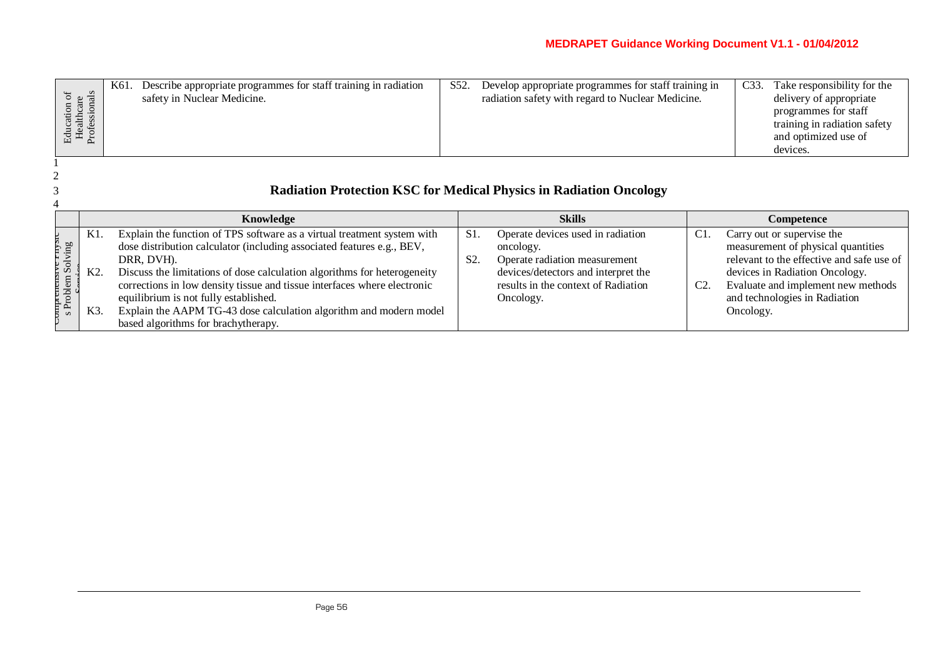| ) as | K61. | Describe appropriate programmes for staff training in radiation<br>safety in Nuclear Medicine. | S52. | Develop appropriate programmes for staff training in<br>radiation safety with regard to Nuclear Medicine. | C <sub>33</sub> . | Take responsibility for the<br>delivery of appropriate<br>programmes for staff<br>training in radiation safety<br>and optimized use of<br>devices. |
|------|------|------------------------------------------------------------------------------------------------|------|-----------------------------------------------------------------------------------------------------------|-------------------|----------------------------------------------------------------------------------------------------------------------------------------------------|
|      |      |                                                                                                |      |                                                                                                           |                   |                                                                                                                                                    |

# 3 **Radiation Protection KSC for Medical Physics in Radiation Oncology**

|                      |            | Knowledge                                                                                                                                                                                                                                   |                        | <b>Skills</b>                                                                                                          |                | Competence                                                                                                                                      |
|----------------------|------------|---------------------------------------------------------------------------------------------------------------------------------------------------------------------------------------------------------------------------------------------|------------------------|------------------------------------------------------------------------------------------------------------------------|----------------|-------------------------------------------------------------------------------------------------------------------------------------------------|
| $\tilde{\mathbf{a}}$ | K1.<br>K2. | Explain the function of TPS software as a virtual treatment system with<br>dose distribution calculator (including associated features e.g., BEV,<br>DRR, DVH).<br>Discuss the limitations of dose calculation algorithms for heterogeneity | S1<br>S <sub>2</sub> . | Operate devices used in radiation<br>oncology.<br>Operate radiation measurement<br>devices/detectors and interpret the | C <sub>1</sub> | Carry out or supervise the<br>measurement of physical quantities<br>relevant to the effective and safe use of<br>devices in Radiation Oncology. |
| Hroblem 9            | K3.        | corrections in low density tissue and tissue interfaces where electronic<br>equilibrium is not fully established.<br>Explain the AAPM TG-43 dose calculation algorithm and modern model<br>based algorithms for brachytherapy.              |                        | results in the context of Radiation<br>Oncology.                                                                       | C <sub>2</sub> | Evaluate and implement new methods<br>and technologies in Radiation<br>Oncology.                                                                |

 $\begin{array}{c} 2 \\ 3 \end{array}$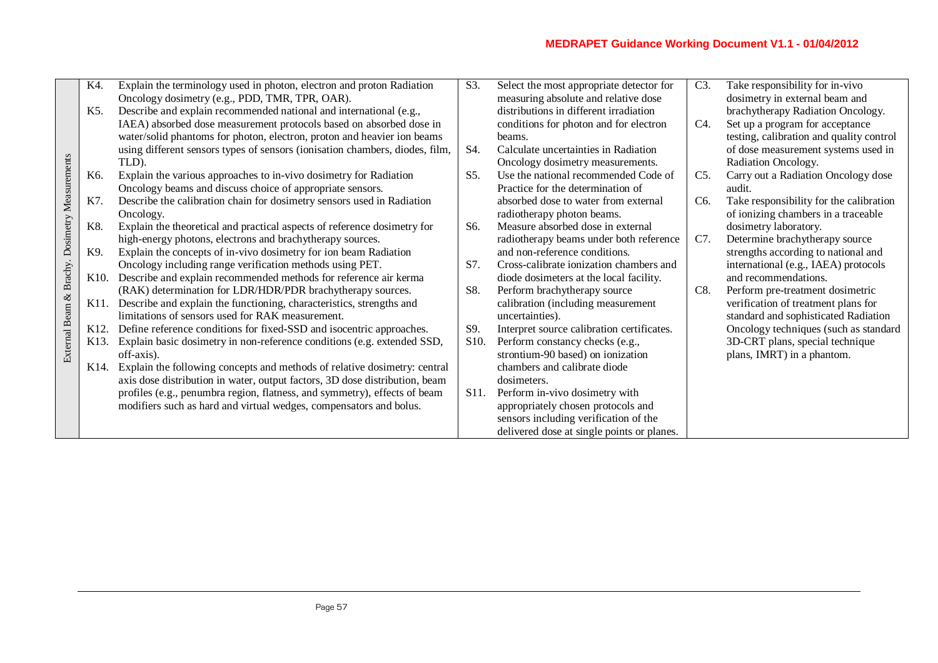| K4.  | Explain the terminology used in photon, electron and proton Radiation       | S3.                                                                                                                                                                                                                    | Select the most appropriate detector for   | C3.                                                                   | Take responsibility for in-vivo          |
|------|-----------------------------------------------------------------------------|------------------------------------------------------------------------------------------------------------------------------------------------------------------------------------------------------------------------|--------------------------------------------|-----------------------------------------------------------------------|------------------------------------------|
|      |                                                                             |                                                                                                                                                                                                                        |                                            |                                                                       |                                          |
|      | Oncology dosimetry (e.g., PDD, TMR, TPR, OAR).                              |                                                                                                                                                                                                                        | measuring absolute and relative dose       |                                                                       | dosimetry in external beam and           |
| K5.  | Describe and explain recommended national and international (e.g.,          |                                                                                                                                                                                                                        | distributions in different irradiation     |                                                                       | brachytherapy Radiation Oncology.        |
|      | IAEA) absorbed dose measurement protocols based on absorbed dose in         |                                                                                                                                                                                                                        | conditions for photon and for electron     | C4.                                                                   | Set up a program for acceptance          |
|      | water/solid phantoms for photon, electron, proton and heavier ion beams     |                                                                                                                                                                                                                        | beams.                                     |                                                                       | testing, calibration and quality control |
|      |                                                                             | S4.                                                                                                                                                                                                                    | Calculate uncertainties in Radiation       |                                                                       | of dose measurement systems used in      |
|      | TLD).                                                                       |                                                                                                                                                                                                                        |                                            |                                                                       | Radiation Oncology.                      |
| K6.  | Explain the various approaches to in-vivo dosimetry for Radiation           | S5.                                                                                                                                                                                                                    | Use the national recommended Code of       | C5.                                                                   | Carry out a Radiation Oncology dose      |
|      |                                                                             |                                                                                                                                                                                                                        | Practice for the determination of          |                                                                       | audit.                                   |
| K7.  | Describe the calibration chain for dosimetry sensors used in Radiation      |                                                                                                                                                                                                                        | absorbed dose to water from external       | C <sub>6</sub> .                                                      | Take responsibility for the calibration  |
|      | Oncology.                                                                   |                                                                                                                                                                                                                        | radiotherapy photon beams.                 |                                                                       | of ionizing chambers in a traceable      |
| K8.  | Explain the theoretical and practical aspects of reference dosimetry for    | S6.                                                                                                                                                                                                                    | Measure absorbed dose in external          |                                                                       | dosimetry laboratory.                    |
|      | high-energy photons, electrons and brachytherapy sources.                   |                                                                                                                                                                                                                        | radiotherapy beams under both reference    | C7.                                                                   | Determine brachytherapy source           |
| K9.  | Explain the concepts of in-vivo dosimetry for ion beam Radiation            |                                                                                                                                                                                                                        | and non-reference conditions.              |                                                                       | strengths according to national and      |
|      | Oncology including range verification methods using PET.                    | S7.                                                                                                                                                                                                                    | Cross-calibrate ionization chambers and    |                                                                       | international (e.g., IAEA) protocols     |
| K10. | Describe and explain recommended methods for reference air kerma            |                                                                                                                                                                                                                        | diode dosimeters at the local facility.    |                                                                       | and recommendations.                     |
|      | (RAK) determination for LDR/HDR/PDR brachytherapy sources.                  | S8.                                                                                                                                                                                                                    | Perform brachytherapy source               | C8.                                                                   | Perform pre-treatment dosimetric         |
| K11. | Describe and explain the functioning, characteristics, strengths and        |                                                                                                                                                                                                                        | calibration (including measurement         |                                                                       | verification of treatment plans for      |
|      | limitations of sensors used for RAK measurement.                            |                                                                                                                                                                                                                        | uncertainties).                            |                                                                       | standard and sophisticated Radiation     |
| K12. | Define reference conditions for fixed-SSD and isocentric approaches.        | S9.                                                                                                                                                                                                                    | Interpret source calibration certificates. |                                                                       | Oncology techniques (such as standard    |
| K13. | Explain basic dosimetry in non-reference conditions (e.g. extended SSD,     | S <sub>10</sub> .                                                                                                                                                                                                      | Perform constancy checks (e.g.,            |                                                                       | 3D-CRT plans, special technique          |
|      | off-axis).                                                                  |                                                                                                                                                                                                                        |                                            |                                                                       | plans, IMRT) in a phantom.               |
| K14. | Explain the following concepts and methods of relative dosimetry: central   |                                                                                                                                                                                                                        | chambers and calibrate diode               |                                                                       |                                          |
|      | axis dose distribution in water, output factors, 3D dose distribution, beam |                                                                                                                                                                                                                        | dosimeters.                                |                                                                       |                                          |
|      |                                                                             | S <sub>11</sub> .                                                                                                                                                                                                      | Perform in-vivo dosimetry with             |                                                                       |                                          |
|      | modifiers such as hard and virtual wedges, compensators and bolus.          |                                                                                                                                                                                                                        | appropriately chosen protocols and         |                                                                       |                                          |
|      |                                                                             |                                                                                                                                                                                                                        | sensors including verification of the      |                                                                       |                                          |
|      |                                                                             |                                                                                                                                                                                                                        | delivered dose at single points or planes. |                                                                       |                                          |
|      |                                                                             | using different sensors types of sensors (ionisation chambers, diodes, film,<br>Oncology beams and discuss choice of appropriate sensors.<br>profiles (e.g., penumbra region, flatness, and symmetry), effects of beam |                                            | Oncology dosimetry measurements.<br>strontium-90 based) on ionization |                                          |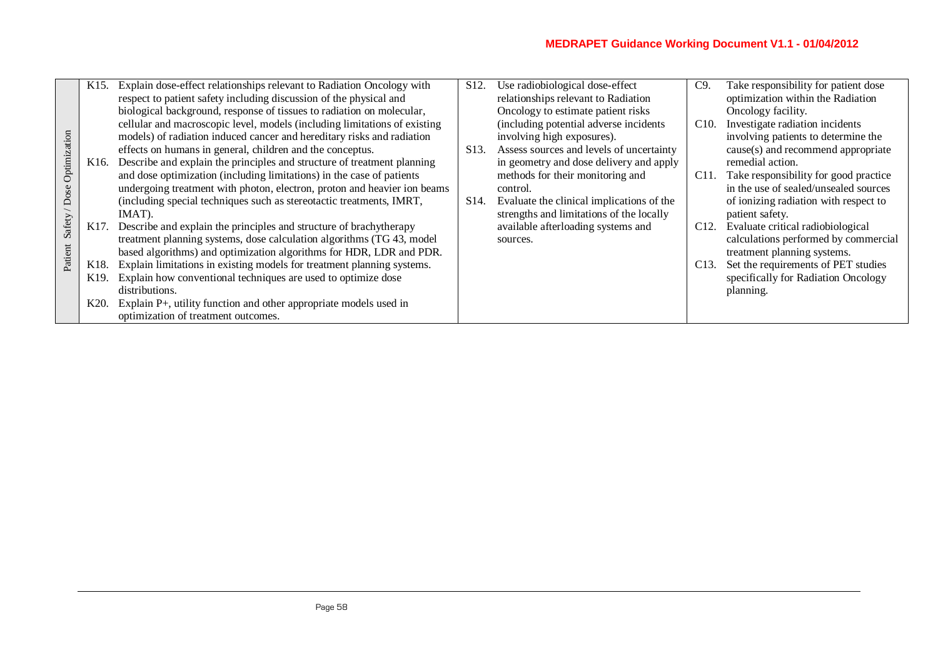|              | K <sub>15</sub> . | Explain dose-effect relationships relevant to Radiation Oncology with     | S <sub>12</sub> . | Use radiobiological dose-effect           | C9                | Take responsibility for patient dose  |
|--------------|-------------------|---------------------------------------------------------------------------|-------------------|-------------------------------------------|-------------------|---------------------------------------|
|              |                   | respect to patient safety including discussion of the physical and        |                   | relationships relevant to Radiation       |                   | optimization within the Radiation     |
|              |                   | biological background, response of tissues to radiation on molecular,     |                   | Oncology to estimate patient risks        |                   | Oncology facility.                    |
|              |                   | cellular and macroscopic level, models (including limitations of existing |                   | (including potential adverse incidents)   | C10.              | Investigate radiation incidents       |
|              |                   | models) of radiation induced cancer and hereditary risks and radiation    |                   | involving high exposures).                |                   | involving patients to determine the   |
| Optimization |                   | effects on humans in general, children and the conceptus.                 | S <sub>13</sub> . | Assess sources and levels of uncertainty  |                   | cause(s) and recommend appropriate    |
|              | K <sub>16</sub> . | Describe and explain the principles and structure of treatment planning   |                   | in geometry and dose delivery and apply   |                   | remedial action.                      |
|              |                   | and dose optimization (including limitations) in the case of patients     |                   | methods for their monitoring and          | C <sub>11</sub> . | Take responsibility for good practice |
| Dose         |                   | undergoing treatment with photon, electron, proton and heavier ion beams  |                   | control.                                  |                   | in the use of sealed/unsealed sources |
|              |                   | (including special techniques such as stereotactic treatments, IMRT,      | S <sub>14</sub> . | Evaluate the clinical implications of the |                   | of ionizing radiation with respect to |
|              |                   | IMAT).                                                                    |                   | strengths and limitations of the locally  |                   | patient safety.                       |
| Safety       | K17.              | Describe and explain the principles and structure of brachytherapy        |                   | available afterloading systems and        | C <sub>12</sub> . | Evaluate critical radiobiological     |
|              |                   | treatment planning systems, dose calculation algorithms (TG 43, model     |                   | sources.                                  |                   | calculations performed by commercial  |
| Patient      |                   | based algorithms) and optimization algorithms for HDR, LDR and PDR.       |                   |                                           |                   | treatment planning systems.           |
|              | K18.              | Explain limitations in existing models for treatment planning systems.    |                   |                                           | C <sub>13</sub> . | Set the requirements of PET studies   |
|              | K <sub>19</sub> . | Explain how conventional techniques are used to optimize dose             |                   |                                           |                   | specifically for Radiation Oncology   |
|              |                   | distributions.                                                            |                   |                                           |                   | planning.                             |
|              | K20.              | Explain P+, utility function and other appropriate models used in         |                   |                                           |                   |                                       |
|              |                   | optimization of treatment outcomes.                                       |                   |                                           |                   |                                       |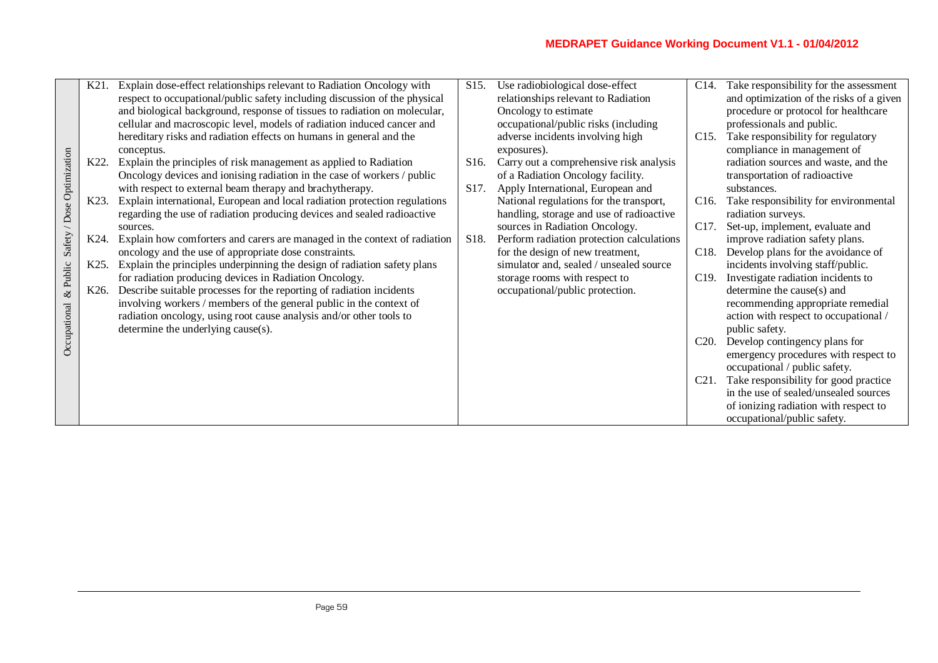|                            | K21.              | Explain dose-effect relationships relevant to Radiation Oncology with                                                          | S <sub>15</sub> . | Use radiobiological dose-effect                                  | $C14$ .           | Take responsibility for the assessment                           |
|----------------------------|-------------------|--------------------------------------------------------------------------------------------------------------------------------|-------------------|------------------------------------------------------------------|-------------------|------------------------------------------------------------------|
|                            |                   | respect to occupational/public safety including discussion of the physical                                                     |                   | relationships relevant to Radiation                              |                   | and optimization of the risks of a given                         |
|                            |                   | and biological background, response of tissues to radiation on molecular,                                                      |                   | Oncology to estimate                                             |                   | procedure or protocol for healthcare                             |
|                            |                   | cellular and macroscopic level, models of radiation induced cancer and                                                         |                   | occupational/public risks (including                             |                   | professionals and public.                                        |
|                            |                   | hereditary risks and radiation effects on humans in general and the                                                            |                   | adverse incidents involving high                                 | C <sub>15</sub> . | Take responsibility for regulatory                               |
|                            |                   | conceptus.                                                                                                                     |                   | exposures).                                                      |                   | compliance in management of                                      |
|                            | K22.              | Explain the principles of risk management as applied to Radiation                                                              | S <sub>16</sub> . | Carry out a comprehensive risk analysis                          |                   | radiation sources and waste, and the                             |
|                            |                   | Oncology devices and ionising radiation in the case of workers / public                                                        |                   | of a Radiation Oncology facility.                                |                   | transportation of radioactive                                    |
|                            |                   | with respect to external beam therapy and brachytherapy.                                                                       | S17.              | Apply International, European and                                |                   | substances.                                                      |
| Safety / Dose Optimization | K23.              | Explain international, European and local radiation protection regulations                                                     |                   | National regulations for the transport,                          | C16.              | Take responsibility for environmental                            |
|                            |                   | regarding the use of radiation producing devices and sealed radioactive                                                        |                   | handling, storage and use of radioactive                         |                   | radiation surveys.                                               |
|                            |                   | sources.                                                                                                                       |                   | sources in Radiation Oncology.                                   | C <sub>17</sub> . | Set-up, implement, evaluate and                                  |
|                            | K <sub>24</sub> . | Explain how comforters and carers are managed in the context of radiation                                                      | S <sub>18</sub> . | Perform radiation protection calculations                        |                   | improve radiation safety plans.                                  |
| $&$ Public                 |                   | oncology and the use of appropriate dose constraints.                                                                          |                   | for the design of new treatment,                                 | C18.              | Develop plans for the avoidance of                               |
|                            | K <sub>25</sub> . | Explain the principles underpinning the design of radiation safety plans                                                       |                   | simulator and, sealed / unsealed source                          |                   | incidents involving staff/public.                                |
|                            | K <sub>26</sub> . | for radiation producing devices in Radiation Oncology.<br>Describe suitable processes for the reporting of radiation incidents |                   | storage rooms with respect to<br>occupational/public protection. | C19.              | Investigate radiation incidents to<br>determine the cause(s) and |
|                            |                   | involving workers / members of the general public in the context of                                                            |                   |                                                                  |                   | recommending appropriate remedial                                |
|                            |                   | radiation oncology, using root cause analysis and/or other tools to                                                            |                   |                                                                  |                   | action with respect to occupational /                            |
|                            |                   | determine the underlying cause(s).                                                                                             |                   |                                                                  |                   | public safety.                                                   |
| Occupational               |                   |                                                                                                                                |                   |                                                                  | C <sub>20</sub> . | Develop contingency plans for                                    |
|                            |                   |                                                                                                                                |                   |                                                                  |                   | emergency procedures with respect to                             |
|                            |                   |                                                                                                                                |                   |                                                                  |                   | occupational / public safety.                                    |
|                            |                   |                                                                                                                                |                   |                                                                  | C21.              | Take responsibility for good practice                            |
|                            |                   |                                                                                                                                |                   |                                                                  |                   | in the use of sealed/unsealed sources                            |
|                            |                   |                                                                                                                                |                   |                                                                  |                   | of ionizing radiation with respect to                            |
|                            |                   |                                                                                                                                |                   |                                                                  |                   | occupational/public safety.                                      |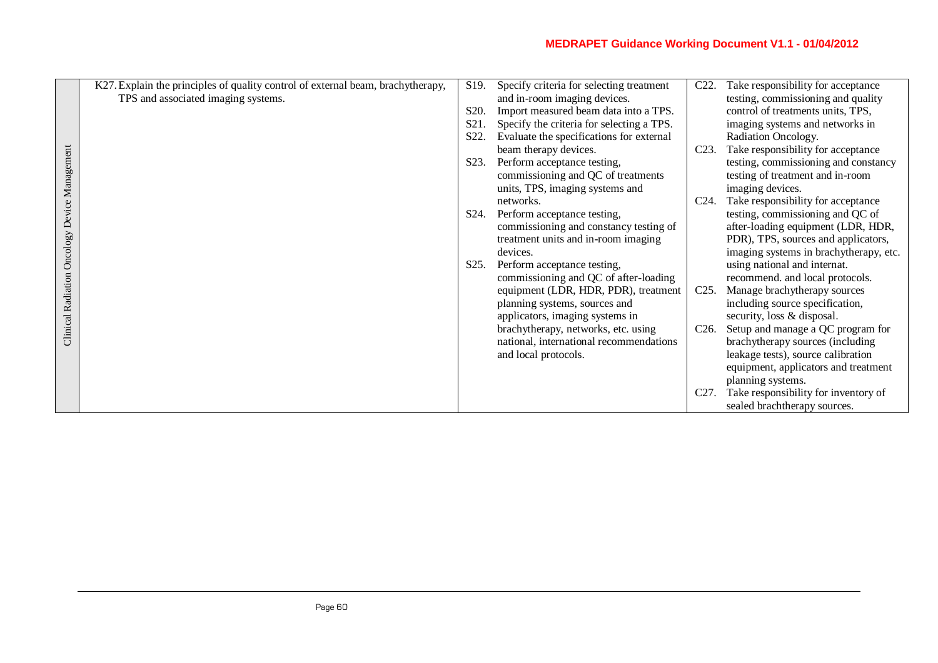|                                               | K27. Explain the principles of quality control of external beam, brachytherapy, | S19.              | Specify criteria for selecting treatment  | C <sub>22</sub> . | Take responsibility for acceptance     |
|-----------------------------------------------|---------------------------------------------------------------------------------|-------------------|-------------------------------------------|-------------------|----------------------------------------|
|                                               | TPS and associated imaging systems.                                             |                   | and in-room imaging devices.              |                   | testing, commissioning and quality     |
|                                               |                                                                                 | S20.              | Import measured beam data into a TPS.     |                   | control of treatments units, TPS,      |
|                                               |                                                                                 | S <sub>21</sub>   | Specify the criteria for selecting a TPS. |                   | imaging systems and networks in        |
|                                               |                                                                                 | S22.              | Evaluate the specifications for external  |                   | Radiation Oncology.                    |
|                                               |                                                                                 |                   | beam therapy devices.                     | C <sub>23</sub> . | Take responsibility for acceptance     |
| Clinical Radiation Oncology Device Management |                                                                                 | S <sub>2</sub> 3. | Perform acceptance testing,               |                   | testing, commissioning and constancy   |
|                                               |                                                                                 |                   | commissioning and QC of treatments        |                   | testing of treatment and in-room       |
|                                               |                                                                                 |                   | units, TPS, imaging systems and           |                   | imaging devices.                       |
|                                               |                                                                                 |                   | networks.                                 | $C24$ .           | Take responsibility for acceptance     |
|                                               |                                                                                 | S <sub>24</sub> . | Perform acceptance testing,               |                   | testing, commissioning and QC of       |
|                                               |                                                                                 |                   | commissioning and constancy testing of    |                   | after-loading equipment (LDR, HDR,     |
|                                               |                                                                                 |                   | treatment units and in-room imaging       |                   | PDR), TPS, sources and applicators,    |
|                                               |                                                                                 |                   | devices.                                  |                   | imaging systems in brachytherapy, etc. |
|                                               |                                                                                 | S25.              | Perform acceptance testing,               |                   | using national and internat.           |
|                                               |                                                                                 |                   | commissioning and QC of after-loading     |                   | recommend. and local protocols.        |
|                                               |                                                                                 |                   | equipment (LDR, HDR, PDR), treatment      | $C25$ .           | Manage brachytherapy sources           |
|                                               |                                                                                 |                   | planning systems, sources and             |                   | including source specification,        |
|                                               |                                                                                 |                   | applicators, imaging systems in           |                   | security, loss & disposal.             |
|                                               |                                                                                 |                   | brachytherapy, networks, etc. using       | C <sub>26</sub> . | Setup and manage a QC program for      |
|                                               |                                                                                 |                   | national, international recommendations   |                   | brachytherapy sources (including       |
|                                               |                                                                                 |                   | and local protocols.                      |                   | leakage tests), source calibration     |
|                                               |                                                                                 |                   |                                           |                   | equipment, applicators and treatment   |
|                                               |                                                                                 |                   |                                           |                   | planning systems.                      |
|                                               |                                                                                 |                   |                                           | C <sub>27</sub> . | Take responsibility for inventory of   |
|                                               |                                                                                 |                   |                                           |                   | sealed brachtherapy sources.           |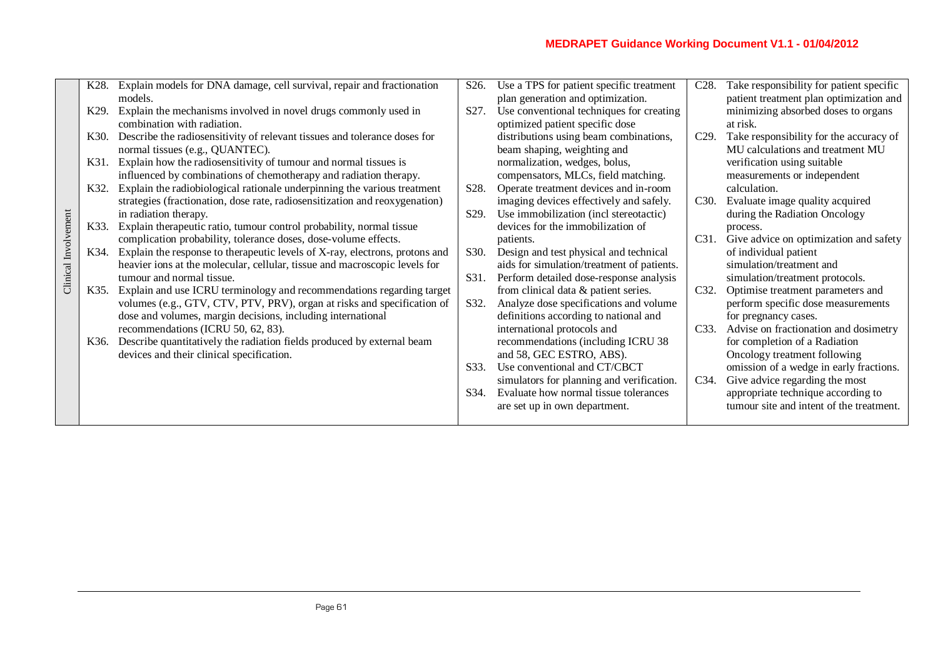|                      | K28.              | Explain models for DNA damage, cell survival, repair and fractionation      | S <sub>26</sub> . | Use a TPS for patient specific treatment   | C <sub>28</sub> . | Take responsibility for patient specific                                       |
|----------------------|-------------------|-----------------------------------------------------------------------------|-------------------|--------------------------------------------|-------------------|--------------------------------------------------------------------------------|
|                      |                   | models.                                                                     |                   | plan generation and optimization.          |                   | patient treatment plan optimization and                                        |
|                      | K <sub>29</sub> . | Explain the mechanisms involved in novel drugs commonly used in             | S <sub>27</sub> . | Use conventional techniques for creating   |                   | minimizing absorbed doses to organs                                            |
|                      |                   | combination with radiation.                                                 |                   | optimized patient specific dose            |                   | at risk.                                                                       |
|                      | K <sub>30</sub> . | Describe the radiosensitivity of relevant tissues and tolerance doses for   |                   | distributions using beam combinations,     | $C29$ .           | Take responsibility for the accuracy of                                        |
|                      |                   | normal tissues (e.g., QUANTEC).                                             |                   | beam shaping, weighting and                |                   | MU calculations and treatment MU                                               |
|                      | K31.              | Explain how the radiosensitivity of tumour and normal tissues is            |                   | normalization, wedges, bolus,              |                   | verification using suitable                                                    |
|                      |                   | influenced by combinations of chemotherapy and radiation therapy.           |                   | compensators, MLCs, field matching.        |                   | measurements or independent                                                    |
|                      | K32.              | Explain the radiobiological rationale underpinning the various treatment    | S28.              | Operate treatment devices and in-room      |                   | calculation.                                                                   |
|                      |                   | strategies (fractionation, dose rate, radiosensitization and reoxygenation) |                   | imaging devices effectively and safely.    | C <sub>30</sub> . | Evaluate image quality acquired                                                |
|                      |                   | in radiation therapy.                                                       | S29.              | Use immobilization (incl stereotactic)     |                   | during the Radiation Oncology                                                  |
|                      | K33.              | Explain therapeutic ratio, tumour control probability, normal tissue        |                   | devices for the immobilization of          |                   | process.                                                                       |
|                      |                   | complication probability, tolerance doses, dose-volume effects.             |                   | patients.                                  | C31.              | Give advice on optimization and safety                                         |
|                      | K34.              | Explain the response to therapeutic levels of X-ray, electrons, protons and | S <sub>30</sub> . | Design and test physical and technical     |                   | of individual patient                                                          |
| Clinical Involvement |                   | heavier ions at the molecular, cellular, tissue and macroscopic levels for  |                   | aids for simulation/treatment of patients. |                   | simulation/treatment and                                                       |
|                      |                   | tumour and normal tissue.                                                   | S31.              | Perform detailed dose-response analysis    |                   | simulation/treatment protocols.                                                |
|                      | K35.              | Explain and use ICRU terminology and recommendations regarding target       |                   | from clinical data & patient series.       | C32.              | Optimise treatment parameters and                                              |
|                      |                   | volumes (e.g., GTV, CTV, PTV, PRV), organ at risks and specification of     | S32.              | Analyze dose specifications and volume     |                   | perform specific dose measurements                                             |
|                      |                   | dose and volumes, margin decisions, including international                 |                   | definitions according to national and      |                   | for pregnancy cases.                                                           |
|                      |                   | recommendations (ICRU 50, 62, 83).                                          |                   | international protocols and                | C <sub>3</sub> 3. | Advise on fractionation and dosimetry                                          |
|                      | K36.              | Describe quantitatively the radiation fields produced by external beam      |                   | recommendations (including ICRU 38         |                   | for completion of a Radiation                                                  |
|                      |                   | devices and their clinical specification.                                   |                   | and 58, GEC ESTRO, ABS).                   |                   | Oncology treatment following                                                   |
|                      |                   |                                                                             | S <sub>33</sub> . | Use conventional and CT/CBCT               |                   | omission of a wedge in early fractions.                                        |
|                      |                   |                                                                             |                   | simulators for planning and verification.  | C34.              | Give advice regarding the most                                                 |
|                      |                   |                                                                             | S34.              | Evaluate how normal tissue tolerances      |                   | appropriate technique according to<br>tumour site and intent of the treatment. |
|                      |                   |                                                                             |                   | are set up in own department.              |                   |                                                                                |
|                      |                   |                                                                             |                   |                                            |                   |                                                                                |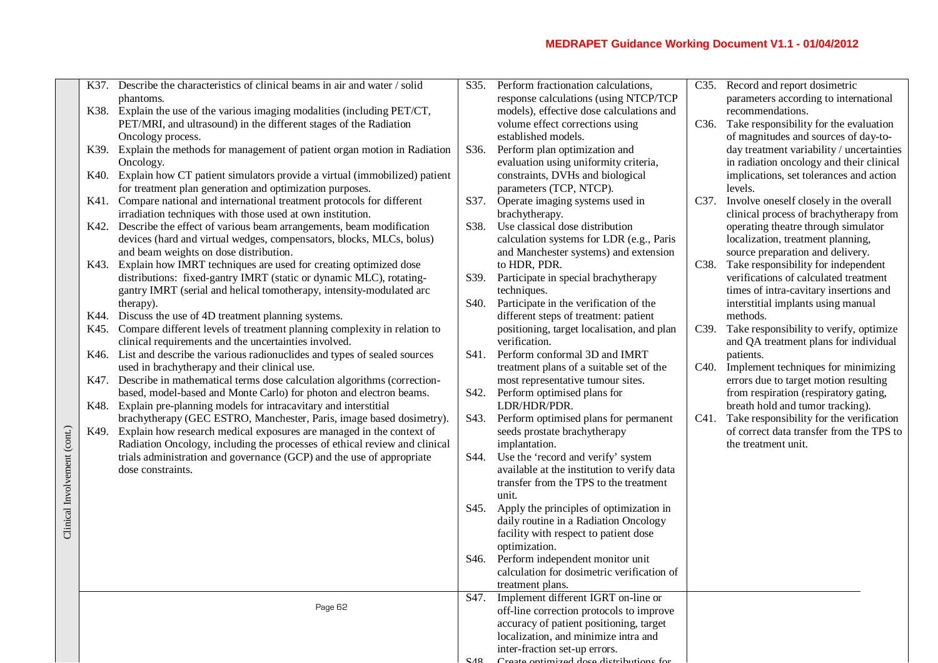|                              | K37. | Describe the characteristics of clinical beams in air and water / solid                                                       | S35.              | Perform fractionation calculations,                                                 | C <sub>35</sub> . | Record and report dosimetric                   |
|------------------------------|------|-------------------------------------------------------------------------------------------------------------------------------|-------------------|-------------------------------------------------------------------------------------|-------------------|------------------------------------------------|
|                              |      | phantoms.                                                                                                                     |                   | response calculations (using NTCP/TCP                                               |                   | parameters according to international          |
|                              |      | K38. Explain the use of the various imaging modalities (including PET/CT,                                                     |                   | models), effective dose calculations and                                            |                   | recommendations.                               |
|                              |      | PET/MRI, and ultrasound) in the different stages of the Radiation                                                             |                   | volume effect corrections using                                                     |                   | C36. Take responsibility for the evaluation    |
|                              |      | Oncology process.                                                                                                             |                   | established models.                                                                 |                   | of magnitudes and sources of day-to-           |
|                              |      | K39. Explain the methods for management of patient organ motion in Radiation                                                  | S36.              | Perform plan optimization and                                                       |                   | day treatment variability / uncertainties      |
|                              |      | Oncology.                                                                                                                     |                   | evaluation using uniformity criteria,                                               |                   | in radiation oncology and their clinical       |
|                              | K40. | Explain how CT patient simulators provide a virtual (immobilized) patient                                                     |                   | constraints, DVHs and biological                                                    |                   | implications, set tolerances and action        |
|                              |      | for treatment plan generation and optimization purposes.                                                                      |                   | parameters (TCP, NTCP).                                                             |                   | levels.                                        |
|                              |      | K41. Compare national and international treatment protocols for different                                                     | S37.              | Operate imaging systems used in                                                     | C37.              | Involve oneself closely in the overall         |
|                              |      | irradiation techniques with those used at own institution.                                                                    |                   | brachytherapy.                                                                      |                   | clinical process of brachytherapy from         |
|                              | K42. | Describe the effect of various beam arrangements, beam modification                                                           | S38.              | Use classical dose distribution                                                     |                   | operating theatre through simulator            |
|                              |      | devices (hard and virtual wedges, compensators, blocks, MLCs, bolus)                                                          |                   | calculation systems for LDR (e.g., Paris                                            |                   | localization, treatment planning,              |
|                              |      | and beam weights on dose distribution.                                                                                        |                   | and Manchester systems) and extension                                               |                   | source preparation and delivery.               |
|                              | K43. | Explain how IMRT techniques are used for creating optimized dose                                                              |                   | to HDR, PDR.                                                                        | C <sub>38</sub> . | Take responsibility for independent            |
|                              |      | distributions: fixed-gantry IMRT (static or dynamic MLC), rotating-                                                           | S39.              | Participate in special brachytherapy                                                |                   | verifications of calculated treatment          |
|                              |      | gantry IMRT (serial and helical tomotherapy, intensity-modulated arc                                                          |                   | techniques.                                                                         |                   | times of intra-cavitary insertions and         |
|                              | K44. | therapy).                                                                                                                     | S <sub>40</sub> . | Participate in the verification of the                                              |                   | interstitial implants using manual<br>methods. |
|                              | K45. | Discuss the use of 4D treatment planning systems.<br>Compare different levels of treatment planning complexity in relation to |                   | different steps of treatment: patient<br>positioning, target localisation, and plan | C39.              | Take responsibility to verify, optimize        |
|                              |      | clinical requirements and the uncertainties involved.                                                                         |                   | verification.                                                                       |                   | and QA treatment plans for individual          |
|                              | K46. | List and describe the various radionuclides and types of sealed sources                                                       | S41.              | Perform conformal 3D and IMRT                                                       |                   | patients.                                      |
|                              |      | used in brachytherapy and their clinical use.                                                                                 |                   | treatment plans of a suitable set of the                                            | C <sub>40</sub> . | Implement techniques for minimizing            |
|                              | K47. | Describe in mathematical terms dose calculation algorithms (correction-                                                       |                   | most representative tumour sites.                                                   |                   | errors due to target motion resulting          |
|                              |      | based, model-based and Monte Carlo) for photon and electron beams.                                                            | S42.              | Perform optimised plans for                                                         |                   | from respiration (respiratory gating,          |
|                              | K48. | Explain pre-planning models for intracavitary and interstitial                                                                |                   | LDR/HDR/PDR.                                                                        |                   | breath hold and tumor tracking).               |
|                              |      | brachytherapy (GEC ESTRO, Manchester, Paris, image based dosimetry).                                                          | S43.              | Perform optimised plans for permanent                                               | C41.              | Take responsibility for the verification       |
|                              | K49. | Explain how research medical exposures are managed in the context of                                                          |                   | seeds prostate brachytherapy                                                        |                   | of correct data transfer from the TPS to       |
|                              |      | Radiation Oncology, including the processes of ethical review and clinical                                                    |                   | implantation.                                                                       |                   | the treatment unit.                            |
|                              |      | trials administration and governance (GCP) and the use of appropriate                                                         | S44.              | Use the 'record and verify' system                                                  |                   |                                                |
|                              |      | dose constraints.                                                                                                             |                   | available at the institution to verify data                                         |                   |                                                |
| Clinical Involvement (cont.) |      |                                                                                                                               |                   | transfer from the TPS to the treatment                                              |                   |                                                |
|                              |      |                                                                                                                               |                   | unit.                                                                               |                   |                                                |
|                              |      |                                                                                                                               | S45.              | Apply the principles of optimization in                                             |                   |                                                |
|                              |      |                                                                                                                               |                   | daily routine in a Radiation Oncology                                               |                   |                                                |
|                              |      |                                                                                                                               |                   | facility with respect to patient dose                                               |                   |                                                |
|                              |      |                                                                                                                               |                   | optimization.                                                                       |                   |                                                |
|                              |      |                                                                                                                               | S46.              | Perform independent monitor unit                                                    |                   |                                                |
|                              |      |                                                                                                                               |                   | calculation for dosimetric verification of                                          |                   |                                                |
|                              |      |                                                                                                                               |                   | treatment plans.                                                                    |                   |                                                |
|                              |      | Page 62                                                                                                                       |                   | S47. Implement different IGRT on-line or                                            |                   |                                                |
|                              |      |                                                                                                                               |                   | off-line correction protocols to improve                                            |                   |                                                |
|                              |      |                                                                                                                               |                   | accuracy of patient positioning, target                                             |                   |                                                |
|                              |      |                                                                                                                               |                   | localization, and minimize intra and<br>inter-fraction set-up errors.               |                   |                                                |
|                              |      |                                                                                                                               |                   | Create optimized does distributions for                                             |                   |                                                |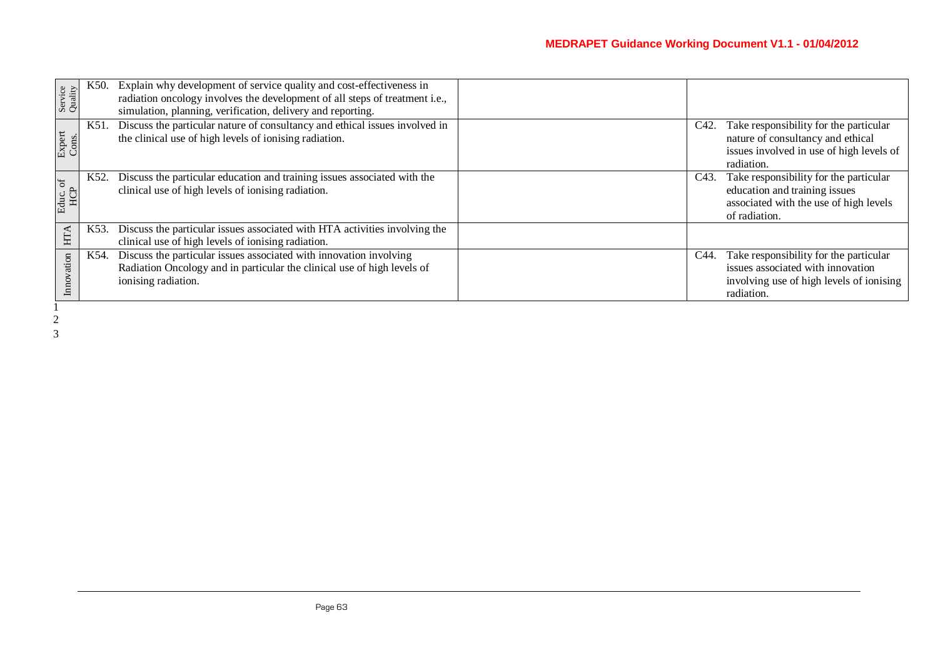| Service<br>Quality | K50. | Explain why development of service quality and cost-effectiveness in<br>radiation oncology involves the development of all steps of treatment i.e.,<br>simulation, planning, verification, delivery and reporting. |                   |                                                                                                                                       |
|--------------------|------|--------------------------------------------------------------------------------------------------------------------------------------------------------------------------------------------------------------------|-------------------|---------------------------------------------------------------------------------------------------------------------------------------|
| Expert<br>Cons.    | K51. | Discuss the particular nature of consultancy and ethical issues involved in<br>the clinical use of high levels of ionising radiation.                                                                              | C <sub>42</sub> . | Take responsibility for the particular<br>nature of consultancy and ethical<br>issues involved in use of high levels of<br>radiation. |
| Educ. of $HCP$     | K52. | Discuss the particular education and training issues associated with the<br>clinical use of high levels of ionising radiation.                                                                                     | C43.              | Take responsibility for the particular<br>education and training issues<br>associated with the use of high levels<br>of radiation.    |
| HTA                | K53. | Discuss the particular issues associated with HTA activities involving the<br>clinical use of high levels of ionising radiation.                                                                                   |                   |                                                                                                                                       |
| ation              | K54. | Discuss the particular issues associated with innovation involving<br>Radiation Oncology and in particular the clinical use of high levels of<br>ionising radiation.                                               | C44.              | Take responsibility for the particular<br>issues associated with innovation<br>involving use of high levels of ionising<br>radiation. |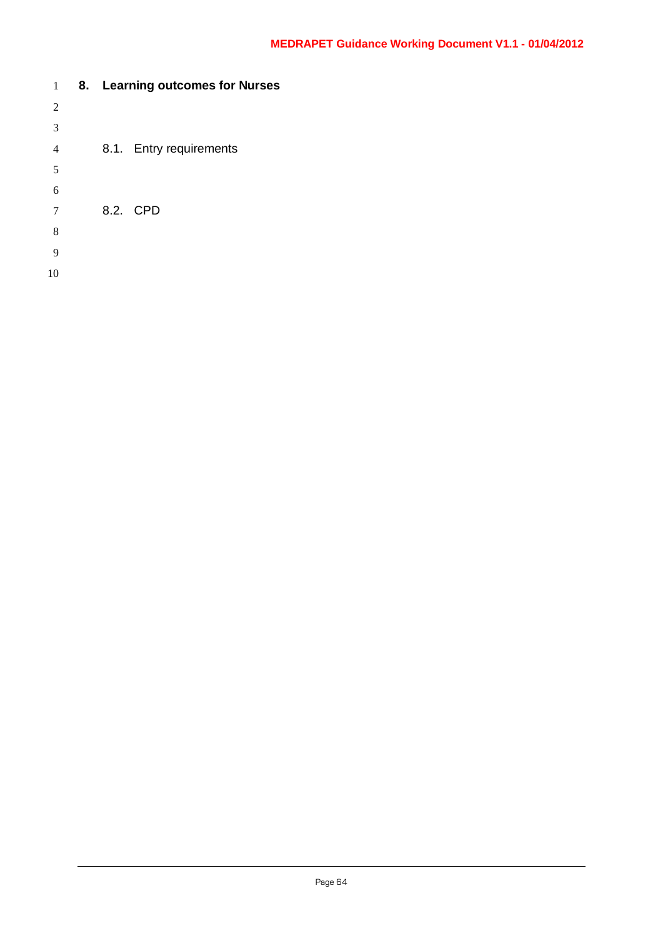| 1              |  | 8. Learning outcomes for Nurses |
|----------------|--|---------------------------------|
| $\overline{2}$ |  |                                 |
| 3              |  |                                 |
| $\overline{4}$ |  | 8.1. Entry requirements         |
| 5              |  |                                 |
| 6              |  |                                 |
| 7              |  | 8.2. CPD                        |
| 8              |  |                                 |
| 9              |  |                                 |
| 10             |  |                                 |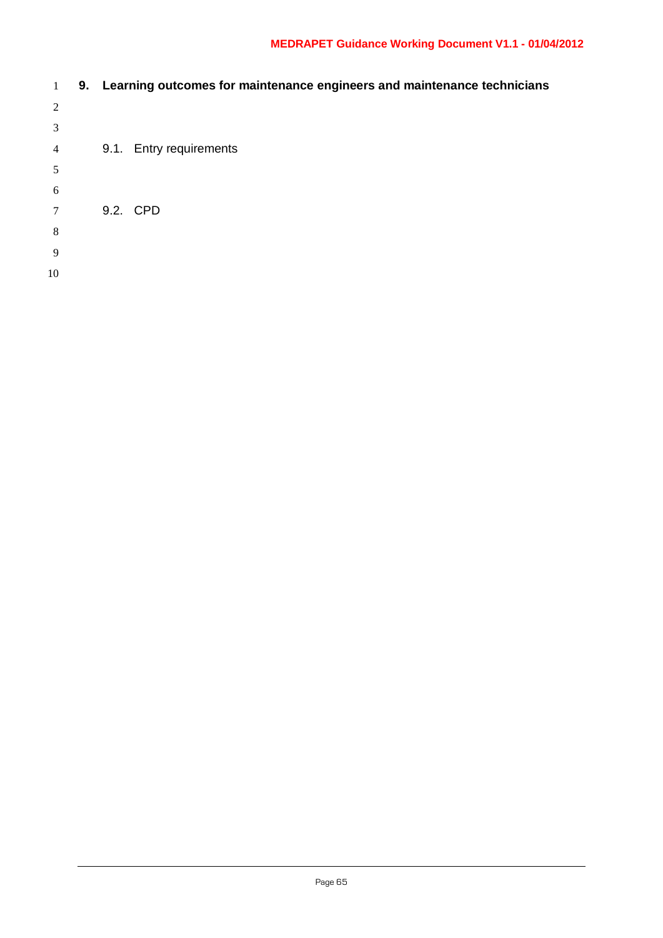| $\pm$          |  | 9. Learning outcomes for maintenance engineers and maintenance technicians |
|----------------|--|----------------------------------------------------------------------------|
| 2              |  |                                                                            |
| 3              |  |                                                                            |
| $\overline{4}$ |  | 9.1. Entry requirements                                                    |
| 5              |  |                                                                            |
| 6              |  |                                                                            |
| 7              |  | 9.2. CPD                                                                   |
| 8              |  |                                                                            |
| 9              |  |                                                                            |
| 10             |  |                                                                            |
|                |  |                                                                            |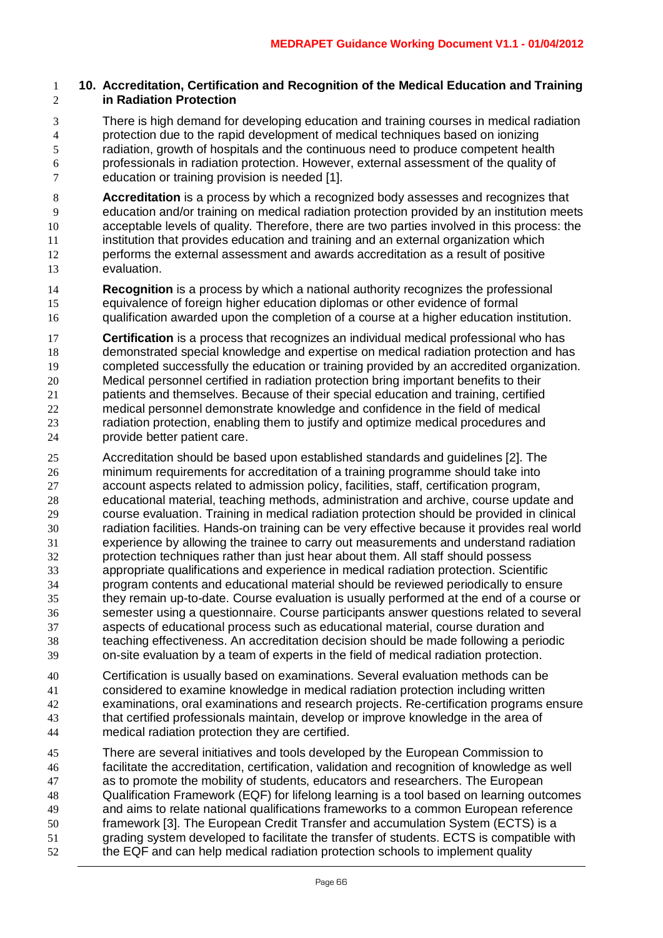#### **10. Accreditation, Certification and Recognition of the Medical Education and Training in Radiation Protection**

- There is high demand for developing education and training courses in medical radiation protection due to the rapid development of medical techniques based on ionizing radiation, growth of hospitals and the continuous need to produce competent health professionals in radiation protection. However, external assessment of the quality of education or training provision is needed [1].
- **Accreditation** is a process by which a recognized body assesses and recognizes that education and/or training on medical radiation protection provided by an institution meets acceptable levels of quality. Therefore, there are two parties involved in this process: the institution that provides education and training and an external organization which performs the external assessment and awards accreditation as a result of positive evaluation.
- **Recognition** is a process by which a national authority recognizes the professional equivalence of foreign higher education diplomas or other evidence of formal qualification awarded upon the completion of a course at a higher education institution.
- **Certification** is a process that recognizes an individual medical professional who has demonstrated special knowledge and expertise on medical radiation protection and has completed successfully the education or training provided by an accredited organization. Medical personnel certified in radiation protection bring important benefits to their patients and themselves. Because of their special education and training, certified medical personnel demonstrate knowledge and confidence in the field of medical radiation protection, enabling them to justify and optimize medical procedures and provide better patient care.
- Accreditation should be based upon established standards and guidelines [2]. The minimum requirements for accreditation of a training programme should take into account aspects related to admission policy, facilities, staff, certification program, educational material, teaching methods, administration and archive, course update and course evaluation. Training in medical radiation protection should be provided in clinical radiation facilities. Hands-on training can be very effective because it provides real world experience by allowing the trainee to carry out measurements and understand radiation protection techniques rather than just hear about them. All staff should possess appropriate qualifications and experience in medical radiation protection. Scientific program contents and educational material should be reviewed periodically to ensure they remain up-to-date. Course evaluation is usually performed at the end of a course or semester using a questionnaire. Course participants answer questions related to several aspects of educational process such as educational material, course duration and teaching effectiveness. An accreditation decision should be made following a periodic on-site evaluation by a team of experts in the field of medical radiation protection.
- Certification is usually based on examinations. Several evaluation methods can be considered to examine knowledge in medical radiation protection including written examinations, oral examinations and research projects. Re-certification programs ensure that certified professionals maintain, develop or improve knowledge in the area of medical radiation protection they are certified.
- There are several initiatives and tools developed by the European Commission to facilitate the accreditation, certification, validation and recognition of knowledge as well as to promote the mobility of students, educators and researchers. The European Qualification Framework (EQF) for lifelong learning is a tool based on learning outcomes and aims to relate national qualifications frameworks to a common European reference framework [3]. The European Credit Transfer and accumulation System (ECTS) is a grading system developed to facilitate the transfer of students. ECTS is compatible with the EQF and can help medical radiation protection schools to implement quality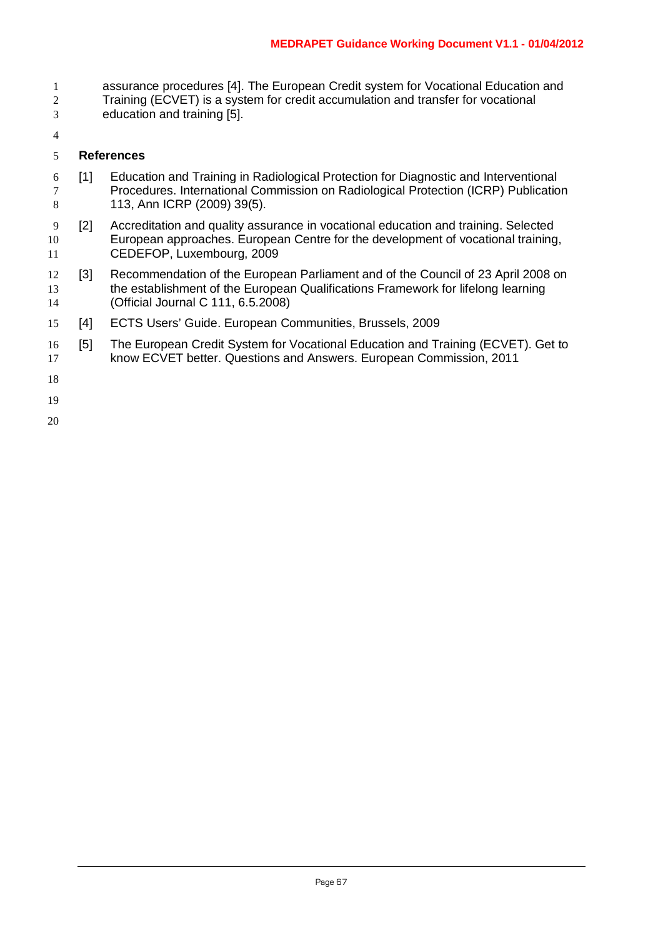- assurance procedures [4]. The European Credit system for Vocational Education and Training (ECVET) is a system for credit accumulation and transfer for vocational
- education and training [5].
- 

#### **References**

- [1] Education and Training in Radiological Protection for Diagnostic and Interventional Procedures. International Commission on Radiological Protection (ICRP) Publication 113, Ann ICRP (2009) 39(5).
- [2] Accreditation and quality assurance in vocational education and training. Selected European approaches. European Centre for the development of vocational training, CEDEFOP, Luxembourg, 2009
- [3] Recommendation of the European Parliament and of the Council of 23 April 2008 on the establishment of the European Qualifications Framework for lifelong learning (Official Journal C 111, 6.5.2008)
- [4] ECTS Users' Guide. European Communities, Brussels, 2009
- [5] The European Credit System for Vocational Education and Training (ECVET). Get to know ECVET better. Questions and Answers. European Commission, 2011
-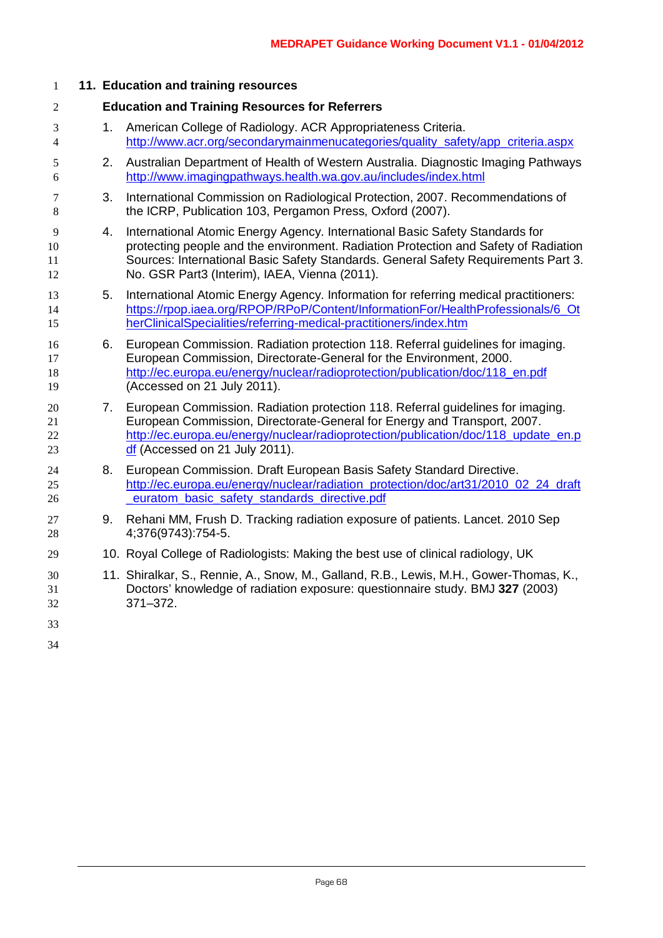| $\mathbf{1}$         |    | 11. Education and training resources                                                                                                                                                                                                                                                                       |
|----------------------|----|------------------------------------------------------------------------------------------------------------------------------------------------------------------------------------------------------------------------------------------------------------------------------------------------------------|
| $\overline{2}$       |    | <b>Education and Training Resources for Referrers</b>                                                                                                                                                                                                                                                      |
| 3<br>$\overline{4}$  | 1. | American College of Radiology. ACR Appropriateness Criteria.<br>http://www.acr.org/secondarymainmenucategories/quality_safety/app_criteria.aspx                                                                                                                                                            |
| 5<br>6               | 2. | Australian Department of Health of Western Australia. Diagnostic Imaging Pathways<br>http://www.imagingpathways.health.wa.gov.au/includes/index.html                                                                                                                                                       |
| 7<br>8               | 3. | International Commission on Radiological Protection, 2007. Recommendations of<br>the ICRP, Publication 103, Pergamon Press, Oxford (2007).                                                                                                                                                                 |
| 9<br>10<br>11<br>12  | 4. | International Atomic Energy Agency. International Basic Safety Standards for<br>protecting people and the environment. Radiation Protection and Safety of Radiation<br>Sources: International Basic Safety Standards. General Safety Requirements Part 3.<br>No. GSR Part3 (Interim), IAEA, Vienna (2011). |
| 13<br>14<br>15       | 5. | International Atomic Energy Agency. Information for referring medical practitioners:<br>https://rpop.iaea.org/RPOP/RPoP/Content/InformationFor/HealthProfessionals/6 Ot<br>herClinicalSpecialities/referring-medical-practitioners/index.htm                                                               |
| 16<br>17<br>18<br>19 | 6. | European Commission. Radiation protection 118. Referral guidelines for imaging.<br>European Commission, Directorate-General for the Environment, 2000.<br>http://ec.europa.eu/energy/nuclear/radioprotection/publication/doc/118_en.pdf<br>(Accessed on 21 July 2011).                                     |
| 20<br>21<br>22<br>23 |    | 7. European Commission. Radiation protection 118. Referral guidelines for imaging.<br>European Commission, Directorate-General for Energy and Transport, 2007.<br>http://ec.europa.eu/energy/nuclear/radioprotection/publication/doc/118 update en.p<br>df (Accessed on 21 July 2011).                     |
| 24<br>25<br>26       | 8. | European Commission. Draft European Basis Safety Standard Directive.<br>http://ec.europa.eu/energy/nuclear/radiation_protection/doc/art31/2010_02_24_draft<br>euratom basic safety standards directive.pdf                                                                                                 |
| 27<br>28             | 9. | Rehani MM, Frush D. Tracking radiation exposure of patients. Lancet. 2010 Sep<br>4;376(9743):754-5.                                                                                                                                                                                                        |
| 29                   |    | 10. Royal College of Radiologists: Making the best use of clinical radiology, UK                                                                                                                                                                                                                           |
| 30<br>31<br>32       |    | 11. Shiralkar, S., Rennie, A., Snow, M., Galland, R.B., Lewis, M.H., Gower-Thomas, K.,<br>Doctors' knowledge of radiation exposure: questionnaire study. BMJ 327 (2003)<br>$371 - 372.$                                                                                                                    |
| 33                   |    |                                                                                                                                                                                                                                                                                                            |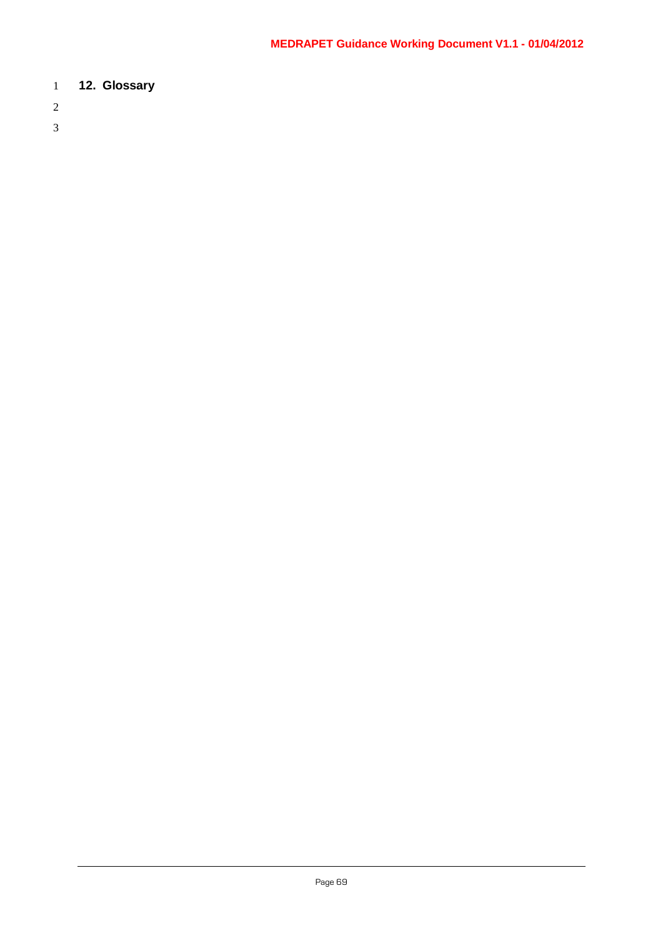## 1 **12. Glossary**

- 2
- 3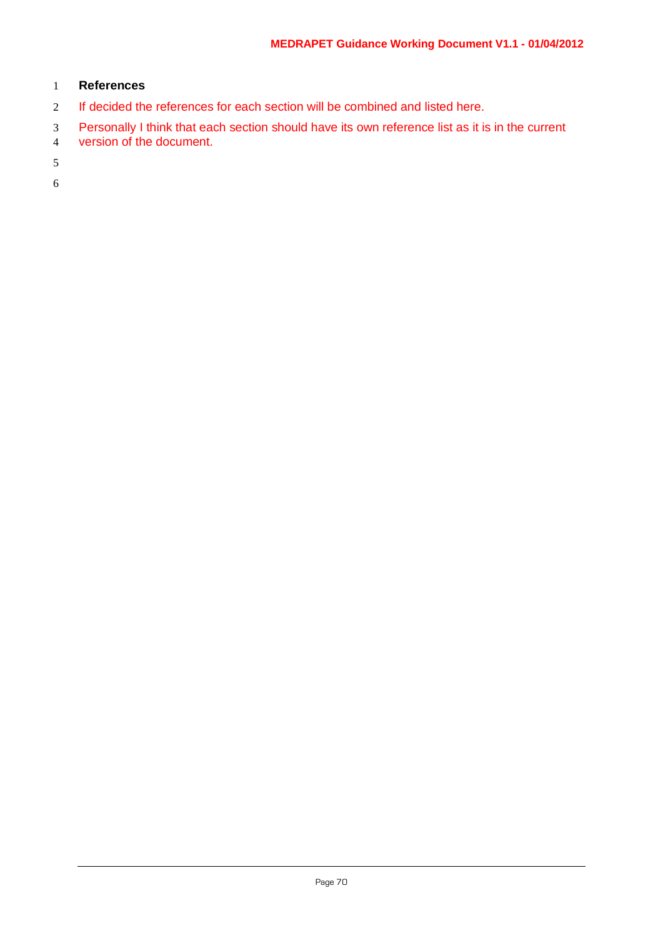#### 1 **References**

- 2 If decided the references for each section will be combined and listed here.
- 3 Personally I think that each section should have its own reference list as it is in the current version of the document.
- version of the document.

5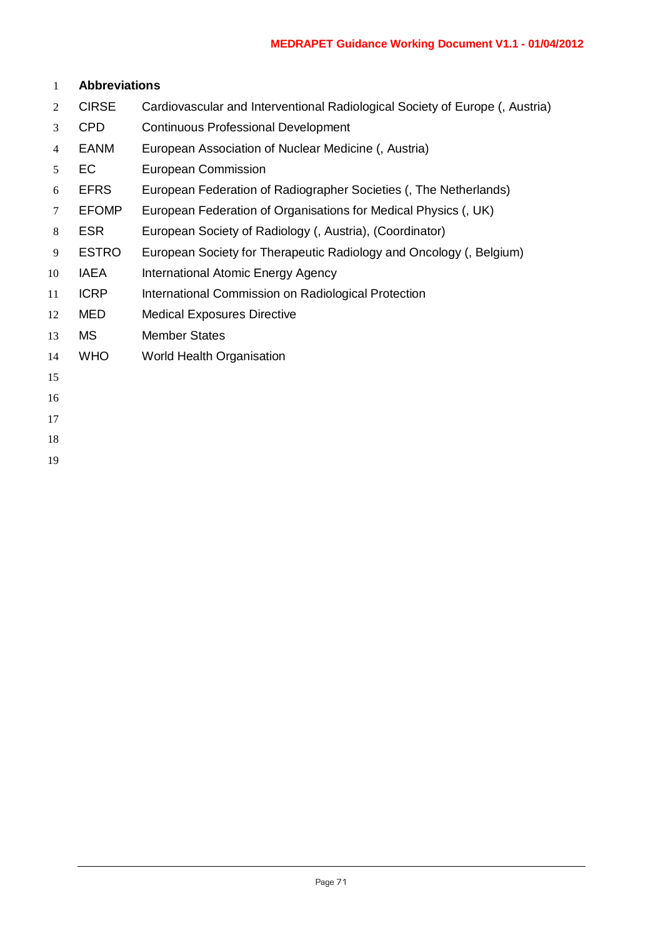#### **Abbreviations**

- CIRSE Cardiovascular and Interventional Radiological Society of Europe (, Austria)
- CPD Continuous Professional Development
- EANM European Association of Nuclear Medicine (, Austria)
- EC European Commission
- EFRS European Federation of Radiographer Societies (, The Netherlands)
- EFOMP European Federation of Organisations for Medical Physics (, UK)
- ESR European Society of Radiology (, Austria), (Coordinator)
- ESTRO European Society for Therapeutic Radiology and Oncology (, Belgium)
- 10 IAEA International Atomic Energy Agency
- 11 ICRP International Commission on Radiological Protection
- MED Medical Exposures Directive
- MS Member States
- WHO World Health Organisation
- 
- 
- 
- 
-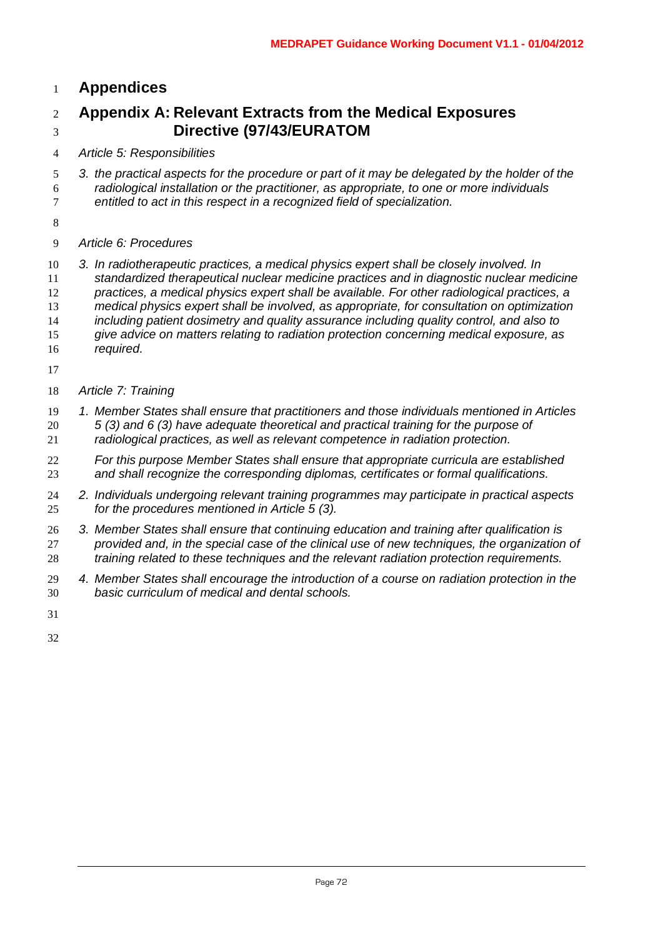# **Appendices**

# **Appendix A: Relevant Extracts from the Medical Exposures Directive (97/43/EURATOM**

- *Article 5: Responsibilities*
- *3. the practical aspects for the procedure or part of it may be delegated by the holder of the radiological installation or the practitioner, as appropriate, to one or more individuals entitled to act in this respect in a recognized field of specialization.*
- 
- *Article 6: Procedures*

 *3. In radiotherapeutic practices, a medical physics expert shall be closely involved. In standardized therapeutical nuclear medicine practices and in diagnostic nuclear medicine practices, a medical physics expert shall be available. For other radiological practices, a medical physics expert shall be involved, as appropriate, for consultation on optimization including patient dosimetry and quality assurance including quality control, and also to give advice on matters relating to radiation protection concerning medical exposure, as* 

- *required.*
- 
- *Article 7: Training*
- *1. Member States shall ensure that practitioners and those individuals mentioned in Articles 5 (3) and 6 (3) have adequate theoretical and practical training for the purpose of radiological practices, as well as relevant competence in radiation protection.*
- *For this purpose Member States shall ensure that appropriate curricula are established and shall recognize the corresponding diplomas, certificates or formal qualifications.*
- *2. Individuals undergoing relevant training programmes may participate in practical aspects for the procedures mentioned in Article 5 (3).*
- *3. Member States shall ensure that continuing education and training after qualification is provided and, in the special case of the clinical use of new techniques, the organization of training related to these techniques and the relevant radiation protection requirements.*
- *4. Member States shall encourage the introduction of a course on radiation protection in the basic curriculum of medical and dental schools.*
-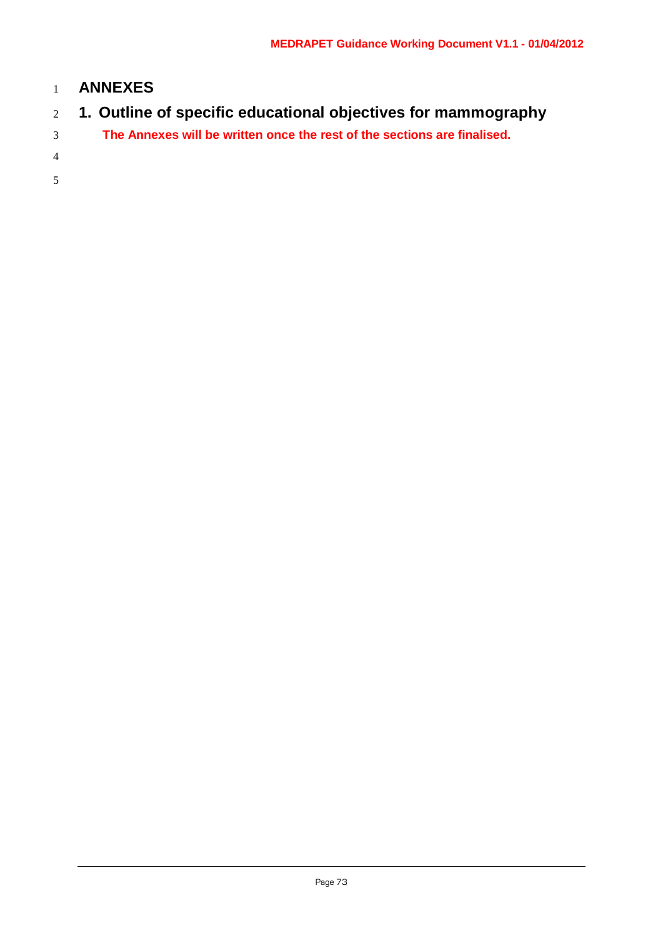## **ANNEXES**

- **1. Outline of specific educational objectives for mammography**
- **The Annexes will be written once the rest of the sections are finalised.**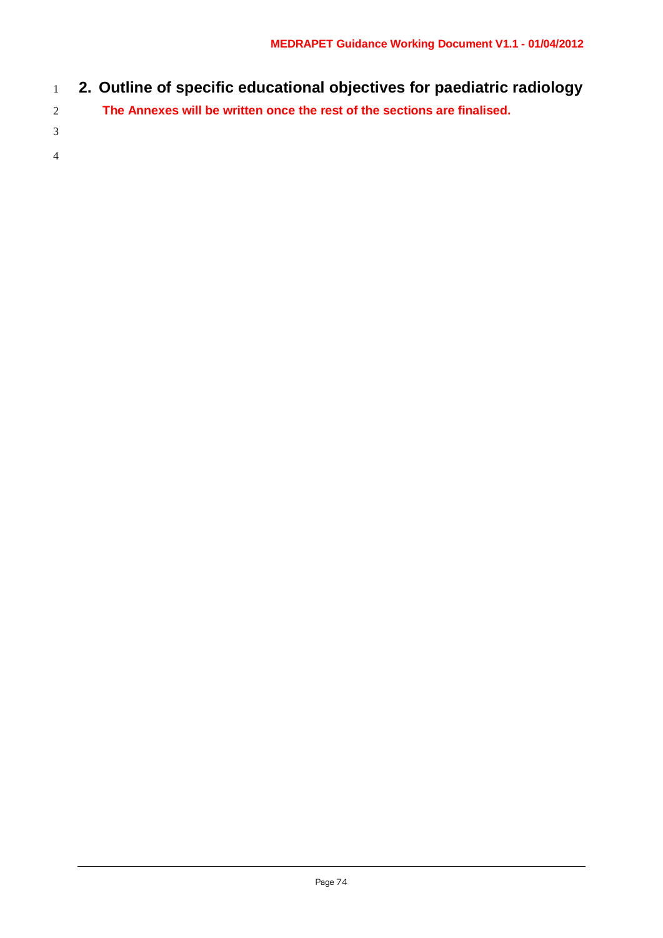- **2. Outline of specific educational objectives for paediatric radiology**
- **The Annexes will be written once the rest of the sections are finalised.**
- 
-